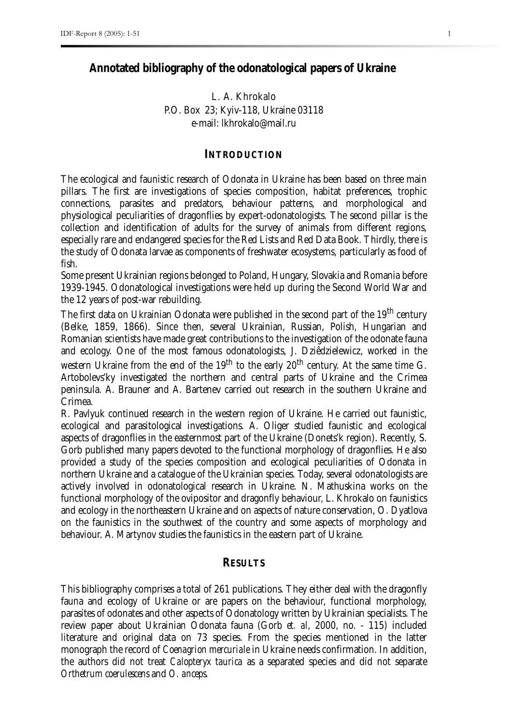## **Annotated bibliography of the odonatological papers of Ukraine**

# L. A. Khrokalo P.O. Box 23; Kyiv-118, Ukraine 03118 e-mail: lkhrokalo@mail.ru

### **INTRODUCTION**

The ecological and faunistic research of Odonata in Ukraine has been based on three main pillars. The first are investigations of species composition, habitat preferences, trophic connections, parasites and predators, behaviour patterns, and morphological and physiological peculiarities of dragonflies by expert-odonatologists. The second pillar is the collection and identification of adults for the survey of animals from different regions, especially rare and endangered species for the Red Lists and Red Data Book. Thirdly, there is the study of Odonata larvae as components of freshwater ecosystems, particularly as food of fish.

Some present Ukrainian regions belonged to Poland, Hungary, Slovakia and Romania before 1939-1945. Odonatological investigations were held up during the Second World War and the 12 years of post-war rebuilding.

The first data on Ukrainian Odonata were published in the second part of the 19<sup>th</sup> century (Belke, 1859, 1866). Since then, several Ukrainian, Russian, Polish, Hungarian and Romanian scientists have made great contributions to the investigation of the odonate fauna and ecology. One of the most famous odonatologists, J. Dziêdzielewicz, worked in the western Ukraine from the end of the  $19<sup>th</sup>$  to the early  $20<sup>th</sup>$  century. At the same time G. Artobolevs'ky investigated the northern and central parts of Ukraine and the Crimea peninsula. A. Brauner and A. Bartenev carried out research in the southern Ukraine and Crimea.

R. Pavlyuk continued research in the western region of Ukraine. He carried out faunistic, ecological and parasitological investigations. A. Oliger studied faunistic and ecological aspects of dragonflies in the easternmost part of the Ukraine (Donets'k region). Recently, S. Gorb published many papers devoted to the functional morphology of dragonflies. He also provided a study of the species composition and ecological peculiarities of Odonata in northern Ukraine and a catalogue of the Ukrainian species. Today, several odonatologists are actively involved in odonatological research in Ukraine. N. Mathuskina works on the functional morphology of the ovipositor and dragonfly behaviour, L. Khrokalo on faunistics and ecology in the northeastern Ukraine and on aspects of nature conservation, O. Dyatlova on the faunistics in the southwest of the country and some aspects of morphology and behaviour. A. Martynov studies the faunistics in the eastern part of Ukraine.

#### **RESULTS**

This bibliography comprises a total of 261 publications. They either deal with the dragonfly fauna and ecology of Ukraine or are papers on the behaviour, functional morphology, parasites of odonates and other aspects of Odonatology written by Ukrainian specialists. The review paper about Ukrainian Odonata fauna (Gorb *et. al*, 2000, no. - 115) included literature and original data on 73 species. From the species mentioned in the latter monograph the record of *Coenagrion mercuriale* in Ukraine needs confirmation. In addition, the authors did not treat *Calopteryx taurica* as a separated species and did not separate *Orthetrum coerulescens* and *O. anceps*.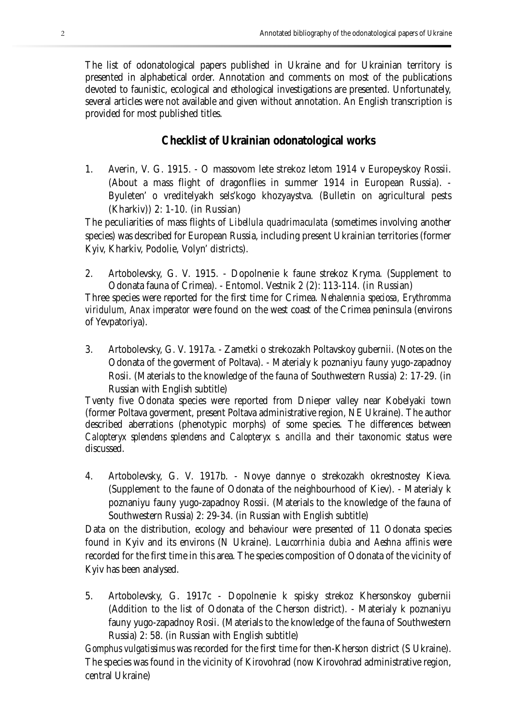The list of odonatological papers published in Ukraine and for Ukrainian territory is presented in alphabetical order. Annotation and comments on most of the publications devoted to faunistic, ecological and ethological investigations are presented. Unfortunately, several articles were not available and given without annotation. An English transcription is provided for most published titles.

# **Checklist of Ukrainian odonatological works**

1. Averin, V. G. 1915. - O massovom lete strekoz letom 1914 v Europeyskoy Rossii. (About a mass flight of dragonflies in summer 1914 in European Russia). - Byuleten' o vreditelyakh sels'kogo khozyaystva. (Bulletin on agricultural pests (Kharkiv)) 2: 1-10. (in Russian)

The peculiarities of mass flights of *Libellula quadrimaculata* (sometimes involving another species) was described for European Russia, including present Ukrainian territories (former Kyiv, Kharkiv, Podolie, Volyn' districts).

2. Artobolevsky, G. V. 1915. - Dopolnenie k faune strekoz Kryma. (Supplement to Odonata fauna of Crimea). - Entomol. Vestnik 2 (2): 113-114. (in Russian)

Three species were reported for the first time for Crimea. *Nehalennia speciosa, Erythromma viridulum, Anax imperator* were found on the west coast of the Crimea peninsula (environs of Yevpatoriya).

3. Artobolevsky, G. V. 1917a. - Zametki o strekozakh Poltavskoy gubernii. (Notes on the Odonata of the goverment of Poltava). - Materialy k poznaniyu fauny yugo-zapadnoy Rosii. (Materials to the knowledge of the fauna of Southwestern Russia) 2: 17-29. (in Russian with English subtitle)

Tventy five Odonata species were reported from Dnieper valley near Kobelyaki town (former Poltava goverment, present Poltava administrative region, NE Ukraine). The author described aberrations (phenotypic morphs) of some species. The differences between *Calopteryx splendens splendens* and *Calopteryx s. ancilla* and their taxonomic status were discussed.

4. Artobolevsky, G. V. 1917b. - Novye dannye o strekozakh okrestnostey Kieva. (Supplement to the faune of Odonata of the neighbourhood of Kiev). - Materialy k poznaniyu fauny yugo-zapadnoy Rossii. (Materials to the knowledge of the fauna of Southwestern Russia) 2: 29-34. (in Russian with English subtitle)

Data on the distribution, ecology and behaviour were presented of 11 Odonata species found in Kyiv and its environs (N Ukraine). *Leucorrhinia dubia* and *Aeshna affinis* were recorded for the first time in this area. The species composition of Odonata of the vicinity of Kyiv has been analysed.

5. Artobolevsky, G. 1917c - Dopolnenie k spisky strekoz Khersonskoy gubernii (Addition to the list of Odonata of the Cherson district). - Materialy k poznaniyu fauny yugo-zapadnoy Rosii. (Materials to the knowledge of the fauna of Southwestern Russia) 2: 58. (in Russian with English subtitle)

*Gomphus vulgatissimus* was recorded for the first time for then-Kherson district (S Ukraine). The species was found in the vicinity of Kirovohrad (now Kirovohrad administrative region, central Ukraine)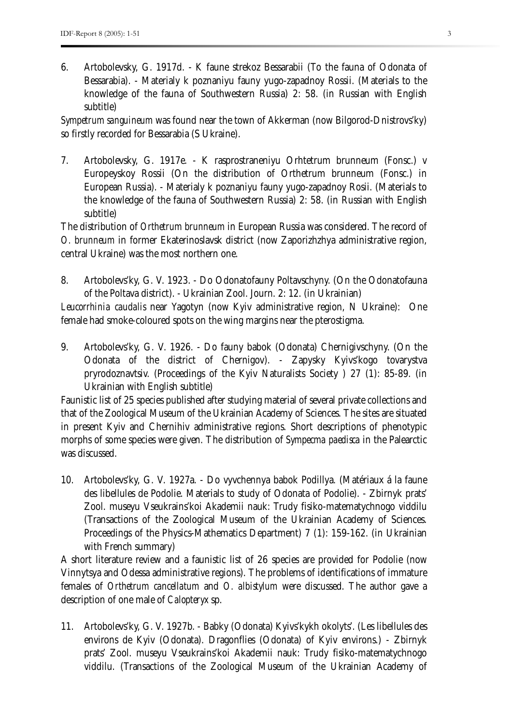6. Artobolevsky, G. 1917d. - K faune strekoz Bessarabii (To the fauna of Odonata of Bessarabia). - Materialy k poznaniyu fauny yugo-zapadnoy Rossii. (Materials to the knowledge of the fauna of Southwestern Russia) 2: 58. (in Russian with English subtitle)

*Sympetrum sanguineum* was found near the town of Akkerman (now Bilgorod-Dnistrovs'ky) so firstly recorded for Bessarabia (S Ukraine).

7. Artobolevsky, G. 1917e. - K rasprostraneniyu Orhtetrum brunneum (Fonsc.) v Europeyskoy Rossii (On the distribution of Orthetrum brunneum (Fonsc.) in European Russia). - Materialy k poznaniyu fauny yugo-zapadnoy Rosii. (Materials to the knowledge of the fauna of Southwestern Russia) 2: 58. (in Russian with English subtitle)

The distribution of *Orthetrum brunneum* in European Russia was considered. The record of *O. brunneum* in former Ekaterinoslavsk district (now Zaporizhzhya administrative region, central Ukraine) was the most northern one.

- 8. Artobolevs'ky, G. V. 1923. Do Odonatofauny Poltavschyny. (On the Odonatofauna of the Poltava district). - Ukrainian Zool. Journ. 2: 12. (in Ukrainian) *Leucorrhinia caudalis* near Yagotyn (now Kyiv administrative region, N Ukraine): One female had smoke-coloured spots on the wing margins near the pterostigma.
- 9. Artobolevs'ky, G. V. 1926. Do fauny babok (Odonata) Chernigivschyny. (On the Odonata of the district of Chernigov). - Zapysky Kyivs'kogo tovarystva pryrodoznavtsiv. (Proceedings of the Kyiv Naturalists Society ) 27 (1): 85-89. (in Ukrainian with English subtitle)

Faunistic list of 25 species published after studying material of several private collections and that of the Zoological Museum of the Ukrainian Academy of Sciences. The sites are situated in present Kyiv and Chernihiv administrative regions. Short descriptions of phenotypic morphs of some species were given. The distribution of *Sympecma paedisca* in the Palearctic was discussed.

10. Artobolevs'ky, G. V. 1927a. - Do vyvchennya babok Podillya. (Matériaux á la faune des libellules de Podolie. Materials to study of Odonata of Podolie). - Zbirnyk prats' Zool. museyu Vseukrains'koi Akademii nauk: Trudy fisiko-matematychnogo viddilu (Transactions of the Zoological Museum of the Ukrainian Academy of Sciences. Proceedings of the Physics-Mathematics Department) 7 (1): 159-162. (in Ukrainian with French summary)

A short literature review and a faunistic list of 26 species are provided for Podolie (now Vinnytsya and Odessa administrative regions). The problems of identifications of immature females of *Orthetrum cancellatum* and *O. albistylum* were discussed. The author gave a description of one male of *Calopteryx* sp.

11. Artobolevs'ky, G. V. 1927b. - Babky (Odonata) Kyivs'kykh okolyts'. (Les libellules des environs de Kyiv (Odonata). Dragonflies (Odonata) of Kyiv environs.) - Zbirnyk prats' Zool. museyu Vseukrains'koi Akademii nauk: Trudy fisiko-matematychnogo viddilu. (Transactions of the Zoological Museum of the Ukrainian Academy of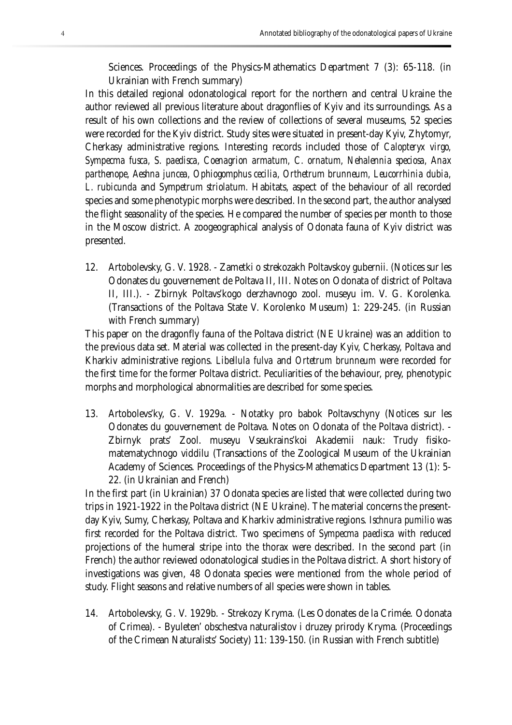Sciences. Proceedings of the Physics-Mathematics Department 7 (3): 65-118. (in Ukrainian with French summary)

In this detailed regional odonatological report for the northern and central Ukraine the author reviewed all previous literature about dragonflies of Kyiv and its surroundings. As a result of his own collections and the review of collections of several museums, 52 species were recorded for the Kyiv district. Study sites were situated in present-day Kyiv, Zhytomyr, Cherkasy administrative regions. Interesting records included those of *Calopteryx virgo, Sympecma fusca, S. paedisca, Coenagrion armatum, C. ornatum, Nehalennia speciosa, Anax parthenope, Aeshna juncea, Ophiogomphus cecilia, Orthetrum brunneum, Leucorrhinia dubia, L. rubicunda* and *Sympetrum striolatum.* Habitats, aspect of the behaviour of all recorded species and some phenotypic morphs were described. In the second part, the author analysed the flight seasonality of the species. He compared the number of species per month to those in the Moscow district. A zoogeographical analysis of Odonata fauna of Kyiv district was presented.

12. Artobolevsky, G. V. 1928. - Zametki o strekozakh Poltavskoy gubernii. (Notices sur les Odonates du gouvernement de Poltava II, III. Notes on Odonata of district of Poltava II, III.). - Zbirnyk Poltavs'kogo derzhavnogo zool. museyu im. V. G. Korolenka. (Transactions of the Poltava State V. Korolenko Museum) 1: 229-245. (in Russian with French summary)

This paper on the dragonfly fauna of the Poltava district (NE Ukraine) was an addition to the previous data set. Material was collected in the present-day Kyiv, Cherkasy, Poltava and Kharkiv administrative regions. *Libellula fulva* and *Ortetrum brunneum* were recorded for the first time for the former Poltava district. Peculiarities of the behaviour, prey, phenotypic morphs and morphological abnormalities are described for some species.

13. Artobolevs'ky, G. V. 1929a. - Notatky pro babok Poltavschyny (Notices sur les Odonates du gouvernement de Poltava. Notes on Odonata of the Poltava district). - Zbirnyk prats' Zool. museyu Vseukrains'koi Akademii nauk: Trudy fisikomatematychnogo viddilu (Transactions of the Zoological Museum of the Ukrainian Academy of Sciences. Proceedings of the Physics-Mathematics Department 13 (1): 5- 22. (in Ukrainian and French)

In the first part (in Ukrainian) 37 Odonata species are listed that were collected during two trips in 1921-1922 in the Poltava district (NE Ukraine). The material concerns the presentday Kyiv, Sumy, Cherkasy, Poltava and Kharkiv administrative regions. *Ischnura pumilio* was first recorded for the Poltava district. Two specimens of *Sympecma paedisca* with reduced projections of the humeral stripe into the thorax were described. In the second part (in French) the author reviewed odonatological studies in the Poltava district. A short history of investigations was given, 48 Odonata species were mentioned from the whole period of study. Flight seasons and relative numbers of all species were shown in tables.

14. Artobolevsky, G. V. 1929b. - Strekozy Kryma. (Les Odonates de la Crimée. Odonata of Crimea). - Byuleten' obschestva naturalistov i druzey prirody Kryma. (Proceedings of the Crimean Naturalists' Society) 11: 139-150. (in Russian with French subtitle)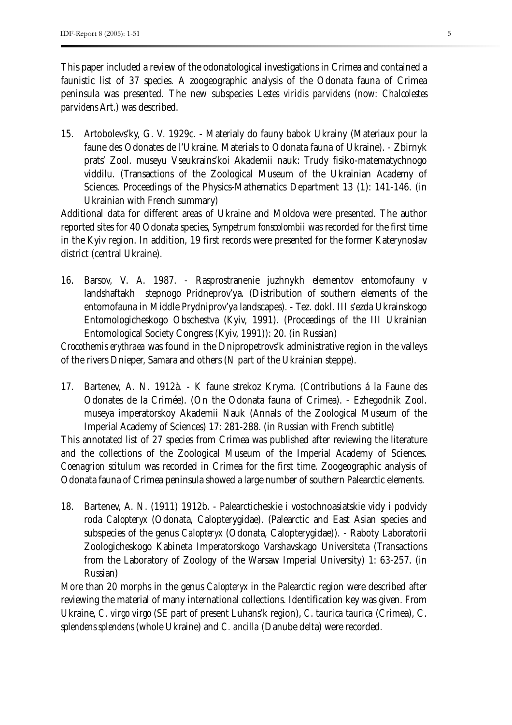This paper included a review of the odonatological investigations in Crimea and contained a faunistic list of 37 species. A zoogeographic analysis of the Odonata fauna of Crimea peninsula was presented. The new subspecies *Lestes viridis parvidens* (now: *Chalcolestes parvidens* Art.) was described.

15. Artobolevs'ky, G. V. 1929c. - Materialy do fauny babok Ukrainy (Materiaux pour la faune des Odonates de l'Ukraine. Materials to Odonata fauna of Ukraine). - Zbirnyk prats' Zool. museyu Vseukrains'koi Akademii nauk: Trudy fisiko-matematychnogo viddilu. (Transactions of the Zoological Museum of the Ukrainian Academy of Sciences. Proceedings of the Physics-Mathematics Department 13 (1): 141-146. (in Ukrainian with French summary)

Additional data for different areas of Ukraine and Moldova were presented. The author reported sites for 40 Odonata species, *Sympetrum fonscolombii* was recorded for the first time in the Kyiv region. In addition, 19 first records were presented for the former Katerynoslav district (central Ukraine).

16. Barsov, V. A. 1987. - Rasprostranenie juzhnykh elementov entomofauny v landshaftakh stepnogo Pridneprov'ya. (Distribution of southern elements of the entomofauna in Middle Prydniprov'ya landscapes). - Tez. dokl. III s'ezda Ukrainskogo Entomologicheskogo Obschestva (Kyiv, 1991). (Proceedings of the III Ukrainian Entomological Society Congress (Kyiv, 1991)): 20. (in Russian)

*Crocothemis erythraea* was found in the Dnipropetrovs'k administrative region in the valleys of the rivers Dnieper, Samara and others (N part of the Ukrainian steppe).

17. Bartenev, A. N. 1912à. - K faune strekoz Kryma. (Contributions á la Faune des Odonates de la Crimée). (On the Odonata fauna of Crimea). - Ezhegodnik Zool. museya imperatorskoy Akademii Nauk (Annals of the Zoological Museum of the Imperial Academy of Sciences) 17: 281-288. (in Russian with French subtitle)

This annotated list of 27 species from Crimea was published after reviewing the literature and the collections of the Zoological Museum of the Imperial Academy of Sciences. *Coenagrion scitulum* was recorded in Crimea for the first time. Zoogeographic analysis of Odonata fauna of Crimea peninsula showed a large number of southern Palearctic elements.

18. Bartenev, A. N. (1911) 1912b. - Palearcticheskie i vostochnoasiatskie vidy i podvidy roda *Calopteryx* (Odonata, Calopterygidae). (Palearctic and East Asian species and subspecies of the genus *Calopteryx* (Odonata, Calopterygidae)). - Raboty Laboratorii Zoologicheskogo Kabineta Imperatorskogo Varshavskago Universiteta (Transactions from the Laboratory of Zoology of the Warsaw Imperial University) 1: 63-257. (in Russian)

More than 20 morphs in the genus *Calopteryx* in the Palearctic region were described after reviewing the material of many international collections. Identification key was given. From Ukraine, *C. virgo virgo* (SE part of present Luhans'k region), *C. taurica taurica* (Crimea), C. *splendens splendens* (whole Ukraine) and *C. ancilla* (Danube delta) were recorded.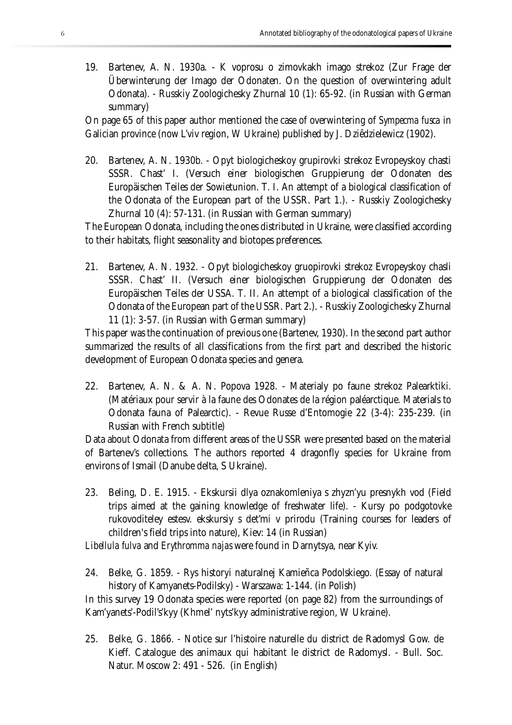19. Bartenev, A. N. 1930a. - K voprosu o zimovkakh imago strekoz (Zur Frage der Überwinterung der Imago der Odonaten. On the question of overwintering adult Odonata). - Russkiy Zoologichesky Zhurnal 10 (1): 65-92. (in Russian with German summary)

On page 65 of this paper author mentioned the case of overwintering of *Sympecma fusca* in Galician province (now L'viv region, W Ukraine) published by J. Dziêdzielewicz (1902).

20. Bartenev, A. N. 1930b. - Opyt biologicheskoy grupirovki strekoz Evropeyskoy chasti SSSR. Chast' I. (Versuch einer biologischen Gruppierung der Odonaten des Europäischen Teiles der Sowietunion. T. I. An attempt of a biological classification of the Odonata of the European part of the USSR. Part 1.). - Russkiy Zoologichesky Zhurnal 10 (4): 57-131. (in Russian with German summary)

The European Odonata, including the ones distributed in Ukraine, were classified according to their habitats, flight seasonality and biotopes preferences.

21. Bartenev, A. N. 1932. - Opyt biologicheskoy gruopirovki strekoz Evropeyskoy chasli SSSR. Chast' II. (Versuch einer biologischen Gruppierung der Odonaten des Europäischen Teiles der USSA. T. II. An attempt of a biological classification of the Odonata of the European part of the USSR. Part 2.). - Russkiy Zoologichesky Zhurnal 11 (1): 3-57. (in Russian with German summary)

This paper was the continuation of previous one (Bartenev, 1930). In the second part author summarized the results of all classifications from the first part and described the historic development of European Odonata species and genera.

22. Bartenev, A. N. & A. N. Popova 1928. - Materialy po faune strekoz Palearktiki. (Matériaux pour servir à la faune des Odonates de la région paléarctique. Materials to Odonata fauna of Palearctic). - Revue Russe d'Entomogie 22 (3-4): 235-239. (in Russian with French subtitle)

Data about Odonata from different areas of the USSR were presented based on the material of Bartenev's collections. The authors reported 4 dragonfly species for Ukraine from environs of Ismail (Danube delta, S Ukraine).

23. Beling, D. E. 1915. - Ekskursii dlya oznakomleniya s zhyzn'yu presnykh vod (Field trips aimed at the gaining knowledge of freshwater life). - Kursy po podgotovke rukovoditeley estesv. ekskursiy s det'mi v prirodu (Training courses for leaders of children's field trips into nature), Kiev: 14 (in Russian)

*Libellula fulva* and *Erythromma najas* were found in Darnytsya, near Kyiv.

24. Belke, G. 1859. - Rys historyi naturalnej Kamieñca Podolskiego. (Essay of natural history of Kamyanets-Podilsky) - Warszawa: 1-144. (in Polish)

In this survey 19 Odonata species were reported (on page 82) from the surroundings of Kam'yanets'-Podil's'kyy (Khmel' nyts'kyy administrative region, W Ukraine).

25. Belke, G. 1866. - Notice sur l'histoire naturelle du district de Radomysl Gow. de Kieff. Catalogue des animaux qui habitant le district de Radomysl. - Bull. Soc. Natur. Moscow 2: 491 - 526. (in English)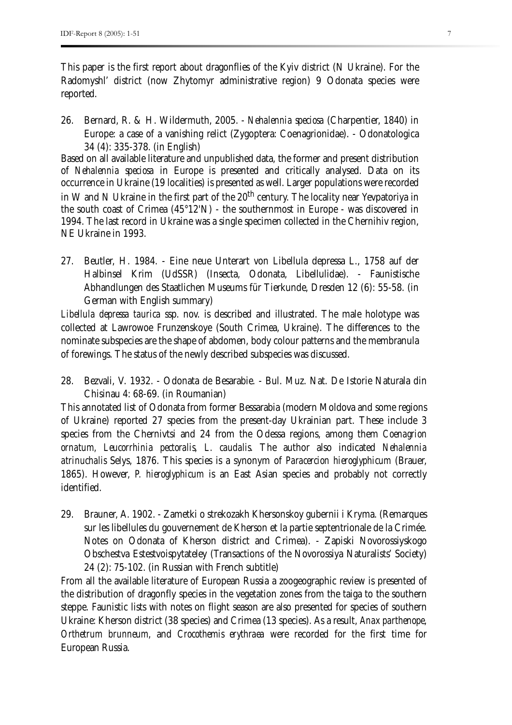This paper is the first report about dragonflies of the Kyiv district (N Ukraine). For the Radomyshl' district (now Zhytomyr administrative region) 9 Odonata species were reported.

26. Bernard, R. & H. Wildermuth, 2005. - *Nehalennia speciosa* (Charpentier, 1840) in Europe: a case of a vanishing relict (Zygoptera: Coenagrionidae). - Odonatologica 34 (4): 335-378. (in English)

Based on all available literature and unpublished data, the former and present distribution of *Nehalennia speciosa* in Europe is presented and critically analysed. Data on its occurrence in Ukraine (19 localities) is presented as well. Larger populations were recorded in W and N Ukraine in the first part of the  $20<sup>th</sup>$  century. The locality near Yevpatoriya in the south coast of Crimea (45°12'N) - the southernmost in Europe - was discovered in 1994. The last record in Ukraine was a single specimen collected in the Chernihiv region, NE Ukraine in 1993.

27. Beutler, H. 1984. - Eine neue Unterart von Libellula depressa L., 1758 auf der Halbinsel Krim (UdSSR) (Insecta, Odonata, Libellulidae). - Faunistische Abhandlungen des Staatlichen Museums für Tierkunde, Dresden 12 (6): 55-58. (in German with English summary)

*Libellula depressa taurica* ssp. nov. is described and illustrated. The male holotype was collected at Lawrowoe Frunzenskoye (South Crimea, Ukraine). The differences to the nominate subspecies are the shape of abdomen, body colour patterns and the membranula of forewings. The status of the newly described subspecies was discussed.

28. Bezvali, V. 1932. - Odonata de Besarabie. - Bul. Muz. Nat. De Istorie Naturala din Chisinau 4: 68-69. (in Roumanian)

This annotated list of Odonata from former Bessarabia (modern Moldova and some regions of Ukraine) reported 27 species from the present-day Ukrainian part. These include 3 species from the Chernivtsi and 24 from the Odessa regions, among them *Coenagrion ornatum, Leucorrhinia pectoralis, L. caudalis.* The author also indicated *Nehalennia atrinuchalis* Selys, 1876. This species is a synonym of *Paracercion hieroglyphicum* (Brauer, 1865). However, *P. hieroglyphicum* is an East Asian species and probably not correctly identified.

29. Brauner, A. 1902. - Zametki o strekozakh Khersonskoy gubernii i Kryma. (Remarques sur les libellules du gouvernement de Kherson et la partie septentrionale de la Crimée. Notes on Odonata of Kherson district and Crimea). - Zapiski Novorossiyskogo Obschestva Estestvoispytateley (Transactions of the Novorossiya Naturalists' Society) 24 (2): 75-102. (in Russian with French subtitle)

From all the available literature of European Russia a zoogeographic review is presented of the distribution of dragonfly species in the vegetation zones from the taiga to the southern steppe. Faunistic lists with notes on flight season are also presented for species of southern Ukraine: Kherson district (38 species) and Crimea (13 species). As a result, *Anax parthenope*, *Orthetrum brunneum*, and *Crocothemis erythraea* were recorded for the first time for European Russia.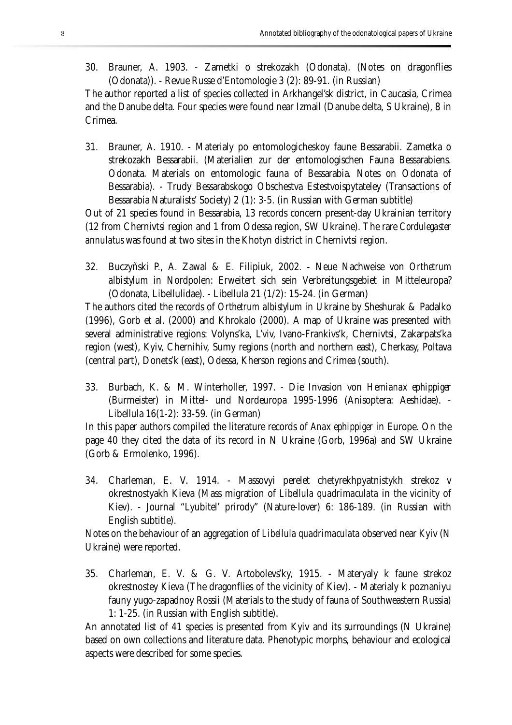30. Brauner, A. 1903. - Zametki o strekozakh (Odonata). (Notes on dragonflies (Odonata)). - Revue Russe d'Entomologie 3 (2): 89-91. (in Russian)

The author reported a list of species collected in Arkhangel'sk district, in Caucasia, Crimea and the Danube delta. Four species were found near Izmail (Danube delta, S Ukraine), 8 in Crimea.

31. Brauner, A. 1910. - Materialy po entomologicheskoy faune Bessarabii. Zametka o strekozakh Bessarabii. (Materialien zur der entomologischen Fauna Bessarabiens. Odonata. Materials on entomologic fauna of Bessarabia. Notes on Odonata of Bessarabia). - Trudy Bessarabskogo Obschestva Estestvoispytateley (Transactions of Bessarabia Naturalists' Society) 2 (1): 3-5. (in Russian with German subtitle)

Out of 21 species found in Bessarabia, 13 records concern present-day Ukrainian territory (12 from Chernivtsi region and 1 from Odessa region, SW Ukraine). The rare *Cordulegaster annulatus* was found at two sites in the Khotyn district in Chernivtsi region.

32. Buczyñski P., A. Zawal & E. Filipiuk, 2002. - Neue Nachweise von *Orthetrum albistylum* in Nordpolen: Erweitert sich sein Verbreitungsgebiet in Mitteleuropa? (Odonata, Libellulidae). - Libellula 21 (1/2): 15-24. (in German)

The authors cited the records of *Orthetrum albistylum* in Ukraine by Sheshurak & Padalko (1996), Gorb et al. (2000) and Khrokalo (2000). A map of Ukraine was presented with several administrative regions: Volyns'ka, L'viv, Ivano-Frankivs'k, Chernivtsi, Zakarpats'ka region (west), Kyiv, Chernihiv, Sumy regions (north and northern east), Cherkasy, Poltava (central part), Donets'k (east), Odessa, Kherson regions and Crimea (south).

33. Burbach, K. & M. Winterholler, 1997. - Die Invasion von *Hemianax ephippiger*  (Burmeister) in Mittel- und Nordeuropa 1995-1996 (Anisoptera: Aeshidae). - Libellula 16(1-2): 33-59. (in German)

In this paper authors compiled the literature records of *Anax ephippiger* in Europe. On the page 40 they cited the data of its record in N Ukraine (Gorb, 1996a) and SW Ukraine (Gorb & Ermolenko, 1996).

34. Charleman, E. V. 1914. - Massovyi perelet chetyrekhpyatnistykh strekoz v okrestnostyakh Kieva (Mass migration of *Libellula quadrimaculata* in the vicinity of Kiev). - Journal "Lyubitel' prirody" (Nature-lover) 6: 186-189. (in Russian with English subtitle).

Notes on the behaviour of an aggregation of *Libellula quadrimaculata* observed near Kyiv (N Ukraine) were reported.

35. Charleman, E. V. & G. V. Artobolevs'ky, 1915. - Materyaly k faune strekoz okrestnostey Kieva (The dragonflies of the vicinity of Kiev). - Materialy k poznaniyu fauny yugo-zapadnoy Rossii (Materials to the study of fauna of Southweastern Russia) 1: 1-25. (in Russian with English subtitle).

An annotated list of 41 species is presented from Kyiv and its surroundings (N Ukraine) based on own collections and literature data. Phenotypic morphs, behaviour and ecological aspects were described for some species.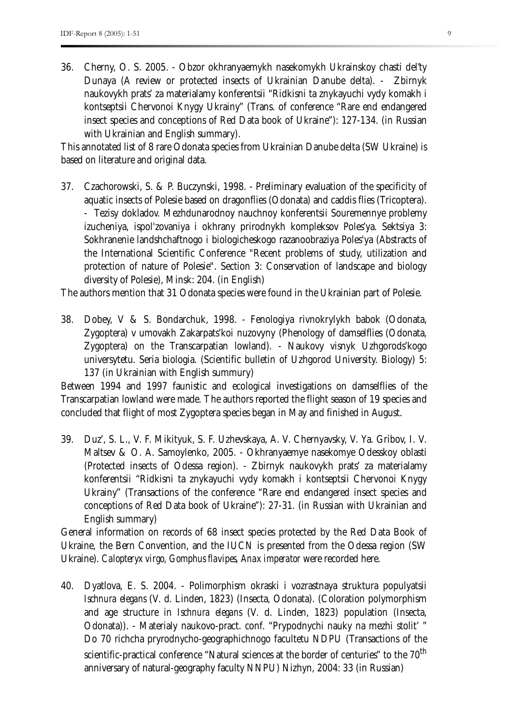36. Cherny, O. S. 2005. - Obzor okhranyaemykh nasekomykh Ukrainskoy chasti del'ty Dunaya (A review or protected insects of Ukrainian Danube delta). - Zbirnyk naukovykh prats' za materialamy konferentsii "Ridkisni ta znykayuchi vydy komakh i kontseptsii Chervonoi Knygy Ukrainy" (Trans. of conference "Rare end endangered insect species and conceptions of Red Data book of Ukraine"): 127-134. (in Russian with Ukrainian and English summary).

This annotated list of 8 rare Odonata species from Ukrainian Danube delta (SW Ukraine) is based on literature and original data.

37. Czachorowski, S. & P. Buczynski, 1998. - Preliminary evaluation of the specificity of aquatic insects of Polesie based on dragonflies (Odonata) and caddis flies (Tricoptera). - Tezisy dokladov. Mezhdunarodnoy nauchnoy konferentsii Souremennye problemy izucheniya, ispol'zovaniya i okhrany prirodnykh kompleksov Poles'ya. Sektsiya 3: Sokhranenie landshchaftnogo i biologicheskogo razanoobraziya Poles'ya (Abstracts of the International Scientific Conference "Recent problems of study, utilization and protection of nature of Polesie". Section 3: Conservation of landscape and biology diversity of Polesie), Minsk: 204. (in English)

The authors mention that 31 Odonata species were found in the Ukrainian part of Polesie.

38. Dobey, V & S. Bondarchuk, 1998. - Fenologiya rivnokrylykh babok (Odonata, Zygoptera) v umovakh Zakarpats'koi nuzovyny (Phenology of damselflies (Odonata, Zygoptera) on the Transcarpatian lowland). - Naukovy visnyk Uzhgorods'kogo universytetu. Seria biologia. (Scientific bulletin of Uzhgorod University. Biology) 5: 137 (in Ukrainian with English summury)

Between 1994 and 1997 faunistic and ecological investigations on damselflies of the Transcarpatian lowland were made. The authors reported the flight season of 19 species and concluded that flight of most Zygoptera species began in May and finished in August.

39. Duz', S. L., V. F. Mikityuk, S. F. Uzhevskaya, A. V. Chernyavsky, V. Ya. Gribov, I. V. Maltsev & O. A. Samoylenko, 2005. - Okhranyaemye nasekomye Odesskoy oblasti (Protected insects of Odessa region). - Zbirnyk naukovykh prats' za materialamy konferentsii "Ridkisni ta znykayuchi vydy komakh i kontseptsii Chervonoi Knygy Ukrainy" (Transactions of the conference "Rare end endangered insect species and conceptions of Red Data book of Ukraine"): 27-31. (in Russian with Ukrainian and English summary)

General information on records of 68 insect species protected by the Red Data Book of Ukraine, the Bern Convention, and the IUCN is presented from the Odessa region (SW Ukraine). *Calopteryx virgo, Gomphus flavipes, Anax imperator* were recorded here.

40. Dyatlova, E. S. 2004. - Polimorphism okraski i vozrastnaya struktura populyatsii *Ischnura elegans* (V. d. Linden, 1823) (Insecta, Odonata). (Coloration polymorphism and age structure in *Ischnura elegans* (V. d. Linden, 1823) population (Insecta, Odonata)). - Materialy naukovo-pract. conf. "Prypodnychi nauky na mezhi stolit' " Do 70 richcha pryrodnycho-geographichnogo facultetu NDPU (Transactions of the scientific-practical conference "Natural sciences at the border of centuries" to the 70<sup>th</sup> anniversary of natural-geography faculty NNPU) Nizhyn, 2004: 33 (in Russian)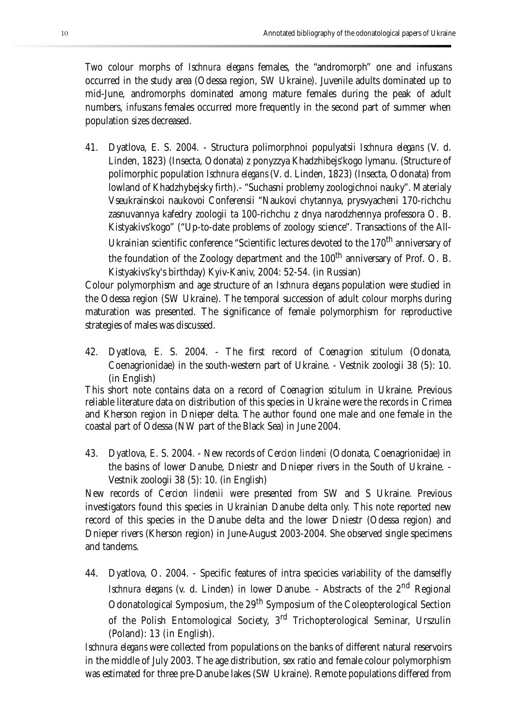Two colour morphs of *Ischnura elegans* females, the "andromorph" one and *infuscans* occurred in the study area (Odessa region, SW Ukraine). Juvenile adults dominated up to mid-June, andromorphs dominated among mature females during the peak of adult numbers, *infuscans* females occurred more frequently in the second part of summer when population sizes decreased.

41. Dyatlova, E. S. 2004. - Structura polimorphnoi populyatsii *Ischnura elegans* (V. d. Linden, 1823) (Insecta, Odonata) z ponyzzya Khadzhibejs'kogo lymanu. (Structure of polimorphic population *Ischnura elegans* (V. d. Linden, 1823) (Insecta, Odonata) from lowland of Khadzhybejsky firth).- "Suchasni problemy zoologichnoi nauky". Materialy Vseukrainskoi naukovoi Conferensii "Naukovi chytannya, prysvyacheni 170-richchu zasnuvannya kafedry zoologii ta 100-richchu z dnya narodzhennya professora O. B. Kistyakivs'kogo" ("Up-to-date problems of zoology science". Transactions of the All-Ukrainian scientific conference "Scientific lectures devoted to the 170<sup>th</sup> anniversary of the foundation of the Zoology department and the 100<sup>th</sup> anniversary of Prof. O. B. Kistyakivs'ky's birthday) Kyiv-Kaniv, 2004: 52-54. (in Russian)

Colour polymorphism and age structure of an *Ischnura elegans* population were studied in the Odessa region (SW Ukraine). The temporal succession of adult colour morphs during maturation was presented. The significance of female polymorphism for reproductive strategies of males was discussed.

42. Dyatlova, E. S. 2004. - The first record of *Coenagrion scitulum* (Odonata, Coenagrionidae) in the south-western part of Ukraine. - Vestnik zoologii 38 (5): 10. (in English)

This short note contains data on a record of *Coenagrion scitulum* in Ukraine. Previous reliable literature data on distribution of this species in Ukraine were the records in Crimea and Kherson region in Dnieper delta. The author found one male and one female in the coastal part of Odessa (NW part of the Black Sea) in June 2004.

43. Dyatlova, E. S. 2004. - New records of *Cercion lindeni* (Odonata, Coenagrionidae) in the basins of lower Danube, Dniestr and Dnieper rivers in the South of Ukraine. - Vestnik zoologii 38 (5): 10. (in English)

New records of *Cercion lindenii* were presented from SW and S Ukraine. Previous investigators found this species in Ukrainian Danube delta only. This note reported new record of this species in the Danube delta and the lower Dniestr (Odessa region) and Dnieper rivers (Kherson region) in June-August 2003-2004. She observed single specimens and tandems.

44. Dyatlova, O. 2004. - Specific features of intra specicies variability of the damselfly *Ischnura elegans* (v. d. Linden) in lower Danube. - Abstracts of the 2<sup>nd</sup> Regional Odonatological Symposium, the 29th Symposium of the Coleopterological Section of the Polish Entomological Society, 3<sup>rd</sup> Trichopterological Seminar, Urszulin (Poland): 13 (in English).

*Ischnura elegans* were collected from populations on the banks of different natural reservoirs in the middle of July 2003. The age distribution, sex ratio and female colour polymorphism was estimated for three pre-Danube lakes (SW Ukraine). Remote populations differed from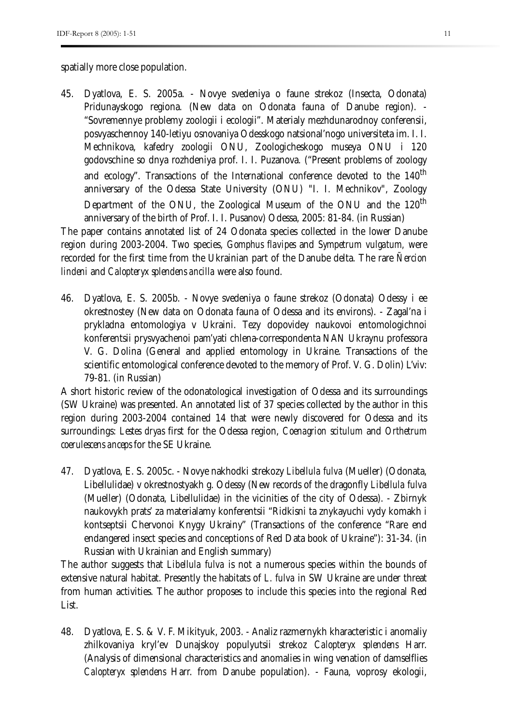spatially more close population.

45. Dyatlova, E. S. 2005a. - Novye svedeniya o faune strekoz (Insecta, Odonata) Pridunayskogo regiona. (New data on Odonata fauna of Danube region). - "Sovremennye problemy zoologii i ecologii". Materialy mezhdunarodnoy conferensii, posvyaschennoy 140-letiyu osnovaniya Odesskogo natsional'nogo universiteta im. I. I. Mechnikova, kafedry zoologii ONU, Zoologicheskogo museya ONU i 120 godovschine so dnya rozhdeniya prof. I. I. Puzanova. ("Present problems of zoology and ecology". Transactions of the International conference devoted to the 140<sup>th</sup> anniversary of the Odessa State University (ONU) "I. I. Mechnikov", Zoology Department of the ONU, the Zoological Museum of the ONU and the 120<sup>th</sup> anniversary of the birth of Prof. I. I. Pusanov) Odessa, 2005: 81-84. (in Russian)

The paper contains annotated list of 24 Odonata species collected in the lower Danube region during 2003-2004. Two species, *Gomphus flavipes* and *Sympetrum vulgatum,* were recorded for the first time from the Ukrainian part of the Danube delta. The rare *Ñercion lindeni* and *Calopteryx splendens ancilla* were also found.

46. Dyatlova, E. S. 2005b. - Novye svedeniya o faune strekoz (Odonata) Odessy i ee okrestnostey (New data on Odonata fauna of Odessa and its environs). - Zagal'na i prykladna entomologiya v Ukraini. Tezy dopovidey naukovoi entomologichnoi konferentsii prysvyachenoi pam'yati chlena-correspondenta NAN Ukraynu professora V. G. Dolina (General and applied entomology in Ukraine. Transactions of the scientific entomological conference devoted to the memory of Prof. V. G. Dolin) L'viv: 79-81. (in Russian)

A short historic review of the odonatological investigation of Odessa and its surroundings (SW Ukraine) was presented. An annotated list of 37 species collected by the author in this region during 2003-2004 contained 14 that were newly discovered for Odessa and its surroundings: *Lestes dryas* first for the Odessa region, *Coenagrion scitulum* and *Orthetrum coerulescens anceps* for the SE Ukraine.

47. Dyatlova, E. S. 2005c. - Novye nakhodki strekozy *Libellula fulva* (Mueller) (Odonata, Libellulidae) v okrestnostyakh g. Odessy (New records of the dragonfly *Libellula fulva*  (Mueller) (Odonata, Libellulidae) in the vicinities of the city of Odessa). - Zbirnyk naukovykh prats' za materialamy konferentsii "Ridkisni ta znykayuchi vydy komakh i kontseptsii Chervonoi Knygy Ukrainy" (Transactions of the conference "Rare end endangered insect species and conceptions of Red Data book of Ukraine"): 31-34. (in Russian with Ukrainian and English summary)

The author suggests that *Libellula fulva* is not a numerous species within the bounds of extensive natural habitat. Presently the habitats of *L. fulva* in SW Ukraine are under threat from human activities. The author proposes to include this species into the regional Red List.

48. Dyatlova, E. S. & V. F. Mikityuk, 2003. - Analiz razmernykh kharacteristic i anomaliy zhilkovaniya kryl'ev Dunajskoy populyutsii strekoz *Calopteryx splendens* Harr. (Analysis of dimensional characteristics and anomalies in wing venation of damselflies *Calopteryx splendens* Harr. from Danube population). - Fauna, voprosy ekologii,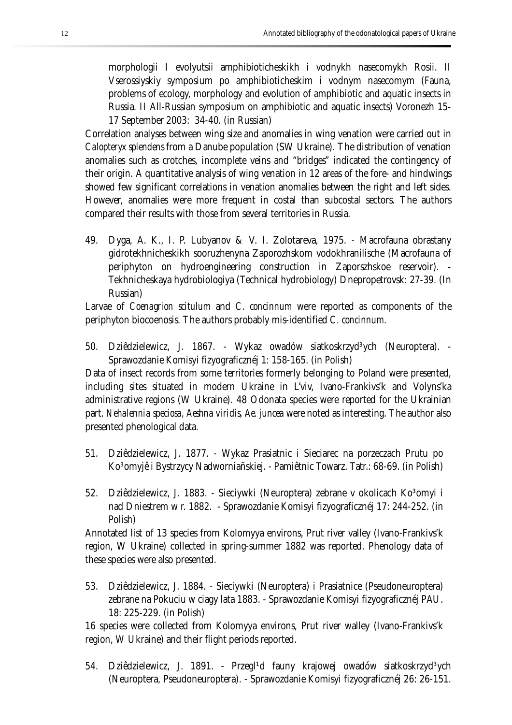morphologii I evolyutsii amphibioticheskikh i vodnykh nasecomykh Rosii. II Vserossiyskiy symposium po amphibioticheskim i vodnym nasecomym (Fauna, problems of ecology, morphology and evolution of amphibiotic and aquatic insects in Russia. II All-Russian symposium on amphibiotic and aquatic insects) Voronezh 15- 17 September 2003: 34-40. (in Russian)

Correlation analyses between wing size and anomalies in wing venation were carried out in *Calopteryx splendens* from a Danube population (SW Ukraine). The distribution of venation anomalies such as crotches, incomplete veins and "bridges" indicated the contingency of their origin. A quantitative analysis of wing venation in 12 areas of the fore- and hindwings showed few significant correlations in venation anomalies between the right and left sides. However, anomalies were more frequent in costal than subcostal sectors. The authors compared their results with those from several territories in Russia.

49. Dyga, A. K., I. P. Lubyanov & V. I. Zolotareva, 1975. - Macrofauna obrastany gidrotekhnicheskikh sooruzhenyna Zaporozhskom vodokhranilische (Macrofauna of periphyton on hydroengineering construction in Zaporszhskoe reservoir). - Tekhnicheskaya hydrobiologiya (Technical hydrobiology) Dnepropetrovsk: 27-39. (In Russian)

Larvae of *Coenagrion scitulum* and *C. concinnum* were reported as components of the periphyton biocoenosis. The authors probably mis-identified *C. concinnum*.

50. Dziêdzielewicz, J. 1867. - Wykaz owadów siatkoskrzyd<sup>3</sup>ych (Neuroptera). -Sprawozdanie Komisyi fizyograficznéj 1: 158-165. (in Polish)

Data of insect records from some territories formerly belonging to Poland were presented, including sites situated in modern Ukraine in L'viv, Ivano-Frankivs'k and Volyns'ka administrative regions (W Ukraine). 48 Odonata species were reported for the Ukrainian part. *Nehalennia speciosa, Aeshna viridis, Ae. juncea* were noted as interesting. The author also presented phenological data.

- 51. Dziêdzielewicz, J. 1877. Wykaz Prasiatnic i Sieciarec na porzeczach Prutu po Ko<sup>3</sup>omyjê i Bystrzycy Nadworniañskiej. - Pamiêtnic Towarz. Tatr.: 68-69. (in Polish)
- 52. Dziêdzielewicz, J. 1883. Sieciywki (Neuroptera) zebrane v okolicach Ko<sup>3</sup>omyi i nad Dniestrem w r. 1882. - Sprawozdanie Komisyi fizyograficznéj 17: 244-252. (in Polish)

Annotated list of 13 species from Kolomyya environs, Prut river valley (Ivano-Frankivs'k region, W Ukraine) collected in spring-summer 1882 was reported. Phenology data of these species were also presented.

53. Dziêdzielewicz, J. 1884. - Sieciywki (Neuroptera) i Prasiatnice (Pseudoneuroptera) zebrane na Pokuciu w ciagy lata 1883. - Sprawozdanie Komisyi fizyograficznéj PAU. 18: 225-229. (in Polish)

16 species were collected from Kolomyya environs, Prut river walley (Ivano-Frankivs'k region, W Ukraine) and their flight periods reported.

54. Dziêdzielewicz, J. 1891. - Przegl<sup>1</sup>d fauny krajowej owadów siatkoskrzyd<sup>3</sup>ych (Neuroptera, Pseudoneuroptera). - Sprawozdanie Komisyi fizyograficznéj 26: 26-151.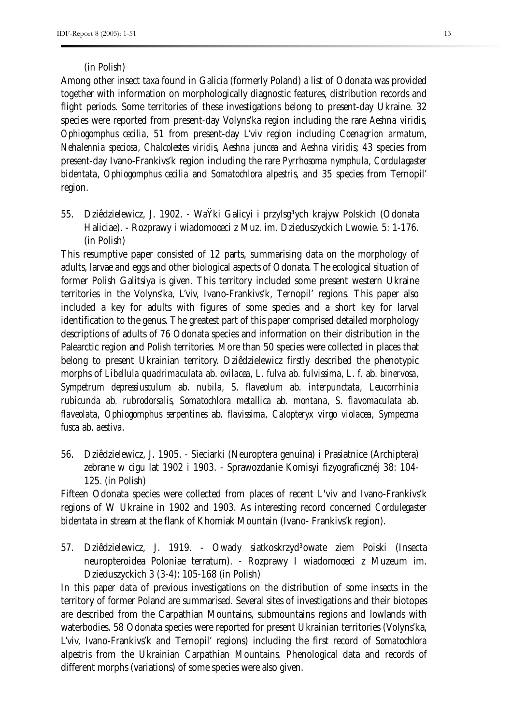#### (in Polish)

Among other insect taxa found in Galicia (formerly Poland) a list of Odonata was provided together with information on morphologically diagnostic features, distribution records and flight periods. Some territories of these investigations belong to present-day Ukraine. 32 species were reported from present-day Volyns'ka region including the rare *Aeshna viridis*, *Ophiogomphus cecilia,* 51 from present-day L'viv region including *Coenagrion armatum*, *Nehalennia speciosa*, *Chalcolestes viridis*, *Aeshna juncea* and *Aeshna viridis*; 43 species from present-day Ivano-Frankivs'k region including the rare *Pyrrhosoma nymphula*, *Cordulagaster bidentata, Ophiogomphus cecilia* and *Somatochlora alpestris,* and 35 species from Ternopil' region.

55. Dziêdzielewicz, J. 1902. - WaŸki Galicyi i przylsg<sup>3</sup>ych krajyw Polskich (Odonata Haliciae). - Rozprawy i wiadomoœci z Muz. im. Dzieduszyckich Lwowie. 5: 1-176. (in Polish)

This resumptive paper consisted of 12 parts, summarising data on the morphology of adults, larvae and eggs and other biological aspects of Odonata. The ecological situation of former Polish Galitsiya is given. This territory included some present western Ukraine territories in the Volyns'ka, L'viv, Ivano-Frankivs'k, Ternopil' regions. This paper also included a key for adults with figures of some species and a short key for larval identification to the genus. The greatest part of this paper comprised detailed morphology descriptions of adults of 76 Odonata species and information on their distribution in the Palearctic region and Polish territories. More than 50 species were collected in places that belong to present Ukrainian territory. Dziêdzielewicz firstly described the phenotypic morphs of *Libellula quadrimaculata* ab. *ovilacea, L. fulva* ab*. fulvissima, L. f.* ab*. binervosa, Sympetrum depressiusculum* ab. *nubila, S. flaveolum* ab*. interpunctata, Leucorrhinia rubicunda* ab*. rubrodorsalis, Somatochlora metallica* ab*. montana, S. flavomaculata* ab*. flaveolata, Ophiogomphus serpentines* ab*. flavissima, Calopteryx virgo violacea, Sympecma fusca* ab. *aestiva*.

56. Dziêdzielewicz, J. 1905. - Sieciarki (Neuroptera genuina) i Prasiatnice (Archiptera) zebrane w cigu lat 1902 i 1903. - Sprawozdanie Komisyi fizyograficznéj 38: 104- 125. (in Polish)

Fifteen Odonata species were collected from places of recent L'viv and Ivano-Frankivs'k regions of W Ukraine in 1902 and 1903. As interesting record concerned *Cordulegaster bidentata* in stream at the flank of Khomiak Mountain (Ivano- Frankivs'k region).

57. Dziêdzielewicz, J. 1919. - Owady siatkoskrzyd<sup>3</sup>owate ziem Poiski (Insecta neuropteroidea Poloniae terratum). - Rozprawy I wiadomoœci z Muzeum im. Dzieduszyckich 3 (3-4): 105-168 (in Polish)

In this paper data of previous investigations on the distribution of some insects in the territory of former Poland are summarised. Several sites of investigations and their biotopes are described from the Carpathian Mountains, submountains regions and lowlands with waterbodies. 58 Odonata species were reported for present Ukrainian territories (Volyns'ka, L'viv, Ivano-Frankivs'k and Ternopil' regions) including the first record of *Somatochlora alpestris* from the Ukrainian Carpathian Mountains. Phenological data and records of different morphs (variations) of some species were also given.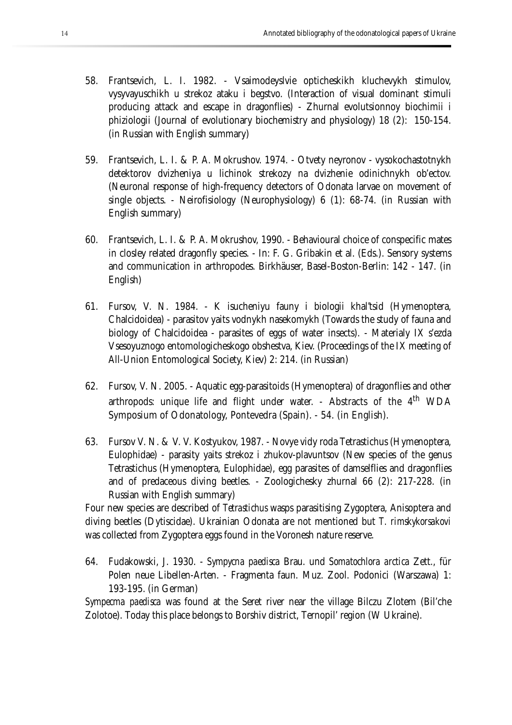- 58. Frantsevich, L. I. 1982. Vsaimodeyslvie opticheskikh kluchevykh stimulov, vysyvayuschikh u strekoz ataku i begstvo. (Interaction of visual dominant stimuli producing attack and escape in dragonflies) - Zhurnal evolutsionnoy biochimii i phiziologii (Journal of evolutionary biochemistry and physiology) 18 (2): 150-154. (in Russian with English summary)
- 59. Frantsevich, L. I. & P. A. Mokrushov. 1974. Otvety neyronov vysokochastotnykh detektorov dvizheniya u lichinok strekozy na dvizhenie odinichnykh ob'ectov. (Neuronal response of high-frequency detectors of Odonata larvae on movement of single objects. - Neirofisiology (Neurophysiology) 6 (1): 68-74. (in Russian with English summary)
- 60. Frantsevich, L. I. & P. A. Mokrushov, 1990. Behavioural choice of conspecific mates in closley related dragonfly species. - In: F. G. Gribakin et al. (Eds.). Sensory systems and communication in arthropodes. Birkhäuser, Basel-Boston-Berlin: 142 - 147. (in English)
- 61. Fursov, V. N. 1984. K isucheniyu fauny i biologii khal'tsid (Hymenoptera, Chalcidoidea) - parasitov yaits vodnykh nasekomykh (Towards the study of fauna and biology of Chalcidoidea - parasites of eggs of water insects). - Materialy IX s'ezda Vsesoyuznogo entomologicheskogo obshestva, Kiev. (Proceedings of the IX meeting of All-Union Entomological Society, Kiev) 2: 214. (in Russian)
- 62. Fursov, V. N. 2005. Aquatic egg-parasitoids (Hymenoptera) of dragonflies and other arthropods: unique life and flight under water. - Abstracts of the  $4<sup>th</sup>$  WDA Symposium of Odonatology, Pontevedra (Spain). - 54. (in English).
- 63. Fursov V. N. & V. V. Kostyukov, 1987. Novye vidy roda Tetrastichus (Hymenoptera, Eulophidae) - parasity yaits strekoz i zhukov-plavuntsov (New species of the genus Tetrastichus (Hymenoptera, Eulophidae), egg parasites of damselflies and dragonflies and of predaceous diving beetles. - Zoologichesky zhurnal 66 (2): 217-228. (in Russian with English summary)

Four new species are described of *Tetrastichus* wasps parasitising Zygoptera, Anisoptera and diving beetles (Dytiscidae). Ukrainian Odonata are not mentioned but *T. rimskykorsakovi* was collected from Zygoptera eggs found in the Voronesh nature reserve.

64. Fudakowski, J. 1930. - *Sympycna paedisca* Brau. und *Somatochlora arctica* Zett., für Polen neue Libellen-Arten. - Fragmenta faun. Muz. Zool. Podonici (Warszawa) 1: 193-195. (in German)

*Sympecma paedisca* was found at the Seret river near the village Bilczu Zlotem (Bil'che Zolotoe). Today this place belongs to Borshiv district, Ternopil' region (W Ukraine).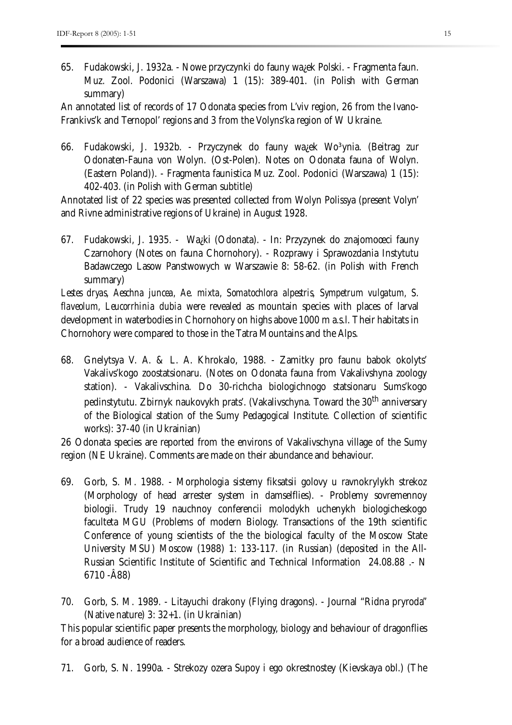65. Fudakowski, J. 1932a. - Nowe przyczynki do fauny wa¿ek Polski. - Fragmenta faun. Muz. Zool. Podonici (Warszawa) 1 (15): 389-401. (in Polish with German summary)

An annotated list of records of 17 Odonata species from L'viv region, 26 from the Ivano-Frankivs'k and Ternopol' regions and 3 from the Volyns'ka region of W Ukraine.

66. Fudakowski, J. 1932b. - Przyczynek do fauny ważek Wo<sup>3</sup>ynia. (Beitrag zur Odonaten-Fauna von Wolyn. (Ost-Polen). Notes on Odonata fauna of Wolyn. (Eastern Poland)). - Fragmenta faunistica Muz. Zool. Podonici (Warszawa) 1 (15): 402-403. (in Polish with German subtitle)

Annotated list of 22 species was presented collected from Wolyn Polissya (present Volyn' and Rivne administrative regions of Ukraine) in August 1928.

67. Fudakowski, J. 1935. - Wa¿ki (Odonata). - In: Przyzynek do znajomoœci fauny Czarnohory (Notes on fauna Chornohory). - Rozprawy i Sprawozdania Instytutu Badawczego Lasow Panstwowych w Warszawie 8: 58-62. (in Polish with French summary)

*Lestes dryas, Aeschna juncea, Ae. mixta, Somatochlora alpestris, Sympetrum vulgatum, S. flaveolum, Leucorrhinia dubia* were revealed as mountain species with places of larval development in waterbodies in Chornohory on highs above 1000 m a.s.l. Their habitats in Chornohory were compared to those in the Tatra Mountains and the Alps.

68. Gnelytsya V. A. & L. A. Khrokalo, 1988. - Zamitky pro faunu babok okolyts' Vakalivs'kogo zoostatsionaru. (Notes on Odonata fauna from Vakalivshyna zoology station). - Vakalivschina. Do 30-richcha biologichnogo statsionaru Sums'kogo pedinstytutu. Zbirnyk naukovykh prats'. (Vakalivschyna. Toward the 30<sup>th</sup> anniversary of the Biological station of the Sumy Pedagogical Institute. Collection of scientific works): 37-40 (in Ukrainian)

26 Odonata species are reported from the environs of Vakalivschyna village of the Sumy region (NE Ukraine). Comments are made on their abundance and behaviour.

- 69. Gorb, S. M. 1988. Morphologia sistemy fiksatsii golovy u ravnokrylykh strekoz (Morphology of head arrester system in damselflies). - Problemy sovremennoy biologii. Trudy 19 nauchnoy conferencii molodykh uchenykh biologicheskogo faculteta MGU (Problems of modern Biology. Transactions of the 19th scientific Conference of young scientists of the the biological faculty of the Moscow State University MSU) Moscow (1988) 1: 133-117. (in Russian) (deposited in the All-Russian Scientific Institute of Scientific and Technical Information 24.08.88 .- N 6710 -Â88)
- 70. Gorb, S. M. 1989. Litayuchi drakony (Flying dragons). Journal "Ridna pryroda" (Native nature) 3: 32+1. (in Ukrainian)

This popular scientific paper presents the morphology, biology and behaviour of dragonflies for a broad audience of readers.

71. Gorb, S. N. 1990a. - Strekozy ozera Supoy i ego okrestnostey (Kievskaya obl.) (The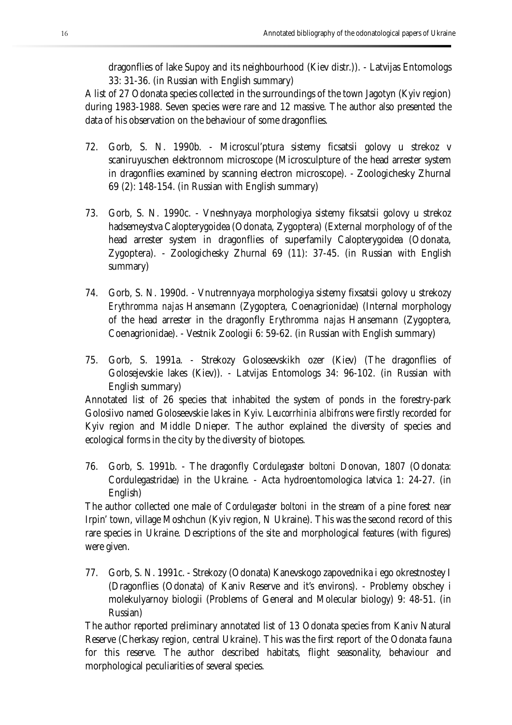dragonflies of lake Supoy and its neighbourhood (Kiev distr.)). - Latvijas Entomologs 33: 31-36. (in Russian with English summary)

A list of 27 Odonata species collected in the surroundings of the town Jagotyn (Kyiv region) during 1983-1988. Seven species were rare and 12 massive. The author also presented the data of his observation on the behaviour of some dragonflies.

- 72. Gorb, S. N. 1990b. Microscul'ptura sistemy ficsatsii golovy u strekoz v scaniruyuschen elektronnom microscope (Microsculpture of the head arrester system in dragonflies examined by scanning electron microscope). - Zoologichesky Zhurnal 69 (2): 148-154. (in Russian with English summary)
- 73. Gorb, S. N. 1990c. Vneshnyaya morphologiya sistemy fiksatsii golovy u strekoz hadsemeystva Calopterygoidea (Odonata, Zygoptera) (External morphology of of the head arrester system in dragonflies of superfamily Calopterygoidea (Odonata, Zygoptera). - Zoologichesky Zhurnal 69 (11): 37-45. (in Russian with English summary)
- 74. Gorb, S. N. 1990d. Vnutrennyaya morphologiya sistemy fixsatsii golovy u strekozy *Erythromma najas* Hansemann (Zygoptera, Coenagrionidae) (Internal morphology of the head arrester in the dragonfly *Erythromma najas* Hansemann (Zygoptera, Coenagrionidae). - Vestnik Zoologii 6: 59-62. (in Russian with English summary)
- 75. Gorb, S. 1991a. Strekozy Goloseevskikh ozer (Kiev) (The dragonflies of Golosejevskie lakes (Kiev)). - Latvijas Entomologs 34: 96-102. (in Russian with English summary)

Annotated list of 26 species that inhabited the system of ponds in the forestry-park Golosiivo named Goloseevskie lakes in Kyiv. *Leucorrhinia albifrons* were firstly recorded for Kyiv region and Middle Dnieper. The author explained the diversity of species and ecological forms in the city by the diversity of biotopes.

76. Gorb, S. 1991b. - The dragonfly *Cordulegaster boltoni* Donovan, 1807 (Odonata: Cordulegastridae) in the Ukraine. - Acta hydroentomologica latvica 1: 24-27. (in English)

The author collected one male of *Cordulegaster boltoni* in the stream of a pine forest near Irpin' town, village Moshchun (Kyiv region, N Ukraine). This was the second record of this rare species in Ukraine. Descriptions of the site and morphological features (with figures) were given.

77. Gorb, S. N. 1991c. - Strekozy (Odonata) Kanevskogo zapovednika i ego okrestnostey I (Dragonflies (Odonata) of Kaniv Reserve and it's environs). - Problemy obschey i molekulyarnoy biologii (Problems of General and Molecular biology) 9: 48-51. (in Russian)

The author reported preliminary annotated list of 13 Odonata species from Kaniv Natural Reserve (Cherkasy region, central Ukraine). This was the first report of the Odonata fauna for this reserve. The author described habitats, flight seasonality, behaviour and morphological peculiarities of several species.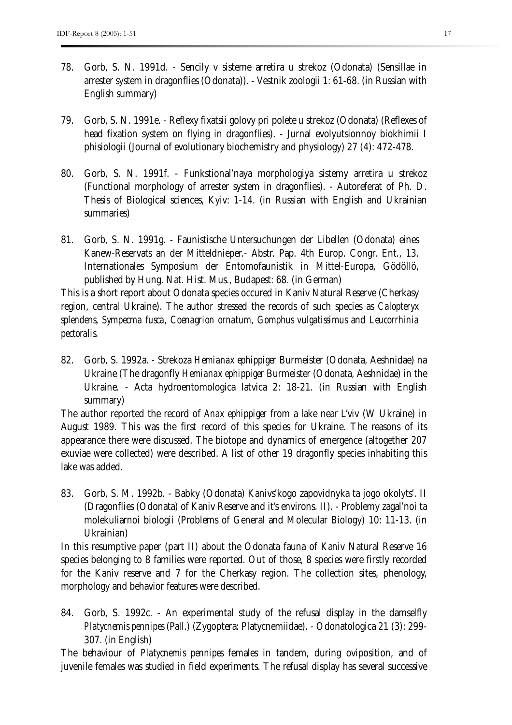- 78. Gorb, S. N. 1991d. Sencily v sisteme arretira u strekoz (Odonata) (Sensillae in arrester system in dragonflies (Odonata)). - Vestnik zoologii 1: 61-68. (in Russian with English summary)
- 79. Gorb, S. N. 1991e. Reflexy fixatsii golovy pri polete u strekoz (Odonata) (Reflexes of head fixation system on flying in dragonflies). - Jurnal evolyutsionnoy biokhimii I phisiologii (Journal of evolutionary biochemistry and physiology) 27 (4): 472-478.
- 80. Gorb, S. N. 1991f. Funkstional'naya morphologiya sistemy arretira u strekoz (Functional morphology of arrester system in dragonflies). - Autoreferat of Ph. D. Thesis of Biological sciences, Kyiv: 1-14. (in Russian with English and Ukrainian summaries)
- 81. Gorb, S. N. 1991g. Faunistische Untersuchungen der Libellen (Odonata) eines Kanew-Reservats an der Mitteldnieper.- Abstr. Pap. 4th Europ. Congr. Ent., 13. Internationales Symposium der Entomofaunistik in Mittel-Europa, Gödöllö, published by Hung. Nat. Hist. Mus., Budapest: 68. (in German)

This is a short report about Odonata species occured in Kaniv Natural Reserve (Cherkasy region, central Ukraine). The author stressed the records of such species as *Calopteryx splendens*, *Sympecma fusca*, *Coenagrion ornatum*, *Gomphus vulgatissimus* and *Leucorrhinia pectoralis*.

82. Gorb, S. 1992a. - Strekoza *Hemianax ephippiger* Burmeister (Odonata, Aeshnidae) na Ukraine (The dragonfly *Hemianax ephippiger* Burmeister (Odonata, Aeshnidae) in the Ukraine. - Acta hydroentomologica latvica 2: 18-21. (in Russian with English summary)

The author reported the record of *Anax ephippiger* from a lake near L'viv (W Ukraine) in August 1989. This was the first record of this species for Ukraine. The reasons of its appearance there were discussed. The biotope and dynamics of emergence (altogether 207 exuviae were collected) were described. A list of other 19 dragonfly species inhabiting this lake was added.

83. Gorb, S. M. 1992b. - Babky (Odonata) Kanivs'kogo zapovidnyka ta jogo okolyts'. II (Dragonflies (Odonata) of Kaniv Reserve and it's environs. II). - Problemy zagal'noi ta molekuliarnoi biologii (Problems of General and Molecular Biology) 10: 11-13. (in Ukrainian)

In this resumptive paper (part II) about the Odonata fauna of Kaniv Natural Reserve 16 species belonging to 8 families were reported. Out of those, 8 species were firstly recorded for the Kaniv reserve and 7 for the Cherkasy region. The collection sites, phenology, morphology and behavior features were described.

84. Gorb, S. 1992c. - An experimental study of the refusal display in the damselfly *Platycnemis pennipes* (Pall.) (Zygoptera: Platycnemiidae). - Odonatologica 21 (3): 299- 307. (in English)

The behaviour of *Platycnemis pennipes* females in tandem, during oviposition, and of juvenile females was studied in field experiments. The refusal display has several successive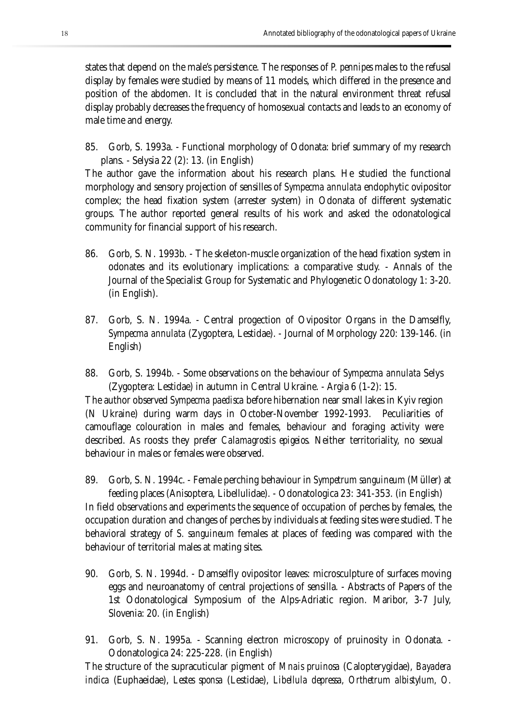states that depend on the male's persistence. The responses of *P. pennipes* males to the refusal display by females were studied by means of 11 models, which differed in the presence and position of the abdomen. It is concluded that in the natural environment threat refusal display probably decreases the frequency of homosexual contacts and leads to an economy of male time and energy.

85. Gorb, S. 1993a. - Functional morphology of Odonata: brief summary of my research plans. - Selysia 22 (2): 13. (in English)

The author gave the information about his research plans. He studied the functional morphology and sensory projection of sensilles of *Sympecma annulata* endophytic ovipositor complex; the head fixation system (arrester system) in Odonata of different systematic groups. The author reported general results of his work and asked the odonatological community for financial support of his research.

- 86. Gorb, S. N. 1993b. The skeleton-muscle organization of the head fixation system in odonates and its evolutionary implications: a comparative study. - Annals of the Journal of the Specialist Group for Systematic and Phylogenetic Odonatology 1: 3-20. (in English).
- 87. Gorb, S. N. 1994a. Central progection of Ovipositor Organs in the Damselfly, *Sympecma annulata* (Zygoptera, Lestidae). - Journal of Morphology 220: 139-146. (in English)
- 88. Gorb, S. 1994b. Some observations on the behaviour of *Sympecma annulata* Selys (Zygoptera: Lestidae) in autumn in Central Ukraine. - Argia 6 (1-2): 15.

The author observed *Sympecma paedisca* before hibernation near small lakes in Kyiv region (N Ukraine) during warm days in October-November 1992-1993. Peculiarities of camouflage colouration in males and females, behaviour and foraging activity were described. As roosts they prefer *Calamagrostis epigeios.* Neither territoriality, no sexual behaviour in males or females were observed.

- 89. Gorb, S. N. 1994c. Female perching behaviour in *Sympetrum sanguineum* (Müller) at feeding places (Anisoptera, Libellulidae). - Odonatologica 23: 341-353. (in English) In field observations and experiments the sequence of occupation of perches by females, the occupation duration and changes of perches by individuals at feeding sites were studied. The behavioral strategy of *S. sanguineum* females at places of feeding was compared with the behaviour of territorial males at mating sites.
- 90. Gorb, S. N. 1994d. Damselfly ovipositor leaves: microsculpture of surfaces moving eggs and neuroanatomy of central projections of sensilla. - Abstracts of Papers of the 1st Odonatological Symposium of the Alps-Adriatic region. Maribor, 3-7 July, Slovenia: 20. (in English)
- 91. Gorb, S. N. 1995a. Scanning electron microscopy of pruinosity in Odonata. Odonatologica 24: 225-228. (in English)

The structure of the supracuticular pigment of *Mnais pruinosa* (Calopterygidae), *Bayadera indica* (Euphaeidae), *Lestes sponsa* (Lestidae), *Libellula depressa, Orthetrum albistylum, O.*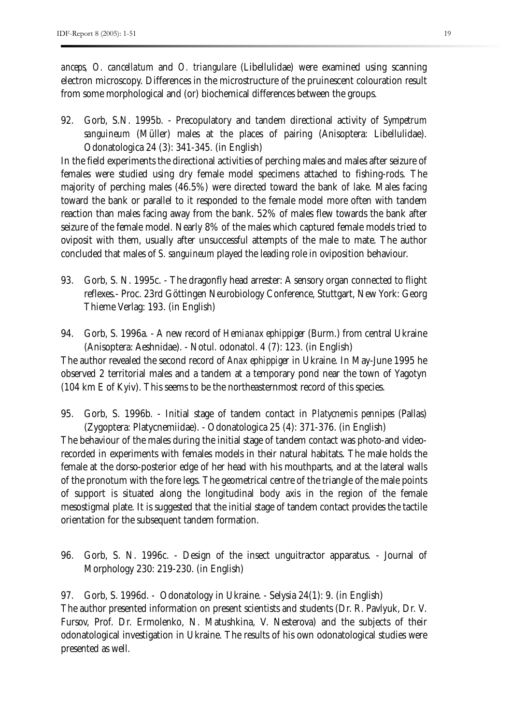*anceps, O. cancellatum* and *O. triangulare* (Libellulidae) were examined using scanning electron microscopy. Differences in the microstructure of the pruinescent colouration result from some morphological and (or) biochemical differences between the groups.

92. Gorb, S.N. 1995b. - Precopulatory and tandem directional activity of *Sympetrum sanguineum* (Müller) males at the places of pairing (Anisoptera: Libellulidae). Odonatologica 24 (3): 341-345. (in English)

In the field experiments the directional activities of perching males and males after seizure of females were studied using dry female model specimens attached to fishing-rods. The majority of perching males (46.5%) were directed toward the bank of lake. Males facing toward the bank or parallel to it responded to the female model more often with tandem reaction than males facing away from the bank. 52% of males flew towards the bank after seizure of the female model. Nearly 8% of the males which captured female models tried to oviposit with them, usually after unsuccessful attempts of the male to mate. The author concluded that males of *S. sanguineum* played the leading role in oviposition behaviour.

- 93. Gorb, S. N. 1995c. The dragonfly head arrester: A sensory organ connected to flight reflexes.- Proc. 23rd Göttingen Neurobiology Conference, Stuttgart, New York: Georg Thieme Verlag: 193. (in English)
- 94. Gorb, S. 1996a. A new record of *Hemianax ephippiger* (Burm.) from central Ukraine (Anisoptera: Aeshnidae). - Notul. odonatol. 4 (7): 123. (in English)

The author revealed the second record of *Anax ephippiger* in Ukraine. In May-June 1995 he observed 2 territorial males and a tandem at a temporary pond near the town of Yagotyn (104 km E of Kyiv). This seems to be the northeasternmost record of this species.

95. Gorb, S. 1996b. - Initial stage of tandem contact in *Platycnemis pennipes* (Pallas) (Zygoptera: Platycnemiidae). - Odonatologica 25 (4): 371-376. (in English)

The behaviour of the males during the initial stage of tandem contact was photo-and videorecorded in experiments with females models in their natural habitats. The male holds the female at the dorso-posterior edge of her head with his mouthparts, and at the lateral walls of the pronotum with the fore legs. The geometrical centre of the triangle of the male points of support is situated along the longitudinal body axis in the region of the female mesostigmal plate. It is suggested that the initial stage of tandem contact provides the tactile orientation for the subsequent tandem formation.

96. Gorb, S. N. 1996c. - Design of the insect unguitractor apparatus. - Journal of Morphology 230: 219-230. (in English)

97. Gorb, S. 1996d. - Odonatology in Ukraine. - Selysia 24(1): 9. (in English) The author presented information on present scientists and students (Dr. R. Pavlyuk, Dr. V. Fursov, Prof. Dr. Ermolenko, N. Matushkina, V. Nesterova) and the subjects of their odonatological investigation in Ukraine. The results of his own odonatological studies were presented as well.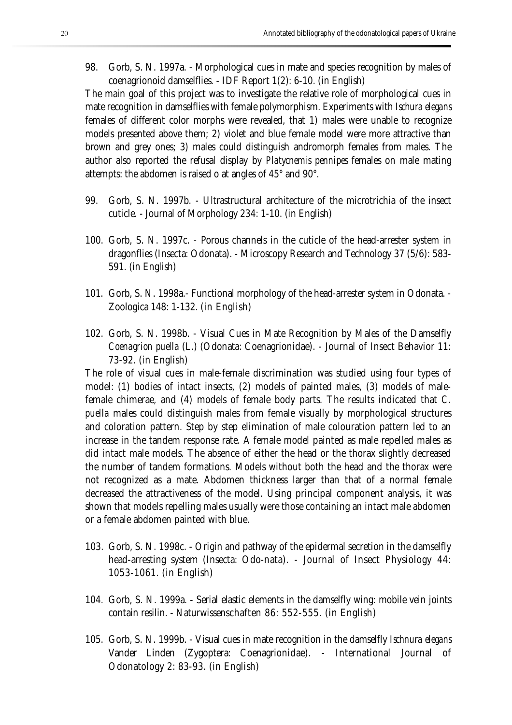98. Gorb, S. N. 1997a. - Morphological cues in mate and species recognition by males of coenagrionoid damselflies. - IDF Report 1(2): 6-10. (in English)

The main goal of this project was to investigate the relative role of morphological cues in mate recognition in damselflies with female polymorphism. Experiments with *Ischura elegans*  females of different color morphs were revealed, that 1) males were unable to recognize models presented above them; 2) violet and blue female model were more attractive than brown and grey ones; 3) males could distinguish andromorph females from males. The author also reported the refusal display by *Platycnemis pennipes* females on male mating attempts: the abdomen is raised o at angles of 45° and 90°.

- 99. Gorb, S. N. 1997b. Ultrastructural architecture of the microtrichia of the insect cuticle. - Journal of Morphology 234: 1-10. (in English)
- 100. Gorb, S. N. 1997c. Porous channels in the cuticle of the head-arrester system in dragonflies (Insecta: Odonata). - Microscopy Research and Technology 37 (5/6): 583- 591. (in English)
- 101. Gorb, S. N. 1998a.- Functional morphology of the head-arrester system in Odonata. Zoologica 148: 1-132. (in English)
- 102. Gorb, S. N. 1998b. Visual Cues in Mate Recognition by Males of the Damselfly *Coenagrion puella* (L.) (Odonata: Coenagrionidae). - Journal of Insect Behavior 11: 73-92. (in English)

The role of visual cues in male-female discrimination was studied using four types of model: (1) bodies of intact insects, (2) models of painted males, (3) models of malefemale chimerae, and (4) models of female body parts. The results indicated that *C. puella* males could distinguish males from female visually by morphological structures and coloration pattern. Step by step elimination of male colouration pattern led to an increase in the tandem response rate. A female model painted as male repelled males as did intact male models. The absence of either the head or the thorax slightly decreased the number of tandem formations. Models without both the head and the thorax were not recognized as a mate. Abdomen thickness larger than that of a normal female decreased the attractiveness of the model. Using principal component analysis, it was shown that models repelling males usually were those containing an intact male abdomen or a female abdomen painted with blue.

- 103. Gorb, S. N. 1998c. Origin and pathway of the epidermal secretion in the damselfly head-arresting system (Insecta: Odo-nata). - Journal of Insect Physiology 44: 1053-1061. (in English)
- 104. Gorb, S. N. 1999a. Serial elastic elements in the damselfly wing: mobile vein joints contain resilin. - Naturwissenschaften 86: 552-555. (in English)
- 105. Gorb, S. N. 1999b. Visual cues in mate recognition in the damselfly *Ischnura elegans*  Vander Linden (Zygoptera: Coenagrionidae). - International Journal of Odonatology 2: 83-93. (in English)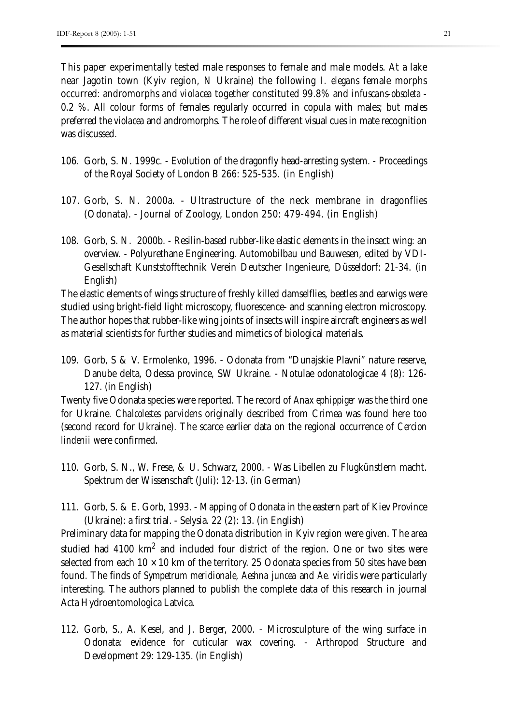This paper experimentally tested male responses to female and male models. At a lake near Jagotin town (Kyiv region, N Ukraine) the following *I. elegans* female morphs occurred: andromorphs and *violacea* together constituted 99.8% and *infuscans-obsoleta* - 0.2 %. All colour forms of females regularly occurred in copula with males; but males preferred the *violacea* and andromorphs. The role of different visual cues in mate recognition was discussed.

- 106. Gorb, S. N. 1999c. Evolution of the dragonfly head-arresting system. Proceedings of the Royal Society of London B 266: 525-535. (in English)
- 107. Gorb, S. N. 2000a. Ultrastructure of the neck membrane in dragonflies (Odonata). - Journal of Zoology, London 250: 479-494. (in English)
- 108. Gorb, S. N. 2000b. Resilin-based rubber-like elastic elements in the insect wing: an overview. - Polyurethane Engineering. Automobilbau und Bauwesen, edited by VDI-Gesellschaft Kunststofftechnik Verein Deutscher Ingenieure, Düsseldorf: 21-34. (in English)

The elastic elements of wings structure of freshly killed damselflies, beetles and earwigs were studied using bright-field light microscopy, fluorescence- and scanning electron microscopy. The author hopes that rubber-like wing joints of insects will inspire aircraft engineers as well as material scientists for further studies and mimetics of biological materials.

109. Gorb, S & V. Ermolenko, 1996. - Odonata from "Dunajskie Plavni" nature reserve, Danube delta, Odessa province, SW Ukraine. - Notulae odonatologicae 4 (8): 126- 127. (in English)

Twenty five Odonata species were reported. The record of *Anax ephippiger* was the third one for Ukraine. *Chalcolestes parvidens* originally described from Crimea was found here too (second record for Ukraine). The scarce earlier data on the regional occurrence of *Cercion lindenii* were confirmed.

- 110. Gorb, S. N., W. Frese, & U. Schwarz, 2000. Was Libellen zu Flugkünstlern macht. Spektrum der Wissenschaft (Juli): 12-13. (in German)
- 111. Gorb, S. & E. Gorb, 1993. Mapping of Odonata in the eastern part of Kiev Province (Ukraine): a first trial. - Selysia. 22 (2): 13. (in English)

Preliminary data for mapping the Odonata distribution in Kyiv region were given. The area studied had 4100  $\mathrm{km}^2$  and included four district of the region. One or two sites were selected from each  $10 \times 10$  km of the territory. 25 Odonata species from 50 sites have been found. The finds of *Sympetrum meridionale*, *Aeshna juncea* and *Ae. viridis* were particularly interesting. The authors planned to publish the complete data of this research in journal Acta Hydroentomologica Latvica.

112. Gorb, S., A. Kesel, and J. Berger, 2000. - Microsculpture of the wing surface in Odonata: evidence for cuticular wax covering. - Arthropod Structure and Development 29: 129-135. (in English)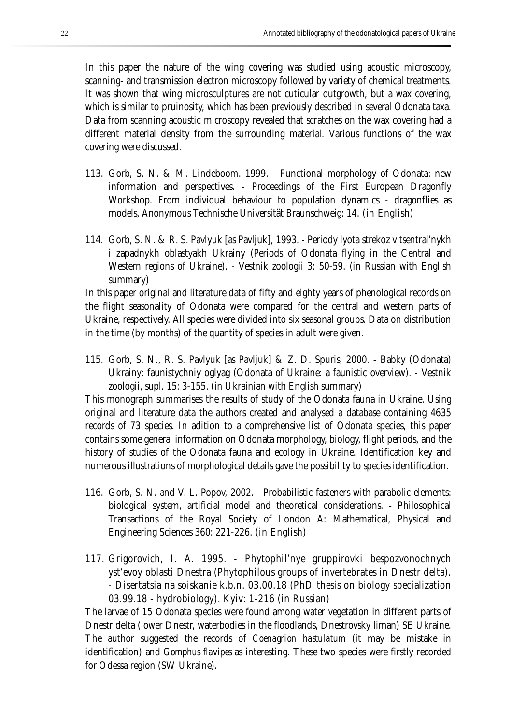In this paper the nature of the wing covering was studied using acoustic microscopy, scanning- and transmission electron microscopy followed by variety of chemical treatments. It was shown that wing microsculptures are not cuticular outgrowth, but a wax covering, which is similar to pruinosity, which has been previously described in several Odonata taxa. Data from scanning acoustic microscopy revealed that scratches on the wax covering had a different material density from the surrounding material. Various functions of the wax covering were discussed.

- 113. Gorb, S. N. & M. Lindeboom. 1999. Functional morphology of Odonata: new information and perspectives. - Proceedings of the First European Dragonfly Workshop. From individual behaviour to population dynamics - dragonflies as models, Anonymous Technische Universität Braunschweig: 14. (in English)
- 114. Gorb, S. N. & R. S. Pavlyuk [as Pavljuk], 1993. Periody lyota strekoz v tsentral'nykh i zapadnykh oblastyakh Ukrainy (Periods of Odonata flying in the Central and Western regions of Ukraine). - Vestnik zoologii 3: 50-59. (in Russian with English summary)

In this paper original and literature data of fifty and eighty years of phenological records on the flight seasonality of Odonata were compared for the central and western parts of Ukraine, respectively. All species were divided into six seasonal groups. Data on distribution in the time (by months) of the quantity of species in adult were given.

115. Gorb, S. N., R. S. Pavlyuk [as Pavljuk] & Z. D. Spuris, 2000. - Babky (Odonata) Ukrainy: faunistychniy oglyag (Odonata of Ukraine: a faunistic overview). - Vestnik zoologii, supl. 15: 3-155. (in Ukrainian with English summary)

This monograph summarises the results of study of the Odonata fauna in Ukraine. Using original and literature data the authors created and analysed a database containing 4635 records of 73 species. In adition to a comprehensive list of Odonata species, this paper contains some general information on Odonata morphology, biology, flight periods, and the history of studies of the Odonata fauna and ecology in Ukraine. Identification key and numerous illustrations of morphological details gave the possibility to species identification.

- 116. Gorb, S. N. and V. L. Popov, 2002. Probabilistic fasteners with parabolic elements: biological system, artificial model and theoretical considerations. - Philosophical Transactions of the Royal Society of London A: Mathematical, Physical and Engineering Sciences 360: 221-226. (in English)
- 117. Grigorovich, I. A. 1995. Phytophil'nye gruppirovki bespozvonochnych yst'evoy oblasti Dnestra (Phytophilous groups of invertebrates in Dnestr delta). - Disertatsia na soiskanie k.b.n. 03.00.18 (PhD thesis on biology specialization 03.99.18 - hydrobiology). Kyiv: 1-216 (in Russian)

The larvae of 15 Odonata species were found among water vegetation in different parts of Dnestr delta (lower Dnestr, waterbodies in the floodlands, Dnestrovsky liman) SE Ukraine. The author suggested the records of *Coenagrion hastulatum* (it may be mistake in identification) and *Gomphus flavipes* as interesting. These two species were firstly recorded for Odessa region (SW Ukraine).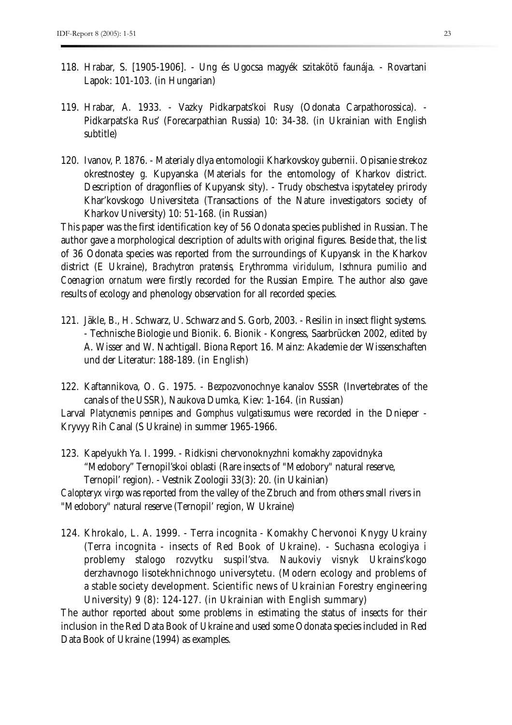- 118. Hrabar, S. [1905-1906]. Ung és Ugocsa magyék szitakötö faunája. Rovartani Lapok: 101-103. (in Hungarian)
- 119. Hrabar, A. 1933. Vazky Pidkarpats'koi Rusy (Odonata Carpathorossica). Pidkarpats'ka Rus' (Forecarpathian Russia) 10: 34-38. (in Ukrainian with English subtitle)
- 120. Ivanov, P. 1876. Materialy dlya entomologii Kharkovskoy gubernii. Opisanie strekoz okrestnostey g. Kupyanska (Materials for the entomology of Kharkov district. Description of dragonflies of Kupyansk sity). - Trudy obschestva ispytateley prirody Khar'kovskogo Universiteta (Transactions of the Nature investigators society of Kharkov University) 10: 51-168. (in Russian)

This paper was the first identification key of 56 Odonata species published in Russian. The author gave a morphological description of adults with original figures. Beside that, the list of 36 Odonata species was reported from the surroundings of Kupyansk in the Kharkov district (E Ukraine), *Brachytron pratensis, Erythromma viridulum, Ischnura pumilio* and *Coenagrion ornatum* were firstly recorded for the Russian Empire. The author also gave results of ecology and phenology observation for all recorded species.

- 121. Jäkle, B., H. Schwarz, U. Schwarz and S. Gorb, 2003. Resilin in insect flight systems. - Technische Biologie und Bionik. 6. Bionik - Kongress, Saarbrücken 2002, edited by A. Wisser and W. Nachtigall. Biona Report 16. Mainz: Akademie der Wissenschaften und der Literatur: 188-189. (in English)
- 122. Kaftannikova, O. G. 1975. Bezpozvonochnye kanalov SSSR (Invertebrates of the canals of the USSR), Naukova Dumka, Kiev: 1-164. (in Russian)

Larval *Platycnemis pennipes* and *Gomphus vulgatissumus* were recorded in the Dnieper - Kryvyy Rih Canal (S Ukraine) in summer 1965-1966.

123. Kapelyukh Ya. I. 1999. - Ridkisni chervonoknyzhni komakhy zapovidnyka "Medobory" Ternopil'skoi oblasti (Rare insects of "Medobory" natural reserve, Ternopil' region). - Vestnik Zoologii 33(3): 20. (in Ukainian) *Calopteryx virgo* was reported from the valley of the Zbruch and from others small rivers in

"Medobory" natural reserve (Ternopil' region, W Ukraine)

124. Khrokalo, L. A. 1999. - Terra incognita - Komakhy Chervonoi Knygy Ukrainy (Terra incognita - insects of Red Book of Ukraine). - Suchasna ecologiya i problemy stalogo rozvytku suspil'stva. Naukoviy visnyk Ukrains'kogo derzhavnogo lisotekhnichnogo universytetu. (Modern ecology and problems of a stable society development. Scientific news of Ukrainian Forestry engineering University) 9 (8): 124-127. (in Ukrainian with English summary)

The author reported about some problems in estimating the status of insects for their inclusion in the Red Data Book of Ukraine and used some Odonata species included in Red Data Book of Ukraine (1994) as examples.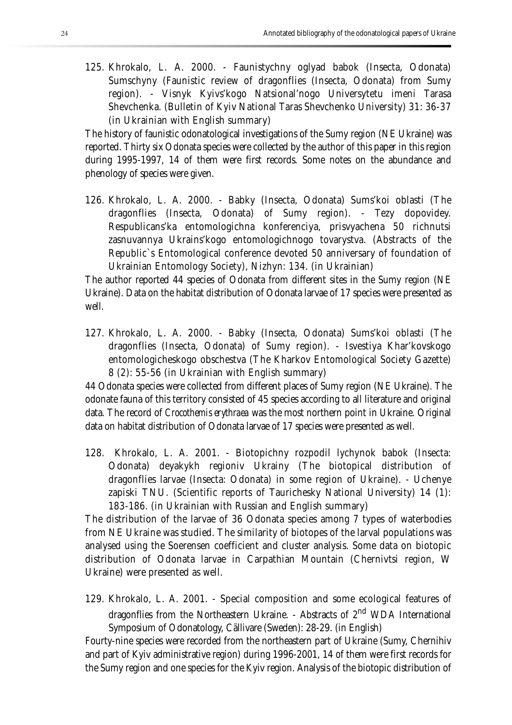125. Khrokalo, L. A. 2000. - Faunistychny oglyad babok (Insecta, Odonata) Sumschyny (Faunistic review of dragonflies (Insecta, Odonata) from Sumy region). - Visnyk Kyivs'kogo Natsional'nogo Universytetu imeni Tarasa Shevchenka. (Bulletin of Kyiv National Taras Shevchenko University) 31: 36-37 (in Ukrainian with English summary)

The history of faunistic odonatological investigations of the Sumy region (NE Ukraine) was reported. Thirty six Odonata species were collected by the author of this paper in this region during 1995-1997, 14 of them were first records. Some notes on the abundance and phenology of species were given.

126. Khrokalo, L. A. 2000. - Babky (Insecta, Odonata) Sums'koi oblasti (The dragonflies (Insecta, Odonata) of Sumy region). - Tezy dopovidey. Respublicans'ka entomologichna konferenciya, prisvyachena 50 richnutsi zasnuvannya Ukrains'kogo entomologichnogo tovarystva. (Abstracts of the Republic`s Entomological conference devoted 50 anniversary of foundation of Ukrainian Entomology Society), Nizhyn: 134. (in Ukrainian)

The author reported 44 species of Odonata from different sites in the Sumy region (NE Ukraine). Data on the habitat distribution of Odonata larvae of 17 species were presented as well.

127. Khrokalo, L. A. 2000. - Babky (Insecta, Odonata) Sums'koi oblasti (The dragonflies (Insecta, Odonata) of Sumy region). - Isvestiya Khar'kovskogo entomologicheskogo obschestva (The Kharkov Entomological Society Gazette) 8 (2): 55-56 (in Ukrainian with English summary)

44 Odonata species were collected from different places of Sumy region (NE Ukraine). The odonate fauna of this territory consisted of 45 species according to all literature and original data. The record of *Crocothemis erythraea* was the most northern point in Ukraine. Original data on habitat distribution of Odonata larvae of 17 species were presented as well.

128. Khrokalo, L. A. 2001. - Biotopichny rozpodil lychynok babok (Insecta: Odonata) deyakykh regioniv Ukrainy (The biotopical distribution of dragonflies larvae (Insecta: Odonata) in some region of Ukraine). - Uchenye zapiski TNU. (Scientific reports of Taurichesky National University) 14 (1): 183-186. (in Ukrainian with Russian and English summary)

The distribution of the larvae of 36 Odonata species among 7 types of waterbodies from NE Ukraine was studied. The similarity of biotopes of the larval populations was analysed using the Soerensen coefficient and cluster analysis. Some data on biotopic distribution of Odonata larvae in Carpathian Mountain (Chernivtsi region, W Ukraine) were presented as well.

129. Khrokalo, L. A. 2001. - Special composition and some ecological features of dragonflies from the Northeastern Ukraine. - Abstracts of 2<sup>nd</sup> WDA International Symposium of Odonatology, Cällivare (Sweden): 28-29. (in English)

Fourty-nine species were recorded from the northeastern part of Ukraine (Sumy, Chernihiv and part of Kyiv administrative region) during 1996-2001, 14 of them were first records for the Sumy region and one species for the Kyiv region. Analysis of the biotopic distribution of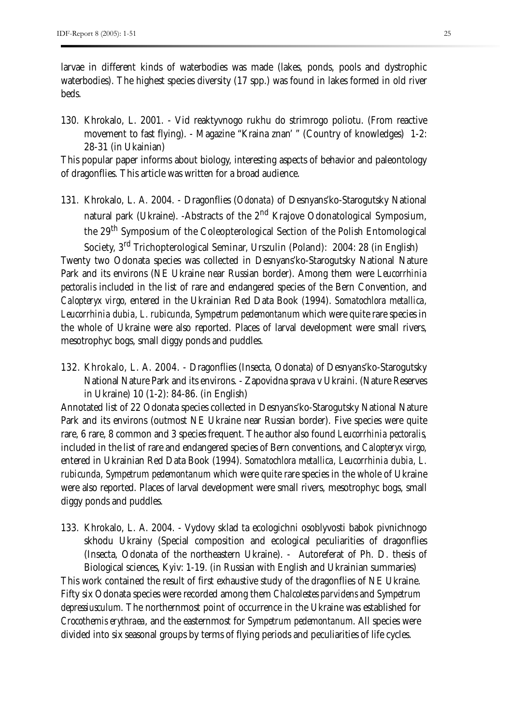larvae in different kinds of waterbodies was made (lakes, ponds, pools and dystrophic waterbodies). The highest species diversity (17 spp.) was found in lakes formed in old river beds.

130. Khrokalo, L. 2001. - Vid reaktyvnogo rukhu do strimrogo poliotu. (From reactive movement to fast flying). - Magazine "Kraina znan' " (Country of knowledges) 1-2: 28-31 (in Ukainian)

This popular paper informs about biology, interesting aspects of behavior and paleontology of dragonflies. This article was written for a broad audience.

131. Khrokalo, L. A. 2004. - Dragonflies (*Odonata*) of Desnyans'ko-Starogutsky National natural park (Ukraine). -Abstracts of the 2<sup>nd</sup> Krajove Odonatological Symposium, the 29th Symposium of the Coleopterological Section of the Polish Entomological

Society, 3rd Trichopterological Seminar, Urszulin (Poland): 2004: 28 (in English) Twenty two Odonata species was collected in Desnyans'ko-Starogutsky National Nature Park and its environs (NE Ukraine near Russian border). Among them were *Leucorrhinia pectoralis* included in the list of rare and endangered species of the Bern Convention, and *Calopteryx virgo*, entered in the Ukrainian Red Data Book (1994). *Somatochlora metallica, Leucorrhinia dubia, L. rubicunda, Sympetrum pedemontanum* which were quite rare species in the whole of Ukraine were also reported. Places of larval development were small rivers, mesotrophyc bogs, small diggy ponds and puddles.

132. Khrokalo, L. A. 2004. - Dragonflies (Insecta, Odonata) of Desnyans'ko-Starogutsky National Nature Park and its environs. - Zapovidna sprava v Ukraini. (Nature Reserves in Ukraine) 10 (1-2): 84-86. (in English)

Annotated list of 22 Odonata species collected in Desnyans'ko-Starogutsky National Nature Park and its environs (outmost NE Ukraine near Russian border). Five species were quite rare, 6 rare, 8 common and 3 species frequent. The author also found *Leucorrhinia pectoralis,* included in the list of rare and endangered species of Bern conventions, and *Calopteryx virgo,* entered in Ukrainian Red Data Book (1994). *Somatochlora metallica, Leucorrhinia dubia, L. rubicunda, Sympetrum pedemontanum* which were quite rare species in the whole of Ukraine were also reported. Places of larval development were small rivers, mesotrophyc bogs, small diggy ponds and puddles.

133. Khrokalo, L. A. 2004. - Vydovy sklad ta ecologichni osoblyvosti babok pivnichnogo skhodu Ukrainy (Special composition and ecological peculiarities of dragonflies (Insecta, Odonata of the northeastern Ukraine). - Autoreferat of Ph. D. thesis of Biological sciences, Kyiv: 1-19. (in Russian with English and Ukrainian summaries)

This work contained the result of first exhaustive study of the dragonflies of NE Ukraine. Fifty six Odonata species were recorded among them *Chalcolestes parvidens* and *Sympetrum depressiusculum*. The northernmost point of occurrence in the Ukraine was established for *Crocothemis erythraea*, and the easternmost for *Sympetrum pedemontanum*. All species were divided into six seasonal groups by terms of flying periods and peculiarities of life cycles.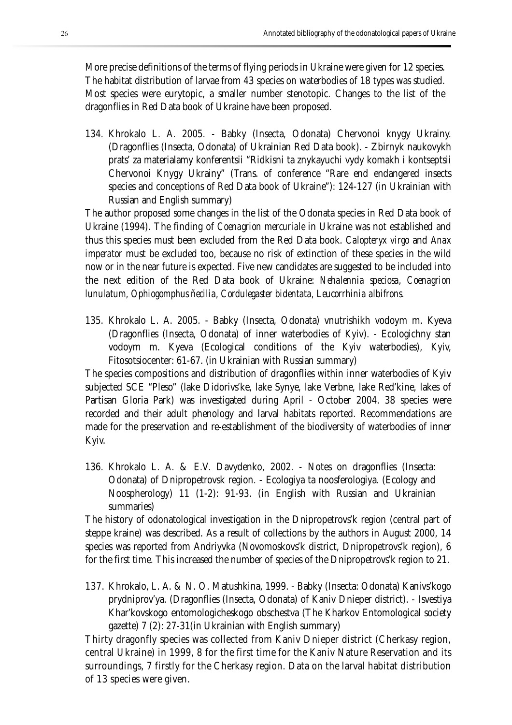More precise definitions of the terms of flying periods in Ukraine were given for 12 species. The habitat distribution of larvae from 43 species on waterbodies of 18 types was studied. Most species were eurytopic, a smaller number stenotopic. Changes to the list of the dragonflies in Red Data book of Ukraine have been proposed.

134. Khrokalo L. A. 2005. - Babky (Insecta, Odonata) Chervonoi knygy Ukrainy. (Dragonflies (Insecta, Odonata) of Ukrainian Red Data book). - Zbirnyk naukovykh prats' za materialamy konferentsii "Ridkisni ta znykayuchi vydy komakh i kontseptsii Chervonoi Knygy Ukrainy" (Trans. of conference "Rare end endangered insects species and conceptions of Red Data book of Ukraine"): 124-127 (in Ukrainian with Russian and English summary)

The author proposed some changes in the list of the Odonata species in Red Data book of Ukraine (1994). The finding of *Coenagrion mercuriale* in Ukraine was not established and thus this species must been excluded from the Red Data book. *Calopteryx virgo* and *Anax imperator* must be excluded too, because no risk of extinction of these species in the wild now or in the near future is expected. Five new candidates are suggested to be included into the next edition of the Red Data book of Ukraine: *Nehalennia speciosa, Coenagrion lunulatum, Ophiogomphus ñecilia, Cordulegaster bidentata, Leucorrhinia albifrons*.

135. Khrokalo L. A. 2005. - Babky (Insecta, Odonata) vnutrishikh vodoym m. Kyeva (Dragonflies (Insecta, Odonata) of inner waterbodies of Kyiv). - Ecologichny stan vodoym m. Kyeva (Ecological conditions of the Kyiv waterbodies), Kyiv, Fitosotsiocenter: 61-67. (in Ukrainian with Russian summary)

The species compositions and distribution of dragonflies within inner waterbodies of Kyiv subjected SCE "Pleso" (lake Didorivs'ke, lake Synye, lake Verbne, lake Red'kine, lakes of Partisan Gloria Park) was investigated during April - October 2004. 38 species were recorded and their adult phenology and larval habitats reported. Recommendations are made for the preservation and re-establishment of the biodiversity of waterbodies of inner Kyiv.

136. Khrokalo L. A. & E.V. Davydenko, 2002. - Notes on dragonflies (Insecta: Odonata) of Dnipropetrovsk region. - Ecologiya ta noosferologiya. (Ecology and Noospherology) 11 (1-2): 91-93. (in English with Russian and Ukrainian summaries)

The history of odonatological investigation in the Dnipropetrovs'k region (central part of steppe kraine) was described. As a result of collections by the authors in August 2000, 14 species was reported from Andriyvka (Novomoskovs'k district, Dnipropetrovs'k region), 6 for the first time. This increased the number of species of the Dnipropetrovs'k region to 21.

137. Khrokalo, L. A. & N. O. Matushkina, 1999. - Babky (Insecta: Odonata) Kanivs'kogo prydniprov'ya. (Dragonflies (Insecta, Odonata) of Kaniv Dnieper district). - Isvestiya Khar'kovskogo entomologicheskogo obschestva (The Kharkov Entomological society gazette) 7 (2): 27-31(in Ukrainian with English summary)

Thirty dragonfly species was collected from Kaniv Dnieper district (Cherkasy region, central Ukraine) in 1999, 8 for the first time for the Kaniv Nature Reservation and its surroundings, 7 firstly for the Cherkasy region. Data on the larval habitat distribution of 13 species were given.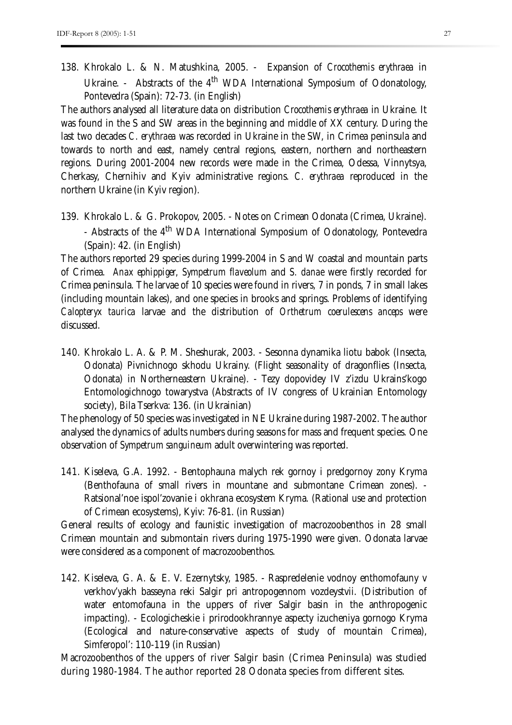138. Khrokalo L. & N. Matushkina, 2005. - Expansion of *Crocothemis erythraea* in Ukraine. - Abstracts of the 4<sup>th</sup> WDA International Symposium of Odonatology, Pontevedra (Spain): 72-73. (in English)

The authors analysed all literature data on distribution *Crocothemis erythraea* in Ukraine. It was found in the S and SW areas in the beginning and middle of XX century. During the last two decades *C. erythraea* was recorded in Ukraine in the SW, in Crimea peninsula and towards to north and east, namely central regions, eastern, northern and northeastern regions. During 2001-2004 new records were made in the Crimea, Odessa, Vinnytsya, Cherkasy, Chernihiv and Kyiv administrative regions. *C. erythraea* reproduced in the northern Ukraine (in Kyiv region).

139. Khrokalo L. & G. Prokopov, 2005. - Notes on Crimean Odonata (Crimea, Ukraine). - Abstracts of the 4<sup>th</sup> WDA International Symposium of Odonatology, Pontevedra (Spain): 42. (in English)

The authors reported 29 species during 1999-2004 in S and W coastal and mountain parts of Crimea. *Anax ephippiger, Sympetrum flaveolum* and *S. danae* were firstly recorded for Crimea peninsula. The larvae of 10 species were found in rivers, 7 in ponds, 7 in small lakes (including mountain lakes), and one species in brooks and springs. Problems of identifying *Calopteryx taurica* larvae and the distribution of *Orthetrum coerulescens anceps* were discussed.

140. Khrokalo L. A. & P. M. Sheshurak, 2003. - Sesonna dynamika liotu babok (Insecta, Odonata) Pivnichnogo skhodu Ukrainy. (Flight seasonality of dragonflies (Insecta, Odonata) in Northerneastern Ukraine). - Tezy dopovidey IV z'izdu Ukrains'kogo Entomologichnogo towarystva (Abstracts of IV congress of Ukrainian Entomology society), Bila Tserkva: 136. (in Ukrainian)

The phenology of 50 species was investigated in NE Ukraine during 1987-2002. The author analysed the dynamics of adults numbers during seasons for mass and frequent species. One observation of *Sympetrum sanguineum* adult overwintering was reported.

141. Kiseleva, G.A. 1992. - Bentophauna malych rek gornoy i predgornoy zony Kryma (Benthofauna of small rivers in mountane and submontane Crimean zones). - Ratsional'noe ispol'zovanie i okhrana ecosystem Kryma. (Rational use and protection of Crimean ecosystems), Kyiv: 76-81. (in Russian)

General results of ecology and faunistic investigation of macrozoobenthos in 28 small Crimean mountain and submontain rivers during 1975-1990 were given. Odonata larvae were considered as a component of macrozoobenthos.

142. Kiseleva, G. A. & E. V. Ezernytsky, 1985. - Raspredelenie vodnoy enthomofauny v verkhov'yakh basseyna reki Salgir pri antropogennom vozdeystvii. (Distribution of water entomofauna in the uppers of river Salgir basin in the anthropogenic impacting). - Ecologicheskie i prirodookhrannye aspecty izucheniya gornogo Kryma (Ecological and nature-conservative aspects of study of mountain Crimea), Simferopol': 110-119 (in Russian)

Macrozoobenthos of the uppers of river Salgir basin (Crimea Peninsula) was studied during 1980-1984. The author reported 28 Odonata species from different sites.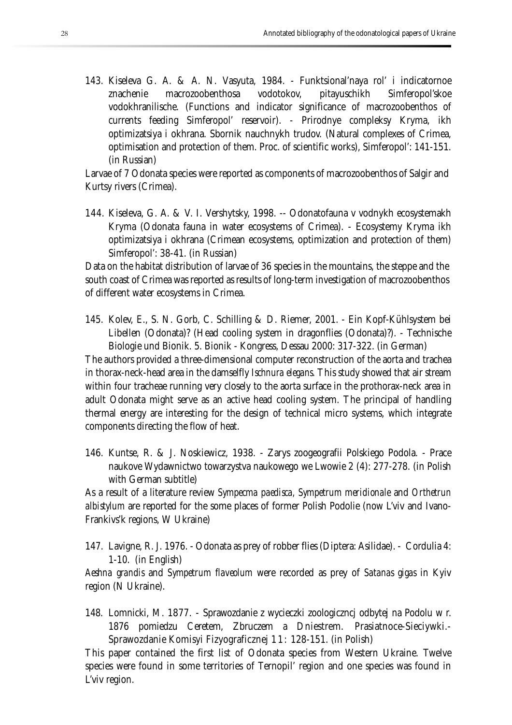143. Kiseleva G. A. & A. N. Vasyuta, 1984. - Funktsional'naya rol' i indicatornoe znachenie macrozoobenthosa vodotokov, pitayuschikh Simferopol'skoe vodokhranilische. (Functions and indicator significance of macrozoobenthos of currents feeding Simferopol' reservoir). - Prirodnye compleksy Kryma, ikh optimizatsiya i okhrana. Sbornik nauchnykh trudov. (Natural complexes of Crimea, optimisation and protection of them. Proc. of scientific works), Simferopol': 141-151. (in Russian)

Larvae of 7 Odonata species were reported as components of macrozoobenthos of Salgir and Kurtsy rivers (Crimea).

144. Kiseleva, G. A. & V. I. Vershytsky, 1998. -- Odonatofauna v vodnykh ecosystemakh Kryma (Odonata fauna in water ecosystems of Crimea). - Ecosystemy Kryma ikh optimizatsiya i okhrana (Crimean ecosystems, optimization and protection of them) Simferopol': 38-41. (in Russian)

Data on the habitat distribution of larvae of 36 species in the mountains, the steppe and the south coast of Crimea was reported as results of long-term investigation of macrozoobenthos of different water ecosystems in Crimea.

145. Kolev, E., S. N. Gorb, C. Schilling & D. Riemer, 2001. - Ein Kopf-Kühlsystem bei Libellen (Odonata)? (Head cooling system in dragonflies (Odonata)?). - Technische Biologie und Bionik. 5. Bionik - Kongress, Dessau 2000: 317-322. (in German)

The authors provided a three-dimensional computer reconstruction of the aorta and trachea in thorax-neck-head area in the damselfly *Ischnura elegans*. This study showed that air stream within four tracheae running very closely to the aorta surface in the prothorax-neck area in adult Odonata might serve as an active head cooling system. The principal of handling thermal energy are interesting for the design of technical micro systems, which integrate components directing the flow of heat.

146. Kuntse, R. & J. Noskiewicz, 1938. - Zarys zoogeografii Polskiego Podola. - Prace naukove Wydawnictwo towarzystva naukowego we Lwowie 2 (4): 277-278. (in Polish with German subtitle)

As a result of a literature review *Sympecma paedisca, Sympetrum meridionale* and *Orthetrun albistylum* are reported for the some places of former Polish Podolie (now L'viv and Ivano-Frankivs'k regions, W Ukraine)

147. Lavigne, R. J. 1976. - Odonata as prey of robber flies (Diptera: Asilidae). - Cordulia 4: 1-10. (in English)

*Aeshna grandis* and *Sympetrum flaveolum* were recorded as prey of *Satanas gigas* in Kyiv region (N Ukraine).

148. Lomnicki, M. 1877. - Sprawozdanie z wycieczki zoologiczncj odbytej na Podolu w r. 1876 pomiedzu Ceretem, Zbruczem a Dniestrem. Prasiatnoce-Sieciywki.- Sprawozdanie Komisyi Fizyograficznej 1 1 : 128-151. (in Polish)

This paper contained the first list of Odonata species from Western Ukraine. Twelve species were found in some territories of Ternopil' region and one species was found in L'viv region.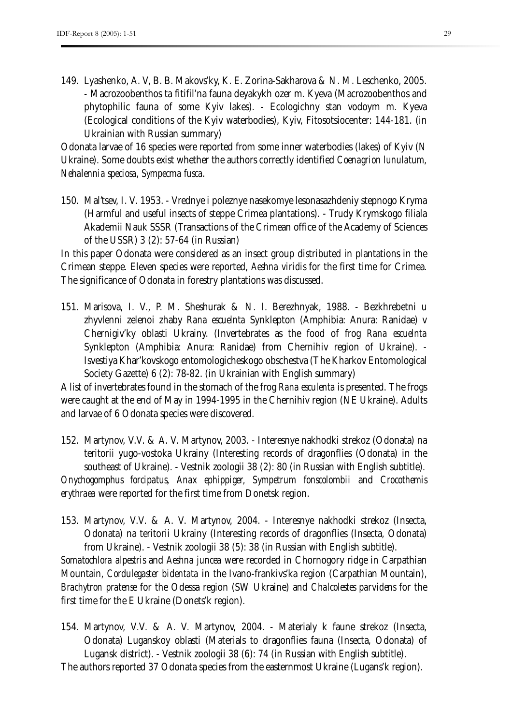149. Lyashenko, A. V, B. B. Makovs'ky, K. E. Zorina-Sakharova & N. M. Leschenko, 2005. - Macrozoobenthos ta fitifil'na fauna deyakykh ozer m. Kyeva (Macrozoobenthos and phytophilic fauna of some Kyiv lakes). - Ecologichny stan vodoym m. Kyeva (Ecological conditions of the Kyiv waterbodies), Kyiv, Fitosotsiocenter: 144-181. (in Ukrainian with Russian summary)

Odonata larvae of 16 species were reported from some inner waterbodies (lakes) of Kyiv (N Ukraine). Some doubts exist whether the authors correctly identified *Coenagrion lunulatum, Nehalennia speciosa, Sympecma fusca.*

150. Mal'tsev, I. V. 1953. - Vrednye i poleznye nasekomye lesonasazhdeniy stepnogo Kryma (Harmful and useful insects of steppe Crimea plantations). - Trudy Krymskogo filiala Akademii Nauk SSSR (Transactions of the Crimean office of the Academy of Sciences of the USSR) 3 (2): 57-64 (in Russian)

In this paper Odonata were considered as an insect group distributed in plantations in the Crimean steppe. Eleven species were reported, *Aeshna viridis* for the first time for Crimea. The significance of Odonata in forestry plantations was discussed.

151. Marisova, I. V., P. M. Sheshurak & N. I. Berezhnyak, 1988. - Bezkhrebetni u zhyvlenni zelenoi zhaby *Rana escuelnta* Synklepton (Amphibia: Anura: Ranidae) v Chernigiv'ky oblasti Ukrainy. (Invertebrates as the food of frog *Rana escuelnta* Synklepton (Amphibia: Anura: Ranidae) from Chernihiv region of Ukraine). - Isvestiya Khar'kovskogo entomologicheskogo obschestva (The Kharkov Entomological Society Gazette) 6 (2): 78-82. (in Ukrainian with English summary)

A list of invertebrates found in the stomach of the frog *Rana esculenta* is presented. The frogs were caught at the end of May in 1994-1995 in the Chernihiv region (NE Ukraine). Adults and larvae of 6 Odonata species were discovered.

152. Martynov, V.V. & A. V. Martynov, 2003. - Interesnye nakhodki strekoz (Odonata) na teritorii yugo-vostoka Ukrainy (Interesting records of dragonflies (Odonata) in the southeast of Ukraine). - Vestnik zoologii 38 (2): 80 (in Russian with English subtitle). *Onychogomphus forcipatus*, *Anax ephippiger, Sympetrum fonscolombii* and *Crocothemis erythraea* were reported for the first time from Donetsk region.

153. Martynov, V.V. & A. V. Martynov, 2004. - Interesnye nakhodki strekoz (Insecta, Odonata) na teritorii Ukrainy (Interesting records of dragonflies (Insecta, Odonata) from Ukraine). - Vestnik zoologii 38 (5): 38 (in Russian with English subtitle).

*Somatochlora alpestris* and *Aeshna juncea* were recorded in Chornogory ridge in Carpathian Mountain, *Cordulegaster bidentata* in the Ivano-frankivs'ka region (Carpathian Mountain), *Brachytron pratense* for the Odessa region (SW Ukraine) and *Chalcolestes parvidens* for the first time for the E Ukraine (Donets'k region).

154. Martynov, V.V. & A. V. Martynov, 2004. - Materialy k faune strekoz (Insecta, Odonata) Luganskoy oblasti (Materials to dragonflies fauna (Insecta, Odonata) of Lugansk district). - Vestnik zoologii 38 (6): 74 (in Russian with English subtitle).

The authors reported 37 Odonata species from the easternmost Ukraine (Lugans'k region).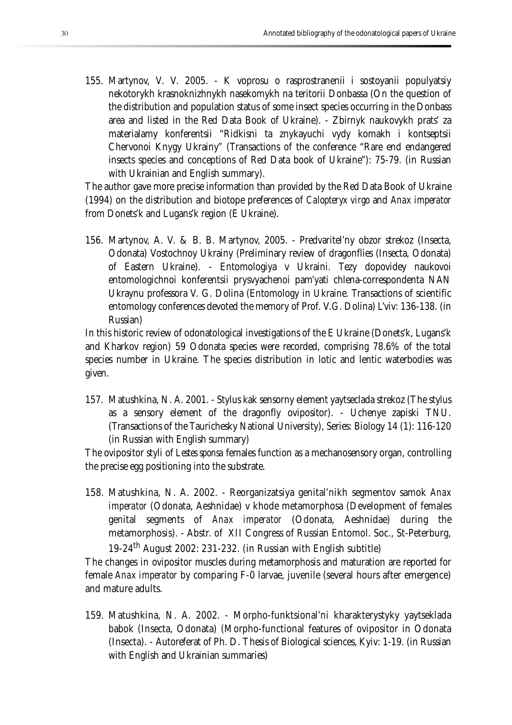155. Martynov, V. V. 2005. - K voprosu o rasprostranenii i sostoyanii populyatsiy nekotorykh krasnoknizhnykh nasekomykh na teritorii Donbassa (On the question of the distribution and population status of some insect species occurring in the Donbass area and listed in the Red Data Book of Ukraine). - Zbirnyk naukovykh prats' za materialamy konferentsii "Ridkisni ta znykayuchi vydy komakh i kontseptsii Chervonoi Knygy Ukrainy" (Transactions of the conference "Rare end endangered insects species and conceptions of Red Data book of Ukraine"): 75-79. (in Russian with Ukrainian and English summary).

The author gave more precise information than provided by the Red Data Book of Ukraine (1994) on the distribution and biotope preferences of *Calopteryx virgo* and *Anax imperator*  from Donets'k and Lugans'k region (E Ukraine).

156. Martynov, A. V. & B. B. Martynov, 2005. - Predvaritel'ny obzor strekoz (Insecta, Odonata) Vostochnoy Ukrainy (Preliminary review of dragonflies (Insecta, Odonata) of Eastern Ukraine). - Entomologiya v Ukraini. Tezy dopovidey naukovoi entomologichnoi konferentsii prysvyachenoi pam'yati chlena-correspondenta NAN Ukraynu professora V. G. Dolina (Entomology in Ukraine. Transactions of scientific entomology conferences devoted the memory of Prof. V.G. Dolina) L'viv: 136-138. (in Russian)

In this historic review of odonatological investigations of the E Ukraine (Donets'k, Lugans'k and Kharkov region) 59 Odonata species were recorded, comprising 78.6% of the total species number in Ukraine. The species distribution in lotic and lentic waterbodies was given.

157. Matushkina, N. A. 2001. - Stylus kak sensorny element yaytseclada strekoz (The stylus as a sensory element of the dragonfly ovipositor). - Uchenye zapiski TNU. (Transactions of the Taurichesky National University), Series: Biology 14 (1): 116-120 (in Russian with English summary)

The ovipositor styli of *Lestes sponsa* females function as a mechanosensory organ, controlling the precise egg positioning into the substrate.

158. Matushkina, N. A. 2002. - Reorganizatsiya genital'nikh segmentov samok *Anax imperator* (Odonata, Aeshnidae) v khode metamorphosa (Development of females genital segments of *Anax imperator* (Odonata, Aeshnidae) during the metamorphosis). - Abstr. of XII Congress of Russian Entomol. Soc., St-Peterburg, 19-24th August 2002: 231-232. (in Russian with English subtitle)

The changes in ovipositor muscles during metamorphosis and maturation are reported for female *Anax imperator* by comparing F-0 larvae, juvenile (several hours after emergence) and mature adults.

159. Matushkina, N. A. 2002. - Morpho-funktsional'ni kharakterystyky yaytseklada babok (Insecta, Odonata) (Morpho-functional features of ovipositor in Odonata (Insecta). - Autoreferat of Ph. D. Thesis of Biological sciences, Kyiv: 1-19. (in Russian with English and Ukrainian summaries)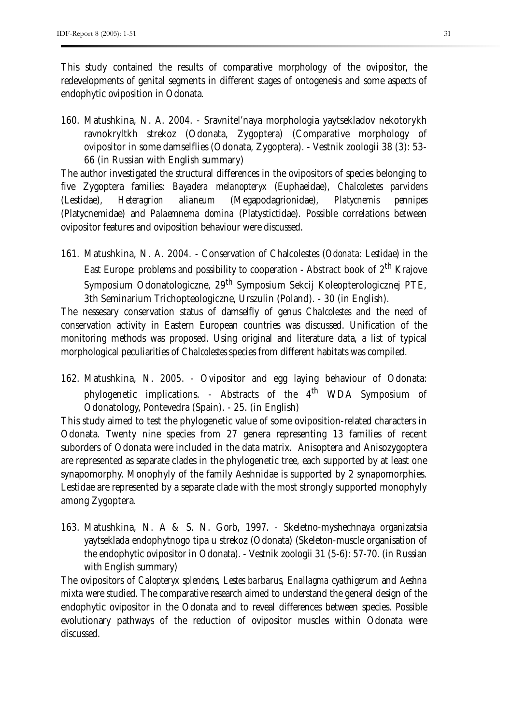This study contained the results of comparative morphology of the ovipositor, the redevelopments of genital segments in different stages of ontogenesis and some aspects of endophytic oviposition in Odonata.

160. Matushkina, N. A. 2004. - Sravnitel'naya morphologia yaytsekladov nekotorykh ravnokryltkh strekoz (Odonata, Zygoptera) (Comparative morphology of ovipositor in some damselflies (Odonata, Zygoptera). - Vestnik zoologii 38 (3): 53- 66 (in Russian with English summary)

The author investigated the structural differences in the ovipositors of species belonging to five Zygoptera families: *Bayadera melanopteryx* (Euphaeidae), *Chalcolestes parvidens*  (Lestidae), *Heteragrion alianeum* (Megapodagrionidae), *Platycnemis pennipes*  (Platycnemidae) and *Palaemnema domina* (Platystictidae). Possible correlations between ovipositor features and oviposition behaviour were discussed.

161. Matushkina, N. A. 2004. - Conservation of Chalcolestes (*Odonata: Lestidae*) in the East Europe: problems and possibility to cooperation - Abstract book of 2<sup>th</sup> Krajove Symposium Odonatologiczne, 29<sup>th</sup> Symposium Sekcij Koleopterologicznej PTE, 3th Seminarium Trichopteologiczne, Urszulin (Poland). - 30 (in English).

The nessesary conservation status of damselfly of genus *Chalcolestes* and the need of conservation activity in Eastern European countries was discussed. Unification of the monitoring methods was proposed. Using original and literature data, a list of typical morphological peculiarities of *Chalcolestes* species from different habitats was compiled.

162. Matushkina, N. 2005. - Ovipositor and egg laying behaviour of Odonata: phylogenetic implications. - Abstracts of the  $4^{\text{th}}$  WDA Symposium of Odonatology, Pontevedra (Spain). - 25. (in English)

This study aimed to test the phylogenetic value of some oviposition-related characters in Odonata. Twenty nine species from 27 genera representing 13 families of recent suborders of Odonata were included in the data matrix. Anisoptera and Anisozygoptera are represented as separate clades in the phylogenetic tree, each supported by at least one synapomorphy. Monophyly of the family Aeshnidae is supported by 2 synapomorphies. Lestidae are represented by a separate clade with the most strongly supported monophyly among Zygoptera.

163. Matushkina, N. A & S. N. Gorb, 1997. - Skeletno-myshechnaya organizatsia yaytseklada endophytnogo tipa u strekoz (Odonata) (Skeleton-muscle organisation of the endophytic ovipositor in Odonata). - Vestnik zoologii 31 (5-6): 57-70. (in Russian with English summary)

The ovipositors of *Calopteryx splendens, Lestes barbarus, Enallagma cyathigerum* and *Aeshna mixta* were studied. The comparative research aimed to understand the general design of the endophytic ovipositor in the Odonata and to reveal differences between species. Possible evolutionary pathways of the reduction of ovipositor muscles within Odonata were discussed.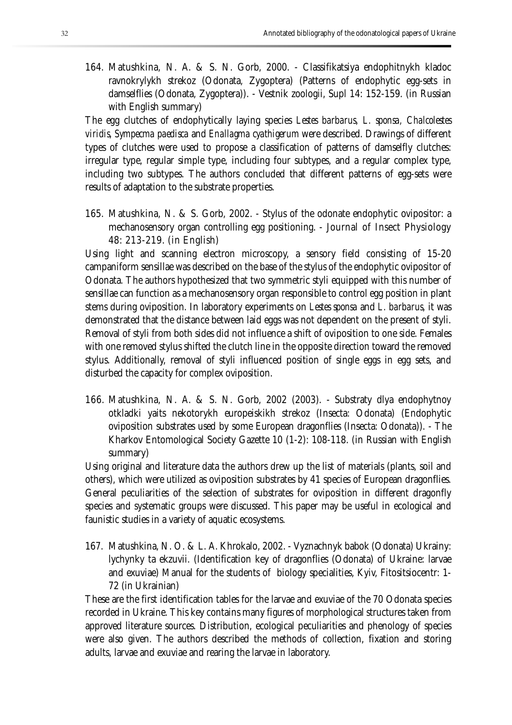164. Matushkina, N. A. & S. N. Gorb, 2000. - Classifikatsiya endophitnykh kladoc ravnokrylykh strekoz (Odonata, Zygoptera) (Patterns of endophytic egg-sets in damselflies (Odonata, Zygoptera)). - Vestnik zoologii, Supl 14: 152-159. (in Russian with English summary)

The egg clutches of endophytically laying species *Lestes barbarus, L. sponsa, Chalcolestes viridis, Sympecma paedisca* and *Enallagma cyathigerum* were described. Drawings of different types of clutches were used to propose a classification of patterns of damselfly clutches: irregular type, regular simple type, including four subtypes, and a regular complex type, including two subtypes. The authors concluded that different patterns of egg-sets were results of adaptation to the substrate properties.

165. Matushkina, N. & S. Gorb, 2002. - Stylus of the odonate endophytic ovipositor: a mechanosensory organ controlling egg positioning. - Journal of Insect Physiology 48: 213-219. (in English)

Using light and scanning electron microscopy, a sensory field consisting of 15-20 campaniform sensillae was described on the base of the stylus of the endophytic ovipositor of Odonata. The authors hypothesized that two symmetric styli equipped with this number of sensillae can function as a mechanosensory organ responsible to control egg position in plant stems during oviposition. In laboratory experiments on *Lestes sponsa* and *L. barbarus*, it was demonstrated that the distance between laid eggs was not dependent on the present of styli. Removal of styli from both sides did not influence a shift of oviposition to one side. Females with one removed stylus shifted the clutch line in the opposite direction toward the removed stylus. Additionally, removal of styli influenced position of single eggs in egg sets, and disturbed the capacity for complex oviposition.

166. Matushkina, N. A. & S. N. Gorb, 2002 (2003). - Substraty dlya endophytnoy otkladki yaits nekotorykh europeiskikh strekoz (Insecta: Odonata) (Endophytic oviposition substrates used by some European dragonflies (Insecta: Odonata)). - The Kharkov Entomological Society Gazette 10 (1-2): 108-118. (in Russian with English summary)

Using original and literature data the authors drew up the list of materials (plants, soil and others), which were utilized as oviposition substrates by 41 species of European dragonflies. General peculiarities of the selection of substrates for oviposition in different dragonfly species and systematic groups were discussed. This paper may be useful in ecological and faunistic studies in a variety of aquatic ecosystems.

167. Matushkina, N. O. & L. A. Khrokalo, 2002. - Vyznachnyk babok (Odonata) Ukrainy: lychynky ta ekzuvii. (Identification key of dragonflies (Odonata) of Ukraine: larvae and exuviae) Manual for the students of biology specialities, Kyiv, Fitositsiocentr: 1- 72 (in Ukrainian)

These are the first identification tables for the larvae and exuviae of the 70 Odonata species recorded in Ukraine. This key contains many figures of morphological structures taken from approved literature sources. Distribution, ecological peculiarities and phenology of species were also given. The authors described the methods of collection, fixation and storing adults, larvae and exuviae and rearing the larvae in laboratory.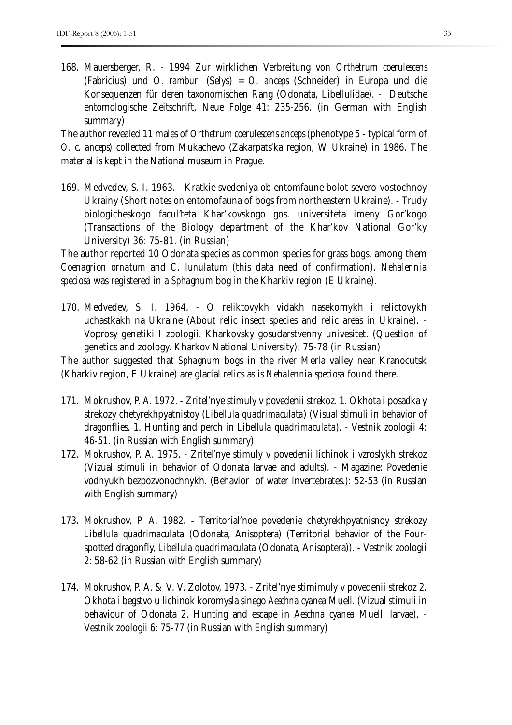168. Mauersberger, R. - 1994 Zur wirklichen Verbreitung von *Orthetrum coerulescens*  (Fabricius) und *O. ramburi* (Selys) = *O. anceps* (Schneider) in Europa und die Konsequenzen für deren taxonomischen Rang (Odonata, Libellulidae). - Deutsche entomologische Zeitschrift, Neue Folge 41: 235-256. (in German with English summary)

The author revealed 11 males of *Orthetrum coerulescens anceps* (phenotype 5 - typical form of *O. c. anceps*) collected from Mukachevo (Zakarpats'ka region, W Ukraine) in 1986. The material is kept in the National museum in Prague.

169. Medvedev, S. I. 1963. - Kratkie svedeniya ob entomfaune bolot severo-vostochnoy Ukrainy (Short notes on entomofauna of bogs from northeastern Ukraine). - Trudy biologicheskogo facul'teta Khar'kovskogo gos. universiteta imeny Gor'kogo (Transactions of the Biology department of the Khar'kov National Gor'ky University) 36: 75-81. (in Russian)

The author reported 10 Odonata species as common species for grass bogs, among them *Coenagrion ornatum* and *C. lunulatum* (this data need of confirmation)*. Nehalennia speciosa* was registered in a *Sphagnum* bog in the Kharkiv region (E Ukraine).

170. Medvedev, S. I. 1964. - O reliktovykh vidakh nasekomykh i relictovykh uchastkakh na Ukraine (About relic insect species and relic areas in Ukraine). - Voprosy genetiki I zoologii. Kharkovsky gosudarstvenny univesitet. (Question of genetics and zoology. Kharkov National University): 75-78 (in Russian)

The author suggested that *Sphagnum* bogs in the river Merla valley near Kranocutsk (Kharkiv region, E Ukraine) are glacial relics as is *Nehalennia speciosa* found there.

- 171. Mokrushov, P. A. 1972. Zritel'nye stimuly v povedenii strekoz. 1. Okhota i posadka y strekozy chetyrekhpyatnistoy (*Libellula quadrimaculata*) (Visual stimuli in behavior of dragonflies. 1. Hunting and perch in *Libellula quadrimaculata*). - Vestnik zoologii 4: 46-51. (in Russian with English summary)
- 172. Mokrushov, P. A. 1975. Zritel'nye stimuly v povedenii lichinok i vzroslykh strekoz (Vizual stimuli in behavior of Odonata larvae and adults). - Magazine: Povedenie vodnyukh bezpozvonochnykh. (Behavior of water invertebrates.): 52-53 (in Russian with English summary)
- 173. Mokrushov, P. A. 1982. Territorial'noe povedenie chetyrekhpyatnisnoy strekozy *Libellula quadrimaculata* (Odonata, Anisoptera) (Territorial behavior of the Fourspotted dragonfly, *Libellula quadrimaculata* (Odonata, Anisoptera)). - Vestnik zoologii 2: 58-62 (in Russian with English summary)
- 174. Mokrushov, P. A. & V. V. Zolotov, 1973. Zritel'nye stimimuly v povedenii strekoz 2. Okhota i begstvo u lichinok koromysla sinego *Aeschna cyanea* Muell. (Vizual stimuli in behaviour of Odonata 2. Hunting and escape in *Aeschna cyanea* Muell. larvae). - Vestnik zoologii 6: 75-77 (in Russian with English summary)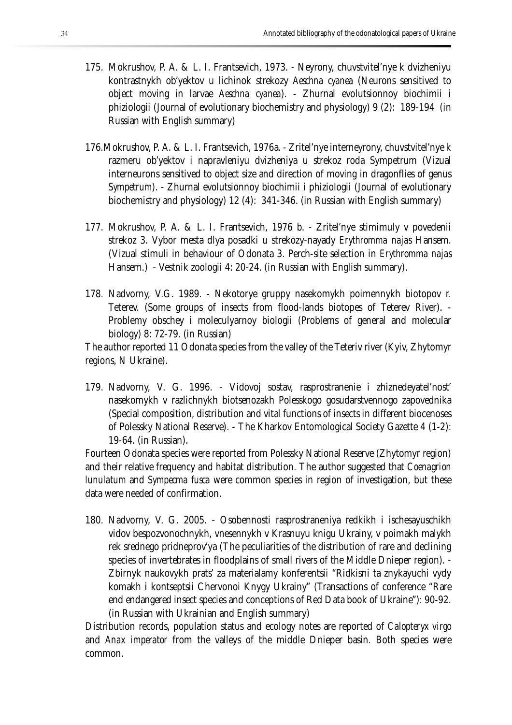- 175. Mokrushov, P. A. & L. I. Frantsevich, 1973. Neyrony, chuvstvitel'nye k dvizheniyu kontrastnykh ob'yektov u lichinok strekozy *Aeschna cyanea* (Neurons sensitived to object moving in larvae *Aeschna cyanea*). - Zhurnal evolutsionnoy biochimii i phiziologii (Journal of evolutionary biochemistry and physiology) 9 (2): 189-194 (in Russian with English summary)
- 176.Mokrushov, P. A. & L. I. Frantsevich, 1976a. Zritel'nye interneyrony, chuvstvitel'nye k razmeru ob'yektov i napravleniyu dvizheniya u strekoz roda Sympetrum (Vizual interneurons sensitived to object size and direction of moving in dragonflies of genus *Sympetrum*). - Zhurnal evolutsionnoy biochimii i phiziologii (Journal of evolutionary biochemistry and physiology) 12 (4): 341-346. (in Russian with English summary)
- 177. Mokrushov, P. A. & L. I. Frantsevich, 1976 b. Zritel'nye stimimuly v povedenii strekoz 3. Vybor mesta dlya posadki u strekozy-nayady *Erythromma najas* Hansem. (Vizual stimuli in behaviour of Odonata 3. Perch-site selection in *Erythromma najas*  Hansem.) - Vestnik zoologii 4: 20-24. (in Russian with English summary).
- 178. Nadvorny, V.G. 1989. Nekotorye gruppy nasekomykh poimennykh biotopov r. Teterev. (Some groups of insects from flood-lands biotopes of Teterev River). - Problemy obschey i moleculyarnoy biologii (Problems of general and molecular biology) 8: 72-79. (in Russian)

The author reported 11 Odonata species from the valley of the Teteriv river (Kyiv, Zhytomyr regions, N Ukraine).

179. Nadvorny, V. G. 1996. - Vidovoj sostav, rasprostranenie i zhiznedeyatel'nost' nasekomykh v razlichnykh biotsenozakh Polesskogo gosudarstvennogo zapovednika (Special composition, distribution and vital functions of insects in different biocenoses of Polessky National Reserve). - The Kharkov Entomological Society Gazette 4 (1-2): 19-64. (in Russian).

Fourteen Odonata species were reported from Polessky National Reserve (Zhytomyr region) and their relative frequency and habitat distribution. The author suggested that *Coenagrion lunulatum* and *Sympecma fusca* were common species in region of investigation, but these data were needed of confirmation.

180. Nadvorny, V. G. 2005. - Osobennosti rasprostraneniya redkikh i ischesayuschikh vidov bespozvonochnykh, vnesennykh v Krasnuyu knigu Ukrainy, v poimakh malykh rek srednego pridneprov'ya (The peculiarities of the distribution of rare and declining species of invertebrates in floodplains of small rivers of the Middle Dnieper region). - Zbirnyk naukovykh prats' za materialamy konferentsii "Ridkisni ta znykayuchi vydy komakh i kontseptsii Chervonoi Knygy Ukrainy" (Transactions of conference "Rare end endangered insect species and conceptions of Red Data book of Ukraine"): 90-92. (in Russian with Ukrainian and English summary)

Distribution records, population status and ecology notes are reported of *Calopteryx virgo* and *Anax imperator* from the valleys of the middle Dnieper basin. Both species were common.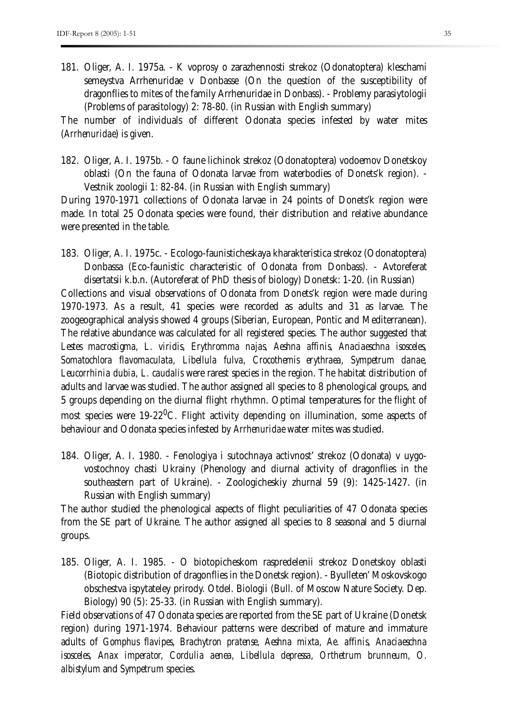181. Oliger, A. I. 1975a. - K voprosy o zarazhennosti strekoz (Odonatoptera) kleschami semeystva Arrhenuridae v Donbasse (On the question of the susceptibility of dragonflies to mites of the family Arrhenuridae in Donbass). - Problemy parasiytologii (Problems of parasitology) 2: 78-80. (in Russian with English summary)

The number of individuals of different Odonata species infested by water mites (*Arrhenuridae*) is given.

182. Oliger, A. I. 1975b. - O faune lichinok strekoz (Odonatoptera) vodoemov Donetskoy oblasti (On the fauna of Odonata larvae from waterbodies of Donets'k region). - Vestnik zoologii 1: 82-84. (in Russian with English summary)

During 1970-1971 collections of Odonata larvae in 24 points of Donets'k region were made. In total 25 Odonata species were found, their distribution and relative abundance were presented in the table.

183. Oliger, A. I. 1975c. - Ecologo-faunisticheskaya kharakteristica strekoz (Odonatoptera) Donbassa (Eco-faunistic characteristic of Odonata from Donbass). - Avtoreferat disertatsii k.b.n. (Autoreferat of PhD thesis of biology) Donetsk: 1-20. (in Russian) Collections and visual observations of Odonata from Donets'k region were made during 1970-1973. As a result, 41 species were recorded as adults and 31 as larvae. The zoogeographical analysis showed 4 groups (Siberian, European, Pontic and Mediterranean). The relative abundance was calculated for all registered species. The author suggested that *Lestes macrostigma, L. viridis, Erythromma najas, Aeshna affinis, Anaciaeschna isosceles, Somatochlora flavomaculata, Libellula fulva, Crocothemis erythraea, Sympetrum danae, Leucorrhinia dubia, L. caudalis* were rarest species in the region. The habitat distribution of adults and larvae was studied. The author assigned all species to 8 phenological groups, and 5 groups depending on the diurnal flight rhythmn. Optimal temperatures for the flight of most species were 19-22 $\rm ^{0}C$ . Flight activity depending on illumination, some aspects of behaviour and Odonata species infested by *Arrhenuridae* water mites was studied.

184. Oliger, A. I. 1980. - Fenologiya i sutochnaya activnost' strekoz (Odonata) v uygovostochnoy chasti Ukrainy (Phenology and diurnal activity of dragonflies in the southeastern part of Ukraine). - Zoologicheskiy zhurnal 59 (9): 1425-1427. (in Russian with English summary)

The author studied the phenological aspects of flight peculiarities of 47 Odonata species from the SE part of Ukraine. The author assigned all species to 8 seasonal and 5 diurnal groups.

185. Oliger, A. I. 1985. - O biotopicheskom raspredelenii strekoz Donetskoy oblasti (Biotopic distribution of dragonflies in the Donetsk region). - Byulleten' Moskovskogo obschestva ispytateley prirody. Otdel. Biologii (Bull. of Moscow Nature Society. Dep. Biology) 90 (5): 25-33. (in Russian with English summary).

Field observations of 47 Odonata species are reported from the SE part of Ukraine (Donetsk region) during 1971-1974. Behaviour patterns were described of mature and immature adults of *Gomphus flavipes*, *Brachytron pratense, Aeshna mixta, Ae. affinis, Anaciaeschna isosceles, Anax imperator, Cordulia aenea, Libellula depressa, Orthetrum brunneum, O. albistylum* and *Sympetrum* species.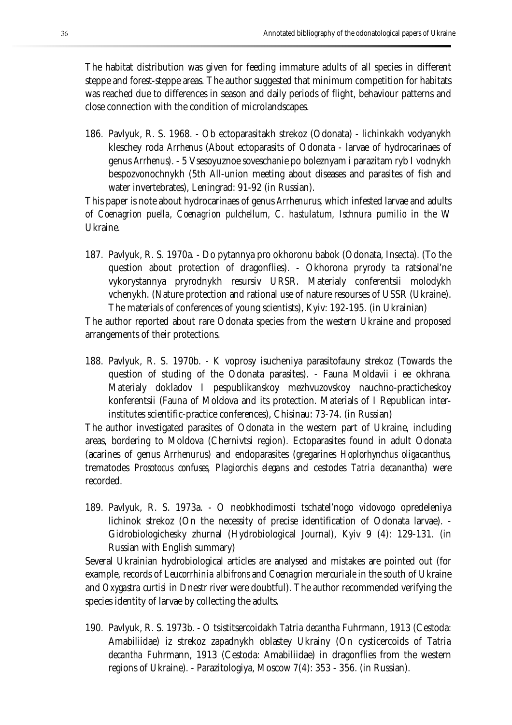The habitat distribution was given for feeding immature adults of all species in different steppe and forest-steppe areas. The author suggested that minimum competition for habitats was reached due to differences in season and daily periods of flight, behaviour patterns and close connection with the condition of microlandscapes.

186. Pavlyuk, R. S. 1968. - Ob ectoparasitakh strekoz (Odonata) - lichinkakh vodyanykh kleschey roda *Arrhenus* (About ectoparasits of Odonata - larvae of hydrocarinaes of genus *Arrhenus*). - 5 Vsesoyuznoe soveschanie po boleznyam i parazitam ryb I vodnykh bespozvonochnykh (5th All-union meeting about diseases and parasites of fish and water invertebrates), Leningrad: 91-92 (in Russian).

This paper is note about hydrocarinaes of genus *Arrhenurus*, which infested larvae and adults of *Coenagrion puella, Coenagrion pulchellum, C. hastulatum, Ischnura pumilio* in the W Ukraine.

187. Pavlyuk, R. S. 1970a. - Do pytannya pro okhoronu babok (Odonata, Insecta). (To the question about protection of dragonflies). - Okhorona pryrody ta ratsional'ne vykorystannya pryrodnykh resursiv URSR. Materialy conferentsii molodykh vchenykh. (Nature protection and rational use of nature resourses of USSR (Ukraine). The materials of conferences of young scientists), Kyiv: 192-195. (in Ukrainian)

The author reported about rare Odonata species from the western Ukraine and proposed arrangements of their protections.

188. Pavlyuk, R. S. 1970b. - K voprosy isucheniya parasitofauny strekoz (Towards the question of studing of the Odonata parasites). - Fauna Moldavii i ee okhrana. Materialy dokladov I pespublikanskoy mezhvuzovskoy nauchno-practicheskoy konferentsii (Fauna of Moldova and its protection. Materials of I Republican interinstitutes scientific-practice conferences), Chisinau: 73-74. (in Russian)

The author investigated parasites of Odonata in the western part of Ukraine, including areas, bordering to Moldova (Chernivtsi region). Ectoparasites found in adult Odonata (acarines of genus *Arrhenuru*s) and endoparasites (gregarines *Hoplorhynchus oligacanthus*, trematodes *Prosotocus confuses, Plagiorchis elegans* and cestodes *Tatria decanantha*) were recorded.

189. Pavlyuk, R. S. 1973a. - O neobkhodimosti tschatel'nogo vidovogo opredeleniya lichinok strekoz (On the necessity of precise identification of Odonata larvae). - Gidrobiologichesky zhurnal (Hydrobiological Journal), Kyiv 9 (4): 129-131. (in Russian with English summary)

Several Ukrainian hydrobiological articles are analysed and mistakes are pointed out (for example, records of *Leucorrhinia albifrons* and *Coenagrion mercuriale* in the south of Ukraine and *Oxygastra curtisi* in Dnestr river were doubtful). The author recommended verifying the species identity of larvae by collecting the adults.

190. Pavlyuk, R. S. 1973b. - O tsistitsercoidakh *Tatria decantha* Fuhrmann, 1913 (Cestoda: Amabiliidae) iz strekoz zapadnykh oblastey Ukrainy (On cysticercoids of *Tatria decantha* Fuhrmann, 1913 (Cestoda: Amabiliidae) in dragonflies from the western regions of Ukraine). - Parazitologiya, Moscow 7(4): 353 - 356. (in Russian).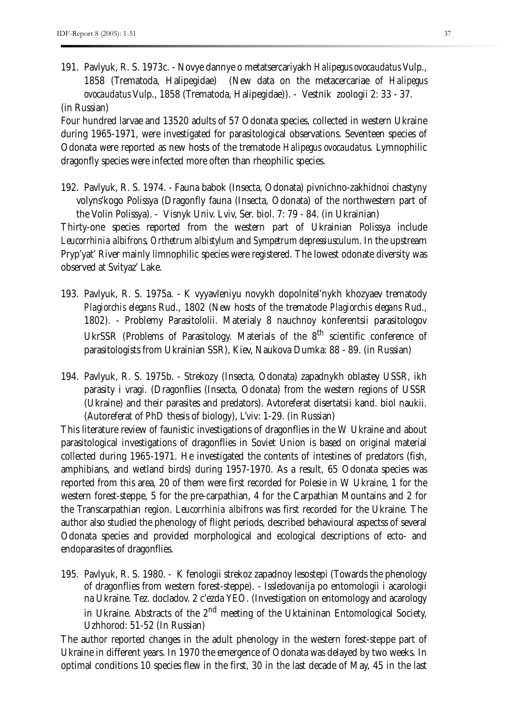191. Pavlyuk, R. S. 1973c. - Novye dannye o metatsercariyakh *Halipegus ovocaudatus* Vulp., 1858 (Trematoda, Halipegidae) (New data on the metacercariae of *Halipegus ovocaudatus* Vulp., 1858 (Trematoda, Halipegidae)). - Vestnik zoologii 2: 33 - 37.

(in Russian)

Four hundred larvae and 13520 adults of 57 Odonata species, collected in western Ukraine during 1965-1971, were investigated for parasitological observations. Seventeen species of Odonata were reported as new hosts of the trematode *Halipegus ovocaudatus*. Lymnophilic dragonfly species were infected more often than rheophilic species.

- 192. Pavlyuk, R. S. 1974. Fauna babok (Insecta, Odonata) pivnichno-zakhidnoi chastyny volyns'kogo Polissya (Dragonfly fauna (Insecta, Odonata) of the northwestern part of the Volin Polissya). - Visnyk Univ. Lviv, Ser. biol. 7: 79 - 84. (in Ukrainian) Thirty-one species reported from the western part of Ukrainian Polissya include *Leucorrhinia albifrons, Orthetrum albistylum* and *Sympetrum depressiusculum*. In the upstream Pryp'yat' River mainly limnophilic species were registered. The lowest odonate diversity was observed at Svityaz' Lake.
- 193. Pavlyuk, R. S. 1975a. K vyyavleniyu novykh dopolnitel'nykh khozyaev trematody *Plagiorchis elegans* Rud., 1802 (New hosts of the trematode *Plagiorchis elegans* Rud., 1802). - Problemy Parasitololii. Materialy 8 nauchnoy konferentsii parasitologov UkrSSR (Problems of Parasitology. Materials of the 8<sup>th</sup> scientific conference of parasitologists from Ukrainian SSR), Kiev, Naukova Dumka: 88 - 89. (in Russian)
- 194. Pavlyuk, R. S. 1975b. Strekozy (Insecta, Odonata) zapadnykh oblastey USSR, ikh parasity i vragi. (Dragonflies (Insecta, Odonata) from the western regions of USSR (Ukraine) and their parasites and predators). Avtoreferat disertatsii kand. biol naukii. (Autoreferat of PhD thesis of biology), L'viv: 1-29. (in Russian)

This literature review of faunistic investigations of dragonflies in the W Ukraine and about parasitological investigations of dragonflies in Soviet Union is based on original material collected during 1965-1971. He investigated the contents of intestines of predators (fish, amphibians, and wetland birds) during 1957-1970. As a result, 65 Odonata species was reported from this area, 20 of them were first recorded for Polesie in W Ukraine, 1 for the western forest-steppe, 5 for the pre-carpathian, 4 for the Carpathian Mountains and 2 for the Transcarpathian region. *Leucorrhinia albifrons* was first recorded for the Ukraine. The author also studied the phenology of flight periods, described behavioural aspectss of several Odonata species and provided morphological and ecological descriptions of ecto- and endoparasites of dragonflies.

195. Pavlyuk, R. S. 1980. - K fenologii strekoz zapadnoy lesostepi (Towards the phenology of dragonflies from western forest-steppe). - Issledovanija po entomologii i acarologii na Ukraine. Tez. docladov. 2 c'ezda YEO. (Investigation on entomology and acarology in Ukraine. Abstracts of the  $2<sup>nd</sup>$  meeting of the Uktaininan Entomological Society, Uzhhorod: 51-52 (In Russian)

The author reported changes in the adult phenology in the western forest-steppe part of Ukraine in different years. In 1970 the emergence of Odonata was delayed by two weeks. In optimal conditions 10 species flew in the first, 30 in the last decade of May, 45 in the last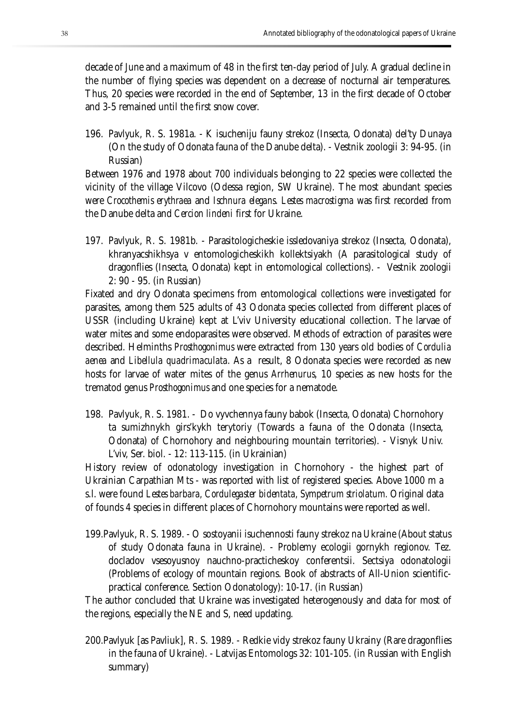decade of June and a maximum of 48 in the first ten-day period of July. A gradual decline in the number of flying species was dependent on a decrease of nocturnal air temperatures. Thus, 20 species were recorded in the end of September, 13 in the first decade of October and 3-5 remained until the first snow cover.

196. Pavlyuk, R. S. 1981a. - K isucheniju fauny strekoz (Insecta, Odonata) del'ty Dunaya (On the study of Odonata fauna of the Danube delta). - Vestnik zoologii 3: 94-95. (in Russian)

Between 1976 and 1978 about 700 individuals belonging to 22 species were collected the vicinity of the village Vilcovo (Odessa region, SW Ukraine). The most abundant species were *Crocothemis erythraea* and *Ischnura elegans*. *Lestes macrostigma* was first recorded from the Danube delta and *Cercion lindeni* first for Ukraine.

197. Pavlyuk, R. S. 1981b. - Parasitologicheskie issledovaniya strekoz (Insecta, Odonata), khranyacshikhsya v entomologicheskikh kollektsiyakh (A parasitological study of dragonflies (Insecta, Odonata) kept in entomological collections). - Vestnik zoologii 2: 90 - 95. (in Russian)

Fixated and dry Odonata specimens from entomological collections were investigated for parasites, among them 525 adults of 43 Odonata species collected from different places of USSR (including Ukraine) kept at L'viv University educational collection. The larvae of water mites and some endoparasites were observed. Methods of extraction of parasites were described. Helminths *Prosthogonimus* were extracted from 130 years old bodies of *Cordulia aenea* and *Libellula quadrimaculata*. As a result, 8 Odonata species were recorded as new hosts for larvae of water mites of the genus *Arrhenurus*, 10 species as new hosts for the trematod genus *Prosthogonimus* and one species for a nematode.

198. Pavlyuk, R. S. 1981. - Do vyvchennya fauny babok (Insecta, Odonata) Chornohory ta sumizhnykh girs'kykh terytoriy (Towards a fauna of the Odonata (Insecta, Odonata) of Chornohory and neighbouring mountain territories). - Visnyk Univ. L'viv, Ser. biol. - 12: 113-115. (in Ukrainian)

History review of odonatology investigation in Chornohory - the highest part of Ukrainian Carpathian Mts - was reported with list of registered species. Above 1000 m a s.l. were found *Lestes barbara, Cordulegaster bidentata, Sympetrum striolatum.* Original data of founds 4 species in different places of Chornohory mountains were reported as well.

199.Pavlyuk, R. S. 1989. - O sostoyanii isuchennosti fauny strekoz na Ukraine (About status of study Odonata fauna in Ukraine). - Problemy ecologii gornykh regionov. Tez. docladov vsesoyusnoy nauchno-practicheskoy conferentsii. Sectsiya odonatologii (Problems of ecology of mountain regions. Book of abstracts of All-Union scientificpractical conference. Section Odonatology): 10-17. (in Russian)

The author concluded that Ukraine was investigated heterogenously and data for most of the regions, especially the NE and S, need updating.

200.Pavlyuk [as Pavliuk], R. S. 1989. - Redkie vidy strekoz fauny Ukrainy (Rare dragonflies in the fauna of Ukraine). - Latvijas Entomologs 32: 101-105. (in Russian with English summary)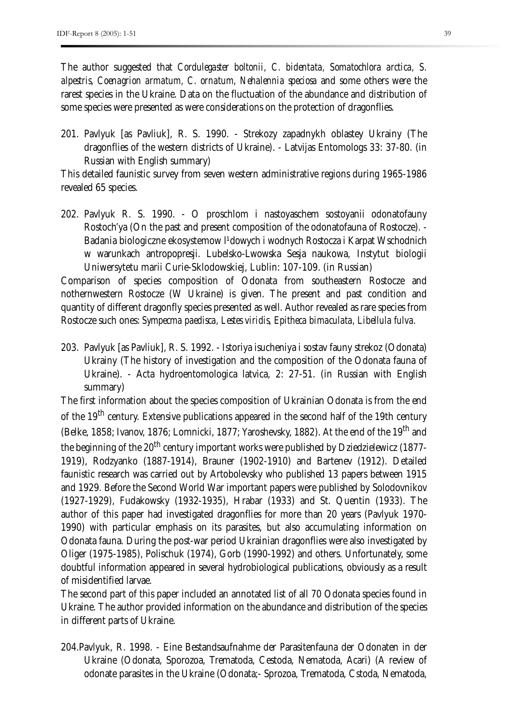The author suggested that *Cordulegaster boltonii, C. bidentata, Somatochlora arctica, S. alpestris, Coenagrion armatum, C. ornatum, Nehalennia speciosa* and some others were the rarest species in the Ukraine. Data on the fluctuation of the abundance and distribution of some species were presented as were considerations on the protection of dragonflies.

201. Pavlyuk [as Pavliuk], R. S. 1990. - Strekozy zapadnykh oblastey Ukrainy (The dragonflies of the western districts of Ukraine). - Latvijas Entomologs 33: 37-80. (in Russian with English summary)

This detailed faunistic survey from seven western administrative regions during 1965-1986 revealed 65 species.

202. Pavlyuk R. S. 1990. - O proschlom i nastoyaschem sostoyanii odonatofauny Rostoch'ya (On the past and present composition of the odonatofauna of Rostocze). - Badania biologiczne ekosystemow l<sup>1</sup>dowych i wodnych Rostocza i Karpat Wschodnich w warunkach antropopresji. Lubelsko-Lwowska Sesja naukowa, Instytut biologii Uniwersytetu marii Curie-Sklodowskiej, Lublin: 107-109. (in Russian)

Comparison of species composition of Odonata from southeastern Rostocze and nothernwestern Rostocze (W Ukraine) is given. The present and past condition and quantity of different dragonfly species presented as well. Author revealed as rare species from Rostocze such ones: *Sympecma paedisca, Lestes viridis, Epitheca bimaculata, Libellula fulva.* 

203. Pavlyuk [as Pavliuk], R. S. 1992. - Istoriya isucheniya i sostav fauny strekoz (Odonata) Ukrainy (The history of investigation and the composition of the Odonata fauna of Ukraine). - Acta hydroentomologica latvica, 2: 27-51. (in Russian with English summary)

The first information about the species composition of Ukrainian Odonata is from the end of the 19<sup>th</sup> century. Extensive publications appeared in the second half of the 19th century (Belke, 1858; Ivanov, 1876; Lomnicki, 1877; Yaroshevsky, 1882). At the end of the 19<sup>th</sup> and the beginning of the  $20<sup>th</sup>$  century important works were published by Dziedzielewicz (1877-1919), Rodzyanko (1887-1914), Brauner (1902-1910) and Bartenev (1912). Detailed faunistic research was carried out by Artobolevsky who published 13 papers between 1915 and 1929. Before the Second World War important papers were published by Solodovnikov (1927-1929), Fudakowsky (1932-1935), Hrabar (1933) and St. Quentin (1933). The author of this paper had investigated dragonflies for more than 20 years (Pavlyuk 1970- 1990) with particular emphasis on its parasites, but also accumulating information on Odonata fauna. During the post-war period Ukrainian dragonflies were also investigated by Oliger (1975-1985), Polischuk (1974), Gorb (1990-1992) and others. Unfortunately, some doubtful information appeared in several hydrobiological publications, obviously as a result of misidentified larvae.

The second part of this paper included an annotated list of all 70 Odonata species found in Ukraine. The author provided information on the abundance and distribution of the species in different parts of Ukraine.

204.Pavlyuk, R. 1998. - Eine Bestandsaufnahme der Parasitenfauna der Odonaten in der Ukraine (Odonata, Sporozoa, Trematoda, Cestoda, Nematoda, Acari) (A review of odonate parasites in the Ukraine (Odonata;- Sprozoa, Trematoda, Cstoda, Nematoda,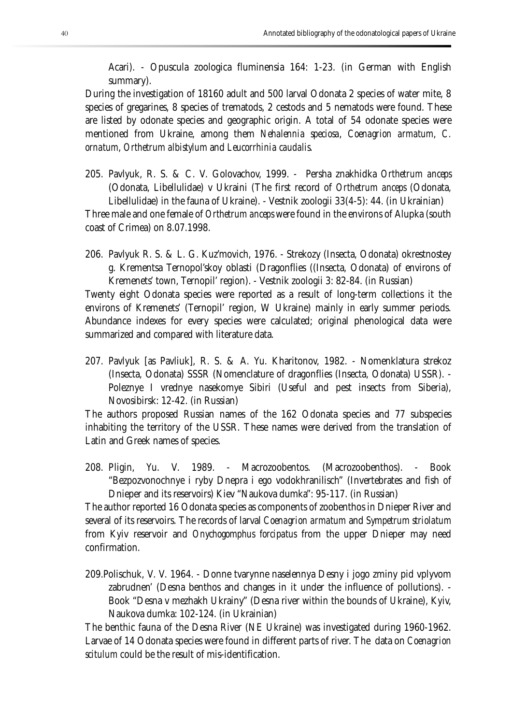Acari). - Opuscula zoologica fluminensia 164: 1-23. (in German with English summary).

During the investigation of 18160 adult and 500 larval Odonata 2 species of water mite, 8 species of gregarines, 8 species of trematods, 2 cestods and 5 nematods were found. These are listed by odonate species and geographic origin. A total of 54 odonate species were mentioned from Ukraine, among them *Nehalennia speciosa*, *Coenagrion armatum*, *C. ornatum*, *Orthetrum albistylum* and *Leucorrhinia caudalis*.

205. Pavlyuk, R. S. & C. V. Golovachov, 1999. - Persha znakhidka *Orthetrum anceps* (Odonata, Libellulidae) v Ukraini (The first record of *Orthetrum anceps* (Odonata, Libellulidae) in the fauna of Ukraine). - Vestnik zoologii 33(4-5): 44. (in Ukrainian)

Three male and one female of *Orthetrum anceps* were found in the environs of Alupka (south coast of Crimea) on 8.07.1998.

206. Pavlyuk R. S. & L. G. Kuz'movich, 1976. - Strekozy (Insecta, Odonata) okrestnostey g. Krementsa Ternopol'skoy oblasti (Dragonflies ((Insecta, Odonata) of environs of Kremenets' town, Ternopil' region). - Vestnik zoologii 3: 82-84. (in Russian)

Twenty eight Odonata species were reported as a result of long-term collections it the environs of Kremenets' (Ternopil' region, W Ukraine) mainly in early summer periods. Abundance indexes for every species were calculated; original phenological data were summarized and compared with literature data.

207. Pavlyuk [as Pavliuk], R. S. & A. Yu. Kharitonov, 1982. - Nomenklatura strekoz (Insecta, Odonata) SSSR (Nomenclature of dragonflies (Insecta, Odonata) USSR). - Poleznye I vrednye nasekomye Sibiri (Useful and pest insects from Siberia), Novosibirsk: 12-42. (in Russian)

The authors proposed Russian names of the 162 Odonata species and 77 subspecies inhabiting the territory of the USSR. These names were derived from the translation of Latin and Greek names of species.

208. Pligin, Yu. V. 1989. - Macrozoobentos. (Macrozoobenthos). - Book "Bezpozvonochnye i ryby Dnepra i ego vodokhranilisch" (Invertebrates and fish of Dnieper and its reservoirs) Kiev "Naukova dumka": 95-117. (in Russian)

The author reported 16 Odonata species as components of zoobenthos in Dnieper River and several of its reservoirs. The records of larval *Coenagrion armatum* and *Sympetrum striolatum* from Kyiv reservoir and *Onychogomphus forcipatus* from the upper Dnieper may need confirmation.

209.Polischuk, V. V. 1964. - Donne tvarynne naselennya Desny i jogo zminy pid vplyvom zabrudnen' (Desna benthos and changes in it under the influence of pollutions). - Book "Desna v mezhakh Ukrainy" (Desna river within the bounds of Ukraine), Kyiv, Naukova dumka: 102-124. (in Ukrainian)

The benthic fauna of the Desna River (NE Ukraine) was investigated during 1960-1962. Larvae of 14 Odonata species were found in different parts of river. The data on *Coenagrion scitulum* could be the result of mis-identification.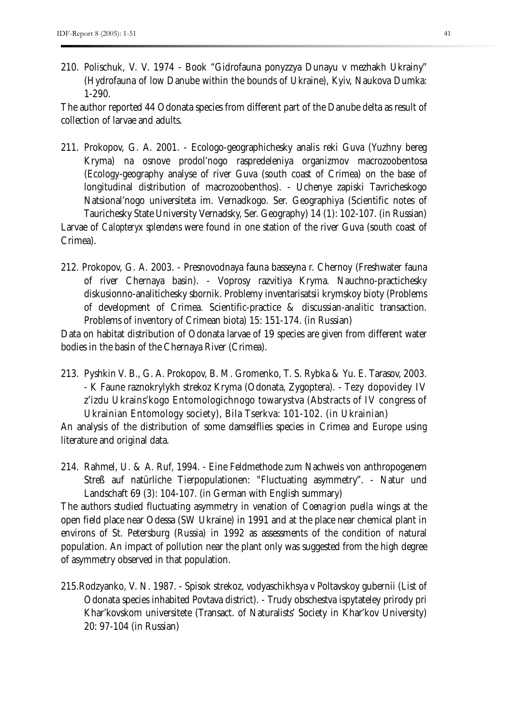210. Polischuk, V. V. 1974 - Book "Gidrofauna ponyzzya Dunayu v mezhakh Ukrainy" (Hydrofauna of low Danube within the bounds of Ukraine), Kyiv, Naukova Dumka: 1-290.

The author reported 44 Odonata species from different part of the Danube delta as result of collection of larvae and adults.

- 211. Prokopov, G. A. 2001. Ecologo-geographichesky analis reki Guva (Yuzhny bereg Kryma) na osnove prodol'nogo raspredeleniya organizmov macrozoobentosa (Ecology-geography analyse of river Guva (south coast of Crimea) on the base of longitudinal distribution of macrozoobenthos). - Uchenye zapiski Tavricheskogo Natsional'nogo universiteta im. Vernadkogo. Ser. Geographiya (Scientific notes of Taurichesky State University Vernadsky, Ser. Geography) 14 (1): 102-107. (in Russian) Larvae of *Calopteryx splendens* were found in one station of the river Guva (south coast of Crimea).
- 212. Prokopov, G. A. 2003. Presnovodnaya fauna basseyna r. Chernoy (Freshwater fauna of river Chernaya basin). - Voprosy razvitiya Kryma. Nauchno-practichesky diskusionno-analitichesky sbornik. Problemy inventarisatsii krymskoy bioty (Problems of development of Crimea. Scientific-practice & discussian-analitic transaction. Problems of inventory of Crimean biota) 15: 151-174. (in Russian)

Data on habitat distribution of Odonata larvae of 19 species are given from different water bodies in the basin of the Chernaya River (Crimea).

213. Pyshkin V. B., G. A. Prokopov, B. M. Gromenko, T. S. Rybka & Yu. E. Tarasov, 2003. - K Faune raznokrylykh strekoz Kryma (Odonata, Zygoptera). - Tezy dopovidey IV z'izdu Ukrains'kogo Entomologichnogo towarystva (Abstracts of IV congress of Ukrainian Entomology society), Bila Tserkva: 101-102. (in Ukrainian)

An analysis of the distribution of some damselflies species in Crimea and Europe using literature and original data.

214. Rahmel, U. & A. Ruf, 1994. - Eine Feldmethode zum Nachweis von anthropogenem Streß auf natürliche Tierpopulationen: "Fluctuating asymmetry". - Natur und Landschaft 69 (3): 104-107. (in German with English summary)

The authors studied fluctuating asymmetry in venation of *Coenagrion puella* wings at the open field place near Odessa (SW Ukraine) in 1991 and at the place near chemical plant in environs of St. Petersburg (Russia) in 1992 as assessments of the condition of natural population. An impact of pollution near the plant only was suggested from the high degree of asymmetry observed in that population.

215.Rodzyanko, V. N. 1987. - Spisok strekoz, vodyaschikhsya v Poltavskoy gubernii (List of Odonata species inhabited Povtava district). - Trudy obschestva ispytateley prirody pri Khar'kovskom universitete (Transact. of Naturalists' Society in Khar'kov University) 20: 97-104 (in Russian)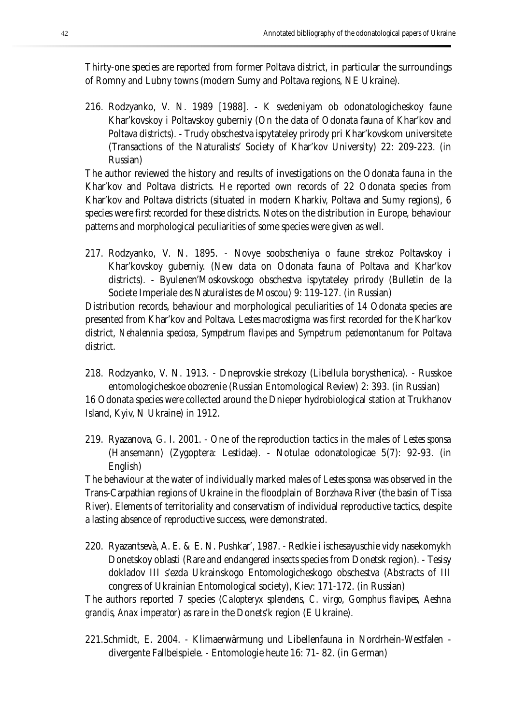Thirty-one species are reported from former Poltava district, in particular the surroundings of Romny and Lubny towns (modern Sumy and Poltava regions, NE Ukraine).

216. Rodzyanko, V. N. 1989 [1988]. - K svedeniyam ob odonatologicheskoy faune Khar'kovskoy i Poltavskoy guberniy (On the data of Odonata fauna of Khar'kov and Poltava districts). - Trudy obschestva ispytateley prirody pri Khar'kovskom universitete (Transactions of the Naturalists' Society of Khar'kov University) 22: 209-223. (in Russian)

The author reviewed the history and results of investigations on the Odonata fauna in the Khar'kov and Poltava districts. He reported own records of 22 Odonata species from Khar'kov and Poltava districts (situated in modern Kharkiv, Poltava and Sumy regions), 6 species were first recorded for these districts. Notes on the distribution in Europe, behaviour patterns and morphological peculiarities of some species were given as well.

217. Rodzyanko, V. N. 1895. - Novye soobscheniya o faune strekoz Poltavskoy i Khar'kovskoy guberniy. (New data on Odonata fauna of Poltava and Khar'kov districts). - Byulenen'Moskovskogo obschestva ispytateley prirody (Bulletin de la Societe Imperiale des Naturalistes de Moscou) 9: 119-127. (in Russian)

Distribution records, behaviour and morphological peculiarities of 14 Odonata species are presented from Khar'kov and Poltava. *Lestes macrostigma* was first recorded for the Khar'kov district, *Nehalennia speciosa*, *Sympetrum flavipes* and *Sympetrum pedemontanum* for Poltava district.

218. Rodzyanko, V. N. 1913. - Dneprovskie strekozy (Libellula borysthenica). - Russkoe entomologicheskoe obozrenie (Russian Entomological Review) 2: 393. (in Russian) 16 Odonata species were collected around the Dnieper hydrobiological station at Trukhanov

Island, Kyiv, N Ukraine) in 1912.

219. Ryazanova, G. I. 2001. - One of the reproduction tactics in the males of *Lestes sponsa*  (Hansemann) (Zygoptera: Lestidae). - Notulae odonatologicae 5(7): 92-93. (in English)

The behaviour at the water of individually marked males of *Lestes sponsa* was observed in the Trans-Carpathian regions of Ukraine in the floodplain of Borzhava River (the basin of Tissa River). Elements of territoriality and conservatism of individual reproductive tactics, despite a lasting absence of reproductive success, were demonstrated.

220. Ryazantsevà, A. E. & E. N. Pushkar', 1987. - Redkie i ischesayuschie vidy nasekomykh Donetskoy oblasti (Rare and endangered insects species from Donetsk region). - Tesisy dokladov III s'ezda Ukrainskogo Entomologicheskogo obschestva (Abstracts of III congress of Ukrainian Entomological society), Kiev: 171-172. (in Russian)

The authors reported 7 species (*Calopteryx splendens*, *C. virgo*, *Gomphus flavipes*, *Aeshna grandis*, *Anax imperator*) as rare in the Donets'k region (E Ukraine).

221.Schmidt, E. 2004. - Klimaerwärmung und Libellenfauna in Nordrhein-Westfalen divergente Fallbeispiele. - Entomologie heute 16: 71- 82. (in German)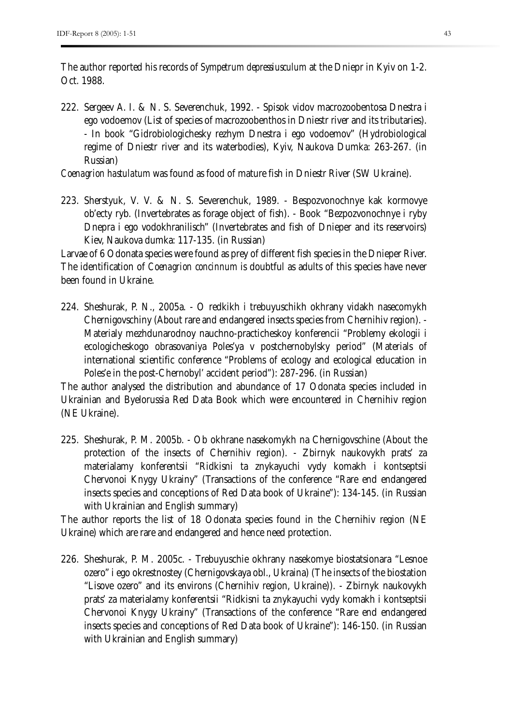The author reported his records of *Sympetrum depressiusculum* at the Dniepr in Kyiv on 1-2. Oct. 1988.

222. Sergeev A. I. & N. S. Severenchuk, 1992. - Spisok vidov macrozoobentosa Dnestra i ego vodoemov (List of species of macrozoobenthos in Dniestr river and its tributaries). - In book "Gidrobiologichesky rezhym Dnestra i ego vodoemov" (Hydrobiological regime of Dniestr river and its waterbodies), Kyiv, Naukova Dumka: 263-267. (in Russian)

*Coenagrion hastulatum* was found as food of mature fish in Dniestr River (SW Ukraine).

223. Sherstyuk, V. V. & N. S. Severenchuk, 1989. - Bespozvonochnye kak kormovye ob'ecty ryb. (Invertebrates as forage object of fish). - Book "Bezpozvonochnye i ryby Dnepra i ego vodokhranilisch" (Invertebrates and fish of Dnieper and its reservoirs) Kiev, Naukova dumka: 117-135. (in Russian)

Larvae of 6 Odonata species were found as prey of different fish species in the Dnieper River. The identification of *Coenagrion concinnum* is doubtful as adults of this species have never been found in Ukraine.

224. Sheshurak, P. N., 2005a. - O redkikh i trebuyuschikh okhrany vidakh nasecomykh Chernigovschiny (About rare and endangered insects species from Chernihiv region). - Materialy mezhdunarodnoy nauchno-practicheskoy konferencii "Problemy ekologii i ecologicheskogo obrasovaniya Poles'ya v postchernobylsky period" (Materials of international scientific conference "Problems of ecology and ecological education in Poles'e in the post-Chernobyl' accident period"): 287-296. (in Russian)

The author analysed the distribution and abundance of 17 Odonata species included in Ukrainian and Byelorussia Red Data Book which were encountered in Chernihiv region (NE Ukraine).

225. Sheshurak, P. M. 2005b. - Ob okhrane nasekomykh na Chernigovschine (About the protection of the insects of Chernihiv region). - Zbirnyk naukovykh prats' za materialamy konferentsii "Ridkisni ta znykayuchi vydy komakh i kontseptsii Chervonoi Knygy Ukrainy" (Transactions of the conference "Rare end endangered insects species and conceptions of Red Data book of Ukraine"): 134-145. (in Russian with Ukrainian and English summary)

The author reports the list of 18 Odonata species found in the Chernihiv region (NE Ukraine) which are rare and endangered and hence need protection.

226. Sheshurak, P. M. 2005c. - Trebuyuschie okhrany nasekomye biostatsionara "Lesnoe ozero" i ego okrestnostey (Chernigovskaya obl., Ukraina) (The insects of the biostation "Lisove ozero" and its environs (Chernihiv region, Ukraine)). - Zbirnyk naukovykh prats' za materialamy konferentsii "Ridkisni ta znykayuchi vydy komakh i kontseptsii Chervonoi Knygy Ukrainy" (Transactions of the conference "Rare end endangered insects species and conceptions of Red Data book of Ukraine"): 146-150. (in Russian with Ukrainian and English summary)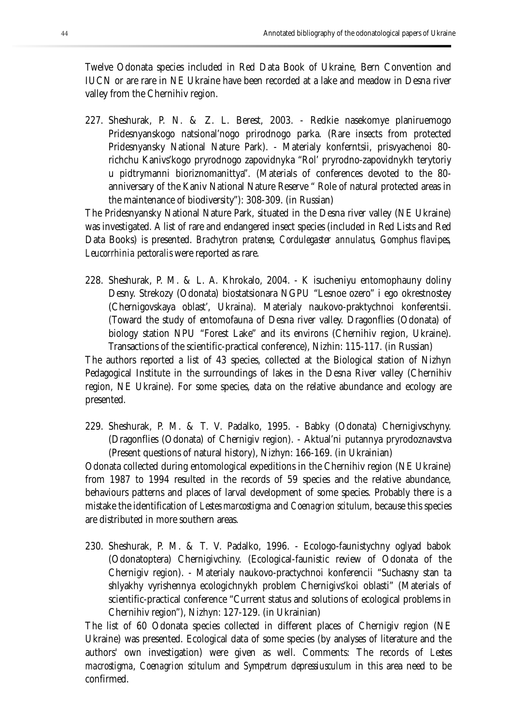Twelve Odonata species included in Red Data Book of Ukraine, Bern Convention and IUCN or are rare in NE Ukraine have been recorded at a lake and meadow in Desna river valley from the Chernihiv region.

227. Sheshurak, P. N. & Z. L. Berest, 2003. - Redkie nasekomye planiruemogo Pridesnyanskogo natsional'nogo prirodnogo parka. (Rare insects from protected Pridesnyansky National Nature Park). - Materialy konferntsii, prisvyachenoi 80 richchu Kanivs'kogo pryrodnogo zapovidnyka "Rol' pryrodno-zapovidnykh terytoriy u pidtrymanni bioriznomanittya". (Materials of conferences devoted to the 80 anniversary of the Kaniv National Nature Reserve " Role of natural protected areas in the maintenance of biodiversity"): 308-309. (in Russian)

The Pridesnyansky National Nature Park, situated in the Desna river valley (NE Ukraine) was investigated. A list of rare and endangered insect species (included in Red Lists and Red Data Books) is presented. *Brachytron pratense*, *Cordulegaster annulatus*, *Gomphus flavipes, Leucorrhinia pectoralis* were reported as rare.

228. Sheshurak, P. M. & L. A. Khrokalo, 2004. - K isucheniyu entomophauny doliny Desny. Strekozy (Odonata) biostatsionara NGPU "Lesnoe ozero" i ego okrestnostey (Chernigovskaya oblast', Ukraina). Materialy naukovo-praktychnoi konferentsii. (Toward the study of entomofauna of Desna river valley. Dragonflies (Odonata) of biology station NPU "Forest Lake" and its environs (Chernihiv region, Ukraine). Transactions of the scientific-practical conference), Nizhin: 115-117. (in Russian)

The authors reported a list of 43 species, collected at the Biological station of Nizhyn Pedagogical Institute in the surroundings of lakes in the Desna River valley (Chernihiv region, NE Ukraine). For some species, data on the relative abundance and ecology are presented.

229. Sheshurak, P. M. & T. V. Padalko, 1995. - Babky (Odonata) Chernigivschyny. (Dragonflies (Odonata) of Chernigiv region). - Aktual'ni putannya pryrodoznavstva (Present questions of natural history), Nizhyn: 166-169. (in Ukrainian)

Odonata collected during entomological expeditions in the Chernihiv region (NE Ukraine) from 1987 to 1994 resulted in the records of 59 species and the relative abundance, behaviours patterns and places of larval development of some species. Probably there is a mistake the identification of *Lestes marcostigma* and *Coenagrion scitulum*, because this species are distributed in more southern areas.

230. Sheshurak, P. M. & T. V. Padalko, 1996. - Ecologo-faunistychny oglyad babok (Odonatoptera) Chernigivchiny. (Ecological-faunistic review of Odonata of the Chernigiv region). - Materialy naukovo-practychnoi konferencii "Suchasny stan ta shlyakhy vyrishennya ecologichnykh problem Chernigivs'koi oblasti" (Materials of scientific-practical conference "Current status and solutions of ecological problems in Chernihiv region"), Nizhyn: 127-129. (in Ukrainian)

The list of 60 Odonata species collected in different places of Chernigiv region (NE Ukraine) was presented. Ecological data of some species (by analyses of literature and the authors' own investigation) were given as well. Comments: The records of *Lestes macrostigma*, *Coenagrion scitulum* and *Sympetrum depressiusculum* in this area need to be confirmed.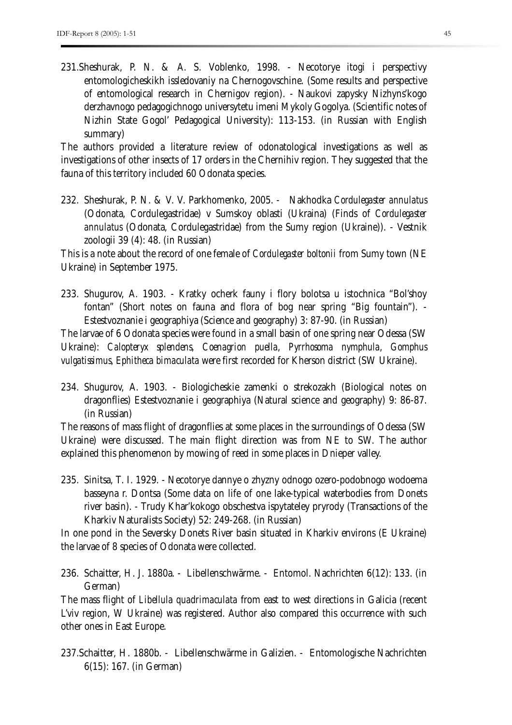231.Sheshurak, P. N. & A. S. Voblenko, 1998. - Necotorye itogi i perspectivy entomologicheskikh issledovaniy na Chernogovschine. (Some results and perspective of entomological research in Chernigov region). - Naukovi zapysky Nizhyns'kogo derzhavnogo pedagogichnogo universytetu imeni Mykoly Gogolya. (Scientific notes of Nizhin State Gogol' Pedagogical University): 113-153. (in Russian with English summary)

The authors provided a literature review of odonatological investigations as well as investigations of other insects of 17 orders in the Chernihiv region. They suggested that the fauna of this territory included 60 Odonata species.

232. Sheshurak, P. N. & V. V. Parkhomenko, 2005. - Nakhodka *Cordulegaster annulatus*  (Odonata, Cordulegastridae) v Sumskoy oblasti (Ukraina) (Finds of *Cordulegaster annulatus* (Odonata, Cordulegastridae) from the Sumy region (Ukraine)). - Vestnik zoologii 39 (4): 48. (in Russian)

This is a note about the record of one female of *Cordulegaster boltonii* from Sumy town (NE Ukraine) in September 1975.

233. Shugurov, A. 1903. - Kratky ocherk fauny i flory bolotsa u istochnica "Bol'shoy fontan" (Short notes on fauna and flora of bog near spring "Big fountain"). - Estestvoznanie i geographiya (Science and geography) 3: 87-90. (in Russian)

The larvae of 6 Odonata species were found in a small basin of one spring near Odessa (SW Ukraine): *Calopteryx splendens*, *Coenagrion puella*, *Pyrrhosoma nymphula*, *Gomphus vulgatissimus*, *Ephitheca bimaculata* were first recorded for Kherson district (SW Ukraine).

234. Shugurov, A. 1903. - Biologicheskie zamenki o strekozakh (Biological notes on dragonflies) Estestvoznanie i geographiya (Natural science and geography) 9: 86-87. (in Russian)

The reasons of mass flight of dragonflies at some places in the surroundings of Odessa (SW Ukraine) were discussed. The main flight direction was from NE to SW. The author explained this phenomenon by mowing of reed in some places in Dnieper valley.

235. Sinitsa, T. I. 1929. - Necotorye dannye o zhyzny odnogo ozero-podobnogo wodoema basseyna r. Dontsa (Some data on life of one lake-typical waterbodies from Donets river basin). - Trudy Khar'kokogo obschestva ispytateley pryrody (Transactions of the Kharkiv Naturalists Society) 52: 249-268. (in Russian)

In one pond in the Seversky Donets River basin situated in Kharkiv environs (E Ukraine) the larvae of 8 species of Odonata were collected.

236. Schaitter, H. J. 1880a. - Libellenschwärme. - Entomol. Nachrichten 6(12): 133. (in German)

The mass flight of *Libellula quadrimaculata* from east to west directions in Galicia (recent L'viv region, W Ukraine) was registered. Author also compared this occurrence with such other ones in East Europe.

237.Schaitter, H. 1880b. - Libellenschwärme in Galizien. - Entomologische Nachrichten 6(15): 167. (in German)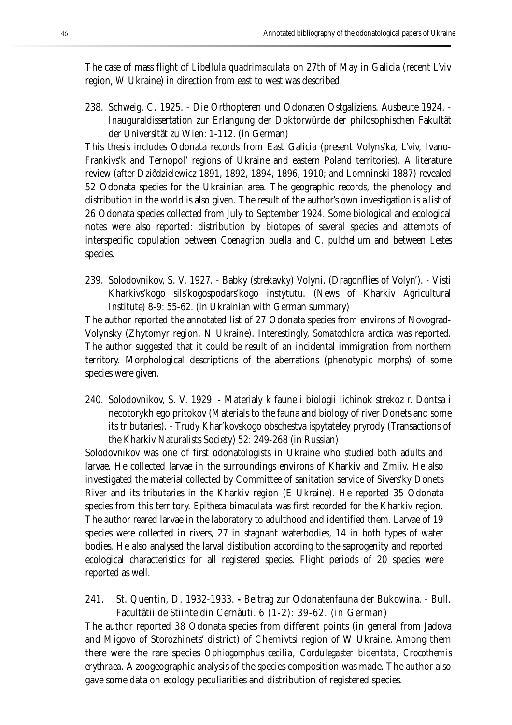The case of mass flight of *Libellula quadrimaculata* on 27th of May in Galicia (recent L'viv region, W Ukraine) in direction from east to west was described.

238. Schweig, C. 1925. - Die Orthopteren und Odonaten Ostgaliziens. Ausbeute 1924. - Inauguraldissertation zur Erlangung der Doktorwürde der philosophischen Fakultät der Universität zu Wien: 1-112. (in German)

This thesis includes Odonata records from East Galicia (present Volyns'ka, L'viv, Ivano-Frankivs'k and Ternopol' regions of Ukraine and eastern Poland territories). A literature review (after Dziêdzielewicz 1891, 1892, 1894, 1896, 1910; and Lomninski 1887) revealed 52 Odonata species for the Ukrainian area. The geographic records, the phenology and distribution in the world is also given. The result of the author's own investigation is a list of 26 Odonata species collected from July to September 1924. Some biological and ecological notes were also reported: distribution by biotopes of several species and attempts of interspecific copulation between *Coenagrion puella* and *C. pulchellum* and between *Lestes*  species.

239. Solodovnikov, S. V. 1927. - Babky (strekavky) Volyni. (Dragonflies of Volyn'). - Visti Kharkivs'kogo sils'kogospodars'kogo instytutu. (News of Kharkiv Agricultural Institute) 8-9: 55-62. (in Ukrainian with German summary)

The author reported the annotated list of 27 Odonata species from environs of Novograd-Volynsky (Zhytomyr region, N Ukraine). Interestingly, *Somatochlora arctica* was reported. The author suggested that it could be result of an incidental immigration from northern territory. Morphological descriptions of the aberrations (phenotypic morphs) of some species were given.

240. Solodovnikov, S. V. 1929. - Materialy k faune i biologii lichinok strekoz r. Dontsa i necotorykh ego pritokov (Materials to the fauna and biology of river Donets and some its tributaries). - Trudy Khar'kovskogo obschestva ispytateley pryrody (Transactions of the Kharkiv Naturalists Society) 52: 249-268 (in Russian)

Solodovnikov was one of first odonatologists in Ukraine who studied both adults and larvae. He collected larvae in the surroundings environs of Kharkiv and Zmiiv. He also investigated the material collected by Committee of sanitation service of Sivers'ky Donets River and its tributaries in the Kharkiv region (E Ukraine). He reported 35 Odonata species from this territory. *Epitheca bimaculata* was first recorded for the Kharkiv region. The author reared larvae in the laboratory to adulthood and identified them. Larvae of 19 species were collected in rivers, 27 in stagnant waterbodies, 14 in both types of water bodies. He also analysed the larval distibution according to the saprogenity and reported ecological characteristics for all registered species. Flight periods of 20 species were reported as well.

241. St. Quentin, D. 1932-1933. **-** Beitrag zur Odonatenfauna der Bukowina. - Bull. Facultãtii de Stiinte din Cernãuti. 6 (1-2): 39-62. (in German)

The author reported 38 Odonata species from different points (in general from Jadova and Migovo of Storozhinets' district) of Chernivtsi region of W Ukraine. Among them there were the rare species *Ophiogomphus cecilia*, *Cordulegaster bidentata*, *Crocothemis erythraea.* A zoogeographic analysis of the species composition was made. The author also gave some data on ecology peculiarities and distribution of registered species.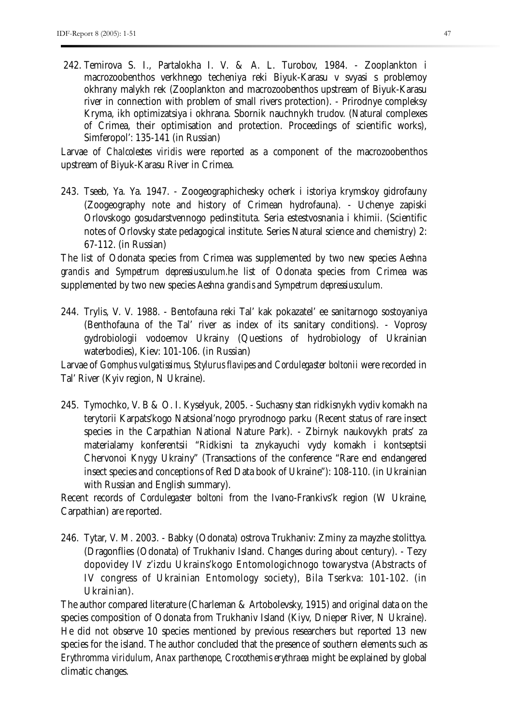242. Temirova S. I., Partalokha I. V. & A. L. Turobov, 1984. - Zooplankton i macrozoobenthos verkhnego techeniya reki Biyuk-Karasu v svyasi s problemoy okhrany malykh rek (Zooplankton and macrozoobenthos upstream of Biyuk-Karasu river in connection with problem of small rivers protection). - Prirodnye compleksy Kryma, ikh optimizatsiya i okhrana. Sbornik nauchnykh trudov. (Natural complexes of Crimea, their optimisation and protection. Proceedings of scientific works), Simferopol': 135-141 (in Russian)

Larvae of *Chalcolestes viridis* were reported as a component of the macrozoobenthos upstream of Biyuk-Karasu River in Crimea.

243. Tseeb, Ya. Ya. 1947. - Zoogeographichesky ocherk i istoriya krymskoy gidrofauny (Zoogeography note and history of Crimean hydrofauna). - Uchenye zapiski Orlovskogo gosudarstvennogo pedinstituta. Seria estestvosnania i khimii. (Scientific notes of Orlovsky state pedagogical institute. Series Natural science and chemistry) 2: 67-112. (in Russian)

The list of Odonata species from Crimea was supplemented by two new species *Aeshna grandis* and *Sympetrum depressiusculum.*he list of Odonata species from Crimea was supplemented by two new species *Aeshna grandis* and *Sympetrum depressiusculum.*

244. Trylis, V. V. 1988. - Bentofauna reki Tal' kak pokazatel' ee sanitarnogo sostoyaniya (Benthofauna of the Tal' river as index of its sanitary conditions). - Voprosy gydrobiologii vodoemov Ukrainy (Questions of hydrobiology of Ukrainian waterbodies), Kiev: 101-106. (in Russian)

Larvae of *Gomphus vulgatissimus*, *Stylurus flavipes* and *Cordulegaster boltonii* were recorded in Tal' River (Kyiv region, N Ukraine).

245. Tymochko, V. B & O. I. Kyselyuk, 2005. - Suchasny stan ridkisnykh vydiv komakh na terytorii Karpats'kogo Natsional'nogo pryrodnogo parku (Recent status of rare insect species in the Carpathian National Nature Park). - Zbirnyk naukovykh prats' za materialamy konferentsii "Ridkisni ta znykayuchi vydy komakh i kontseptsii Chervonoi Knygy Ukrainy" (Transactions of the conference "Rare end endangered insect species and conceptions of Red Data book of Ukraine"): 108-110. (in Ukrainian with Russian and English summary).

Recent records of *Cordulegaster boltoni* from the Ivano-Frankivs'k region (W Ukraine, Carpathian) are reported.

246. Tytar, V. M. 2003. - Babky (Odonata) ostrova Trukhaniv: Zminy za mayzhe stolittya. (Dragonflies (Odonata) of Trukhaniv Island. Changes during about century). - Tezy dopovidey IV z'izdu Ukrains'kogo Entomologichnogo towarystva (Abstracts of IV congress of Ukrainian Entomology society), Bila Tserkva: 101-102. (in Ukrainian).

The author compared literature (Charleman & Artobolevsky, 1915) and original data on the species composition of Odonata from Trukhaniv Island (Kiyv, Dnieper River, N Ukraine). He did not observe 10 species mentioned by previous researchers but reported 13 new species for the island. The author concluded that the presence of southern elements such as *Erythromma viridulum*, *Anax parthenope, Crocothemis erythraea* might be explained by global climatic changes.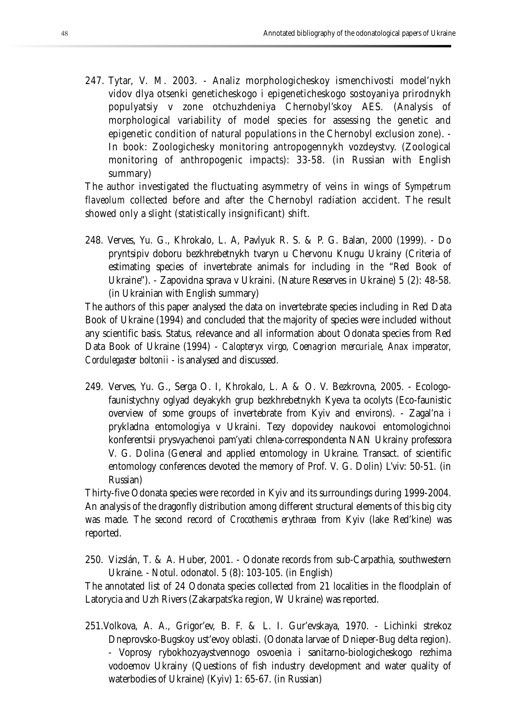247. Tytar, V. M. 2003. - Analiz morphologicheskoy ismenchivosti model'nykh vidov dlya otsenki geneticheskogo i epigeneticheskogo sostoyaniya prirodnykh populyatsiy v zone otchuzhdeniya Chernobyl'skoy AES. (Analysis of morphological variability of model species for assessing the genetic and epigenetic condition of natural populations in the Chernobyl exclusion zone). - In book: Zoologichesky monitoring antropogennykh vozdeystvy. (Zoological monitoring of anthropogenic impacts): 33-58. (in Russian with English summary)

The author investigated the fluctuating asymmetry of veins in wings of *Sympetrum flaveolum* collected before and after the Chernobyl radiation accident. The result showed only a slight (statistically insignificant) shift.

248. Verves, Yu. G., Khrokalo, L. A, Pavlyuk R. S. & P. G. Balan, 2000 (1999). - Do pryntsipiv doboru bezkhrebetnykh tvaryn u Chervonu Knugu Ukrainy (Criteria of estimating species of invertebrate animals for including in the "Red Book of Ukraine"). - Zapovidna sprava v Ukraini. (Nature Reserves in Ukraine) 5 (2): 48-58. (in Ukrainian with English summary)

The authors of this paper analysed the data on invertebrate species including in Red Data Book of Ukraine (1994) and concluded that the majority of species were included without any scientific basis. Status, relevance and all information about Odonata species from Red Data Book of Ukraine (1994) - *Calopteryx virgo, Coenagrion mercuriale, Anax imperator, Cordulegaster boltonii* - is analysed and discussed.

249. Verves, Yu. G., Serga O. I, Khrokalo, L. A & O. V. Bezkrovna, 2005. - Ecologofaunistychny oglyad deyakykh grup bezkhrebetnykh Kyeva ta ocolyts (Eco-faunistic overview of some groups of invertebrate from Kyiv and environs). - Zagal'na i prykladna entomologiya v Ukraini. Tezy dopovidey naukovoi entomologichnoi konferentsii prysvyachenoi pam'yati chlena-correspondenta NAN Ukrainy professora V. G. Dolina (General and applied entomology in Ukraine. Transact. of scientific entomology conferences devoted the memory of Prof. V. G. Dolin) L'viv: 50-51. (in Russian)

Thirty-five Odonata species were recorded in Kyiv and its surroundings during 1999-2004. An analysis of the dragonfly distribution among different structural elements of this big city was made. The second record of *Crocothemis erythraea* from Kyiv (lake Red'kine) was reported.

250. Vizslán, T. & A. Huber, 2001. - Odonate records from sub-Carpathia, southwestern Ukraine. - Notul. odonatol. 5 (8): 103-105. (in English)

The annotated list of 24 Odonata species collected from 21 localities in the floodplain of Latorycia and Uzh Rivers (Zakarpats'ka region, W Ukraine) was reported.

251.Volkova, A. A., Grigor'ev, B. F. & L. I. Gur'evskaya, 1970. - Lichinki strekoz Dneprovsko-Bugskoy ust'evoy oblasti. (Odonata larvae of Dnieper-Bug delta region). - Voprosy rybokhozyaystvennogo osvoenia i sanitarno-biologicheskogo rezhima vodoemov Ukrainy (Questions of fish industry development and water quality of waterbodies of Ukraine) (Kyiv) 1: 65-67. (in Russian)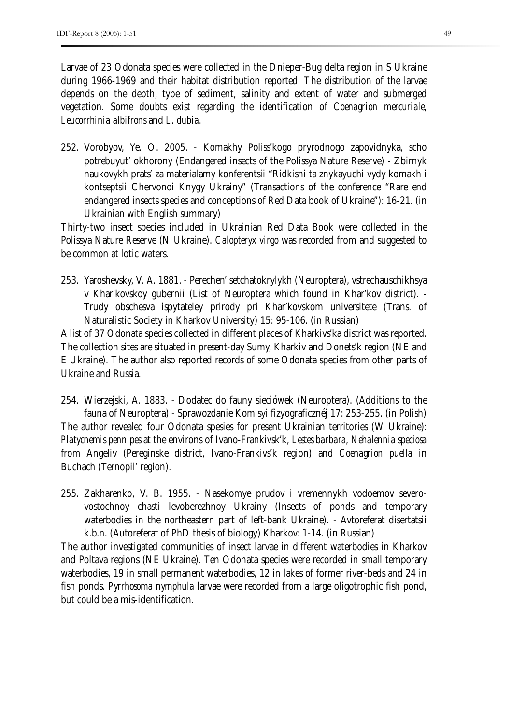Larvae of 23 Odonata species were collected in the Dnieper-Bug delta region in S Ukraine during 1966-1969 and their habitat distribution reported. The distribution of the larvae depends on the depth, type of sediment, salinity and extent of water and submerged vegetation. Some doubts exist regarding the identification of *Coenagrion mercuriale, Leucorrhinia albifrons* and *L. dubia.*

252. Vorobyov, Ye. O. 2005. - Komakhy Poliss'kogo pryrodnogo zapovidnyka, scho potrebuyut' okhorony (Endangered insects of the Polissya Nature Reserve) - Zbirnyk naukovykh prats' za materialamy konferentsii "Ridkisni ta znykayuchi vydy komakh i kontseptsii Chervonoi Knygy Ukrainy" (Transactions of the conference "Rare end endangered insects species and conceptions of Red Data book of Ukraine"): 16-21. (in Ukrainian with English summary)

Thirty-two insect species included in Ukrainian Red Data Book were collected in the Polissya Nature Reserve (N Ukraine). *Calopteryx virgo* was recorded from and suggested to be common at lotic waters.

253. Yaroshevsky, V. A. 1881. - Perechen' setchatokrylykh (Neuroptera), vstrechauschikhsya v Khar'kovskoy gubernii (List of Neuroptera which found in Khar'kov district). - Trudy obschesva ispytateley prirody pri Khar'kovskom universitete (Trans. of Naturalistic Society in Kharkov University) 15: 95-106. (in Russian)

A list of 37 Odonata species collected in different places of Kharkivs'ka district was reported. The collection sites are situated in present-day Sumy, Kharkiv and Donets'k region (NE and E Ukraine). The author also reported records of some Odonata species from other parts of Ukraine and Russia.

254. Wierzejski, A. 1883. - Dodatec do fauny sieciówek (Neuroptera). (Additions to the fauna of Neuroptera) - Sprawozdanie Komisyi fizyograficznéj 17: 253-255. (in Polish) The author revealed four Odonata spesies for present Ukrainian territories (W Ukraine): *Platycnemis pennipes* at the environs of Ivano-Frankivsk'k, *Lestes barbara*, *Nehalennia speciosa* from Angeliv (Pereginske district, Ivano-Frankivs'k region) and *Coenagrion puella* in Buchach (Ternopil' region).

255. Zakharenko, V. B. 1955. - Nasekomye prudov i vremennykh vodoemov severovostochnoy chasti levoberezhnoy Ukrainy (Insects of ponds and temporary waterbodies in the northeastern part of left-bank Ukraine). - Avtoreferat disertatsii k.b.n. (Autoreferat of PhD thesis of biology) Kharkov: 1-14. (in Russian)

The author investigated communities of insect larvae in different waterbodies in Kharkov and Poltava regions (NE Ukraine). Ten Odonata species were recorded in small temporary waterbodies, 19 in small permanent waterbodies, 12 in lakes of former river-beds and 24 in fish ponds. *Pyrrhosoma nymphula* larvae were recorded from a large oligotrophic fish pond, but could be a mis-identification.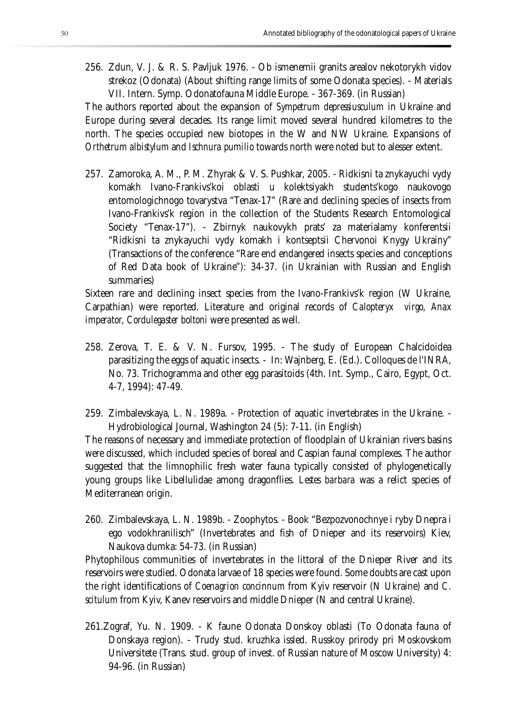256. Zdun, V. J. & R. S. Pavljuk 1976. - Ob ismenemii granits arealov nekotorykh vidov strekoz (Odonata) (About shifting range limits of some Odonata species). - Materials VII. Intern. Symp. Odonatofauna Middle Europe. - 367-369. (in Russian)

The authors reported about the expansion of *Sympetrum depressiusculum* in Ukraine and Europe during several decades. Its range limit moved several hundred kilometres to the north. The species occupied new biotopes in the W and NW Ukraine. Expansions of *Orthetrum albistylum* and *Ischnura pumilio* towards north were noted but to alesser extent.

257. Zamoroka, A. M., P. M. Zhyrak & V. S. Pushkar, 2005. - Ridkisni ta znykayuchi vydy komakh Ivano-Frankivs'koi oblasti u kolektsiyakh students'kogo naukovogo entomologichnogo tovarystva "Tenax-17" (Rare and declining species of insects from Ivano-Frankivs'k region in the collection of the Students Research Entomological Society "Tenax-17"). - Zbirnyk naukovykh prats' za materialamy konferentsii "Ridkisni ta znykayuchi vydy komakh i kontseptsii Chervonoi Knygy Ukrainy" (Transactions of the conference "Rare end endangered insects species and conceptions of Red Data book of Ukraine"): 34-37. (in Ukrainian with Russian and English summaries)

Sixteen rare and declining insect species from the Ivano-Frankivs'k region (W Ukraine, Carpathian) were reported. Literature and original records of *Calopteryx virgo, Anax imperator, Cordulegaster boltoni* were presented as well.

- 258. Zerova, T. E. & V. N. Fursov, 1995. The study of European Chalcidoidea parasitizing the eggs of aquatic insects. - In: Wajnberg, E. (Ed.). Colloques de l'INRA, No. 73. Trichogramma and other egg parasitoids (4th. Int. Symp., Cairo, Egypt, Oct. 4-7, 1994): 47-49.
- 259. Zimbalevskaya, L. N. 1989a. Protection of aquatic invertebrates in the Ukraine. Hydrobiological Journal, Washington 24 (5): 7-11. (in English)

The reasons of necessary and immediate protection of floodplain of Ukrainian rivers basins were discussed, which included species of boreal and Caspian faunal complexes. The author suggested that the limnophilic fresh water fauna typically consisted of phylogenetically young groups like Libellulidae among dragonflies. *Lestes barbara* was a relict species of Mediterranean origin.

260. Zimbalevskaya, L. N. 1989b. - Zoophytos. - Book "Bezpozvonochnye i ryby Dnepra i ego vodokhranilisch" (Invertebrates and fish of Dnieper and its reservoirs) Kiev, Naukova dumka: 54-73. (in Russian)

Phytophilous communities of invertebrates in the littoral of the Dnieper River and its reservoirs were studied. Odonata larvae of 18 species were found. Some doubts are cast upon the right identifications of *Coenagrion concinnum* from Kyiv reservoir (N Ukraine) and *C. scitulum* from Kyiv, Kanev reservoirs and middle Dnieper (N and central Ukraine).

261.Zograf, Yu. N. 1909. - K faune Odonata Donskoy oblasti (To Odonata fauna of Donskaya region). - Trudy stud. kruzhka issled. Russkoy prirody pri Moskovskom Universitete (Trans. stud. group of invest. of Russian nature of Moscow University) 4: 94-96. (in Russian)